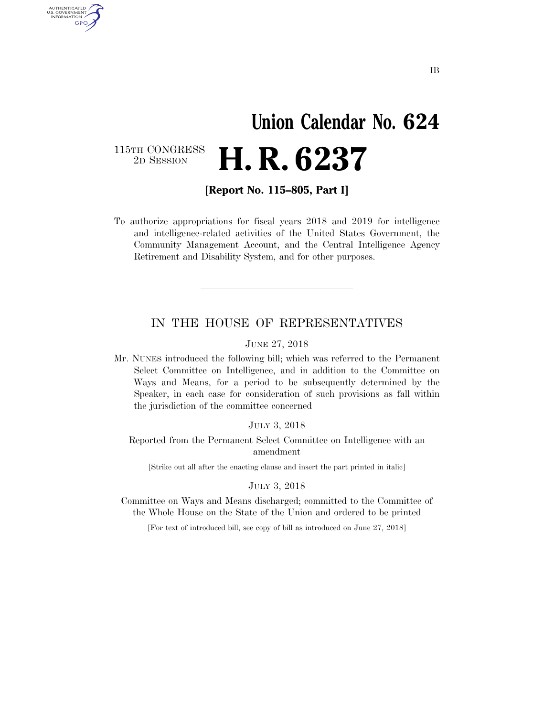# **Union Calendar No. 624**  2D SESSION **H. R. 6237**

115TH CONGRESS<br>2D SESSION

AUTHENTICATED<br>U.S. GOVERNMENT<br>INFORMATION GPO

**[Report No. 115–805, Part I]** 

To authorize appropriations for fiscal years 2018 and 2019 for intelligence and intelligence-related activities of the United States Government, the Community Management Account, and the Central Intelligence Agency Retirement and Disability System, and for other purposes.

#### IN THE HOUSE OF REPRESENTATIVES

JUNE 27, 2018

Mr. NUNES introduced the following bill; which was referred to the Permanent Select Committee on Intelligence, and in addition to the Committee on Ways and Means, for a period to be subsequently determined by the Speaker, in each case for consideration of such provisions as fall within the jurisdiction of the committee concerned

JULY 3, 2018

Reported from the Permanent Select Committee on Intelligence with an amendment

[Strike out all after the enacting clause and insert the part printed in italic]

#### JULY 3, 2018

Committee on Ways and Means discharged; committed to the Committee of the Whole House on the State of the Union and ordered to be printed

[For text of introduced bill, see copy of bill as introduced on June 27, 2018]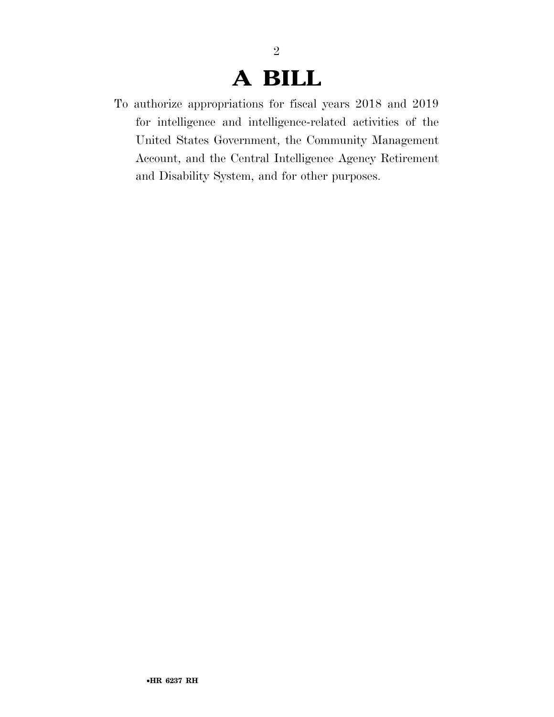# **A BILL**

2

To authorize appropriations for fiscal years 2018 and 2019 for intelligence and intelligence-related activities of the United States Government, the Community Management Account, and the Central Intelligence Agency Retirement and Disability System, and for other purposes.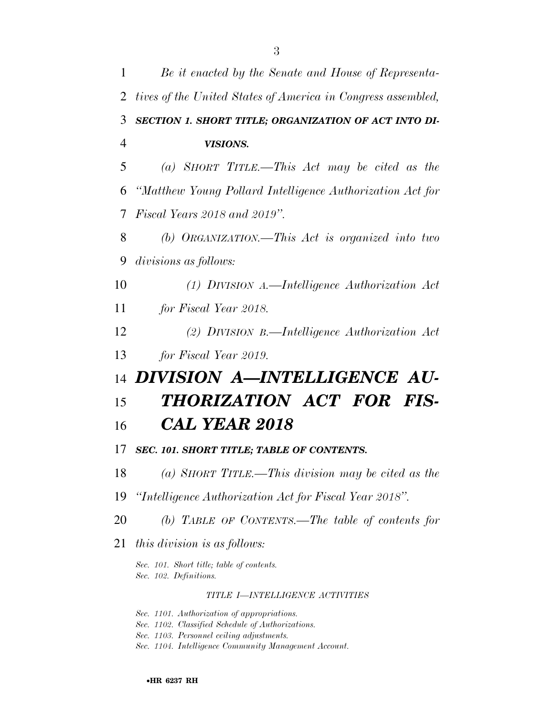| 1  | Be it enacted by the Senate and House of Representa-                |
|----|---------------------------------------------------------------------|
| 2  | tives of the United States of America in Congress assembled,        |
| 3  | SECTION 1. SHORT TITLE; ORGANIZATION OF ACT INTO DI-                |
| 4  | VISIONS.                                                            |
| 5  | (a) SHORT TITLE.—This Act may be cited as the                       |
| 6  | "Matthew Young Pollard Intelligence Authorization Act for           |
| 7  | Fiscal Years 2018 and 2019".                                        |
| 8  | (b) ORGANIZATION.—This Act is organized into two                    |
| 9  | divisions as follows:                                               |
| 10 | $(1)$ DIVISION A.—Intelligence Authorization Act                    |
| 11 | for Fiscal Year 2018.                                               |
| 12 | (2) DIVISION B.—Intelligence Authorization Act                      |
| 13 | for Fiscal Year 2019.                                               |
| 14 | DIVISION A-INTELLIGENCE AU-                                         |
| 15 | THORIZATION ACT FOR FIS-                                            |
| 16 | <b>CAL YEAR 2018</b>                                                |
| 17 | SEC. 101. SHORT TITLE; TABLE OF CONTENTS.                           |
| 18 | (a) SHORT TITLE.—This division may be cited as the                  |
| 19 | "Intelligence Authorization Act for Fiscal Year 2018".              |
| 20 | (b) TABLE OF CONTENTS.—The table of contents for                    |
| 21 | <i>this division is as follows:</i>                                 |
|    | Sec. 101. Short title; table of contents.<br>Sec. 102. Definitions. |
|    | TITLE I-INTELLIGENCE ACTIVITIES                                     |
|    |                                                                     |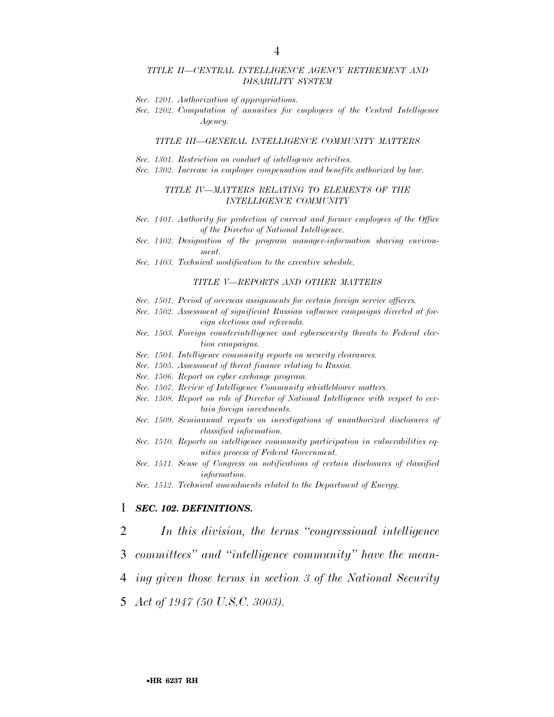#### *TITLE II—CENTRAL INTELLIGENCE AGENCY RETIREMENT AND DISABILITY SYSTEM*

- *Sec. 1201. Authorization of appropriations.*
- *Sec. 1202. Computation of annuities for employees of the Central Intelligence Agency.*

#### *TITLE III—GENERAL INTELLIGENCE COMMUNITY MATTERS*

- *Sec. 1301. Restriction on conduct of intelligence activities.*
- *Sec. 1302. Increase in employee compensation and benefits authorized by law.*

#### *TITLE IV—MATTERS RELATING TO ELEMENTS OF THE INTELLIGENCE COMMUNITY*

- *Sec. 1401. Authority for protection of current and former employees of the Office of the Director of National Intelligence.*
- *Sec. 1402. Designation of the program manager-information sharing environment.*
- *Sec. 1403. Technical modification to the executive schedule.*

#### *TITLE V—REPORTS AND OTHER MATTERS*

- *Sec. 1501. Period of overseas assignments for certain foreign service officers.*
- *Sec. 1502. Assessment of significant Russian influence campaigns directed at foreign elections and referenda.*
- *Sec. 1503. Foreign counterintelligence and cybersecurity threats to Federal election campaigns.*
- *Sec. 1504. Intelligence community reports on security clearances.*
- *Sec. 1505. Assessment of threat finance relating to Russia.*
- *Sec. 1506. Report on cyber exchange program.*
- *Sec. 1507. Review of Intelligence Community whistleblower matters.*
- *Sec. 1508. Report on role of Director of National Intelligence with respect to certain foreign investments.*
- *Sec. 1509. Semiannual reports on investigations of unauthorized disclosures of classified information.*
- *Sec. 1510. Reports on intelligence community participation in vulnerabilities equities process of Federal Government.*
- *Sec. 1511. Sense of Congress on notifications of certain disclosures of classified information.*
- *Sec. 1512. Technical amendments related to the Department of Energy.*

#### 1 *SEC. 102. DEFINITIONS.*

2 *In this division, the terms ''congressional intelligence* 

- 3 *committees'' and ''intelligence community'' have the mean-*
- 4 *ing given those terms in section 3 of the National Security*
- 5 *Act of 1947 (50 U.S.C. 3003).*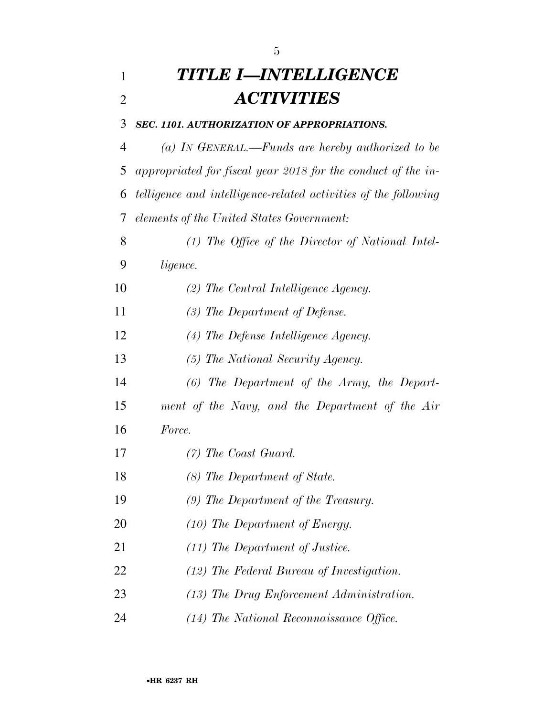## *TITLE I—INTELLIGENCE ACTIVITIES*

#### *SEC. 1101. AUTHORIZATION OF APPROPRIATIONS.*

 *(a) IN GENERAL.—Funds are hereby authorized to be appropriated for fiscal year 2018 for the conduct of the in- telligence and intelligence-related activities of the following elements of the United States Government:* 

 *(1) The Office of the Director of National Intel-ligence.* 

- *(2) The Central Intelligence Agency.*
- *(3) The Department of Defense.*
- *(4) The Defense Intelligence Agency.*
- *(5) The National Security Agency.*
- *(6) The Department of the Army, the Depart-*
- *ment of the Navy, and the Department of the Air*
- *Force.*
- *(7) The Coast Guard.*
- *(8) The Department of State.*
- *(9) The Department of the Treasury.*
- *(10) The Department of Energy.*
- *(11) The Department of Justice.*
- *(12) The Federal Bureau of Investigation.*
- *(13) The Drug Enforcement Administration.*
- *(14) The National Reconnaissance Office.*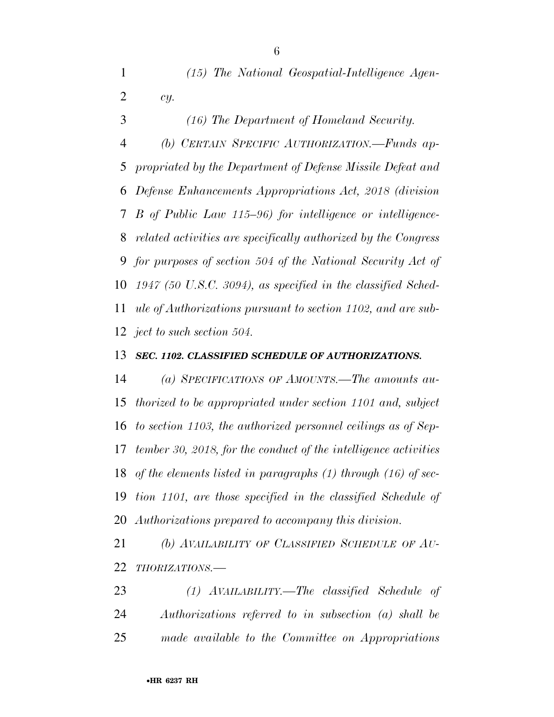*(16) The Department of Homeland Security. (b) CERTAIN SPECIFIC AUTHORIZATION.—Funds ap- propriated by the Department of Defense Missile Defeat and Defense Enhancements Appropriations Act, 2018 (division B of Public Law 115–96) for intelligence or intelligence- related activities are specifically authorized by the Congress for purposes of section 504 of the National Security Act of 1947 (50 U.S.C. 3094), as specified in the classified Sched- ule of Authorizations pursuant to section 1102, and are sub-ject to such section 504.* 

#### *SEC. 1102. CLASSIFIED SCHEDULE OF AUTHORIZATIONS.*

 *(a) SPECIFICATIONS OF AMOUNTS.—The amounts au- thorized to be appropriated under section 1101 and, subject to section 1103, the authorized personnel ceilings as of Sep- tember 30, 2018, for the conduct of the intelligence activities of the elements listed in paragraphs (1) through (16) of sec- tion 1101, are those specified in the classified Schedule of Authorizations prepared to accompany this division.* 

 *(b) AVAILABILITY OF CLASSIFIED SCHEDULE OF AU-THORIZATIONS.—* 

 *(1) AVAILABILITY.—The classified Schedule of Authorizations referred to in subsection (a) shall be made available to the Committee on Appropriations* 

•**HR 6237 RH**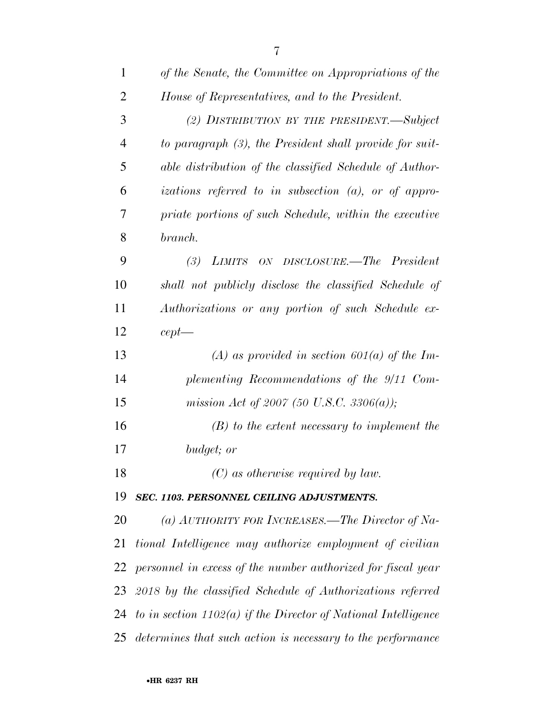| $\mathbf{1}$   | of the Senate, the Committee on Appropriations of the            |
|----------------|------------------------------------------------------------------|
| $\overline{2}$ | House of Representatives, and to the President.                  |
| 3              | (2) DISTRIBUTION BY THE PRESIDENT.—Subject                       |
| $\overline{4}$ | to paragraph (3), the President shall provide for suit-          |
| 5              | able distribution of the classified Schedule of Author-          |
| 6              | izations referred to in subsection $(a)$ , or of appro-          |
| 7              | priate portions of such Schedule, within the executive           |
| 8              | branch.                                                          |
| 9              | (3) LIMITS ON DISCLOSURE.—The President                          |
| 10             | shall not publicly disclose the classified Schedule of           |
| 11             | Authorizations or any portion of such Schedule ex-               |
| 12             | $cept$ —                                                         |
| 13             | (A) as provided in section 601(a) of the Im-                     |
| 14             | plementing Recommendations of the 9/11 Com-                      |
| 15             | mission Act of 2007 (50 U.S.C. 3306(a));                         |
| 16             | $(B)$ to the extent necessary to implement the                   |
| 17             | budget; or                                                       |
| 18             | $(C)$ as otherwise required by law.                              |
| 19             | SEC. 1103. PERSONNEL CEILING ADJUSTMENTS.                        |
| 20             | (a) AUTHORITY FOR INCREASES.—The Director of Na-                 |
| 21             | tional Intelligence may authorize employment of civilian         |
| 22             | personnel in excess of the number authorized for fiscal year     |
| 23             | 2018 by the classified Schedule of Authorizations referred       |
| 24             | to in section $1102(a)$ if the Director of National Intelligence |
| 25             | determines that such action is necessary to the performance      |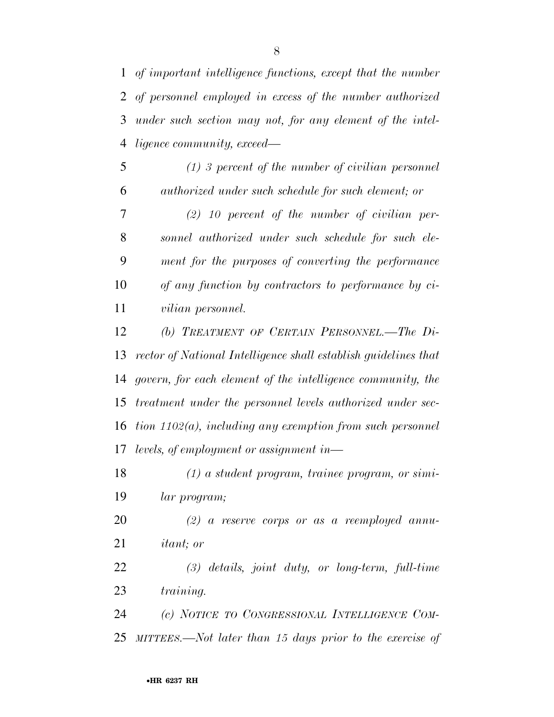*of important intelligence functions, except that the number of personnel employed in excess of the number authorized under such section may not, for any element of the intel-ligence community, exceed—* 

 *(1) 3 percent of the number of civilian personnel authorized under such schedule for such element; or* 

 *(2) 10 percent of the number of civilian per- sonnel authorized under such schedule for such ele- ment for the purposes of converting the performance of any function by contractors to performance by ci-vilian personnel.* 

 *(b) TREATMENT OF CERTAIN PERSONNEL.—The Di- rector of National Intelligence shall establish guidelines that govern, for each element of the intelligence community, the treatment under the personnel levels authorized under sec- tion 1102(a), including any exemption from such personnel levels, of employment or assignment in—* 

 *(1) a student program, trainee program, or simi-lar program;* 

 *(2) a reserve corps or as a reemployed annu-itant; or* 

 *(3) details, joint duty, or long-term, full-time training.* 

 *(c) NOTICE TO CONGRESSIONAL INTELLIGENCE COM-MITTEES.—Not later than 15 days prior to the exercise of*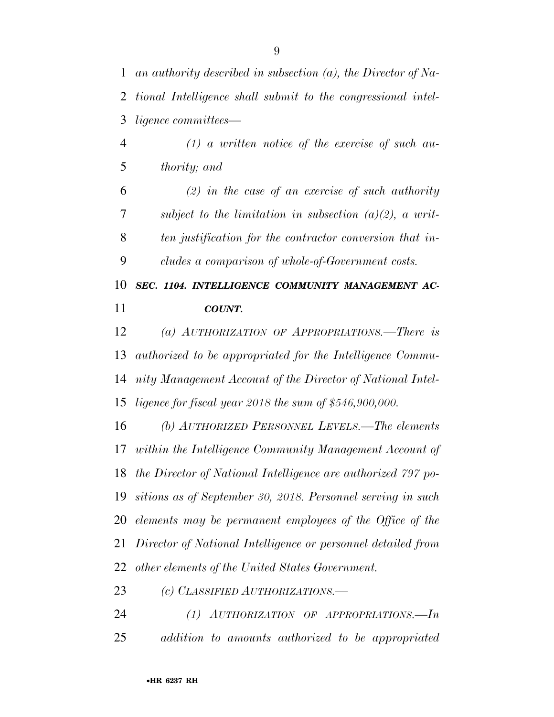*an authority described in subsection (a), the Director of Na- tional Intelligence shall submit to the congressional intel-ligence committees—* 

 *(1) a written notice of the exercise of such au-thority; and* 

 *(2) in the case of an exercise of such authority subject to the limitation in subsection (a)(2), a writ- ten justification for the contractor conversion that in-cludes a comparison of whole-of-Government costs.* 

 *SEC. 1104. INTELLIGENCE COMMUNITY MANAGEMENT AC-COUNT.* 

 *(a) AUTHORIZATION OF APPROPRIATIONS.—There is authorized to be appropriated for the Intelligence Commu- nity Management Account of the Director of National Intel-ligence for fiscal year 2018 the sum of \$546,900,000.* 

 *(b) AUTHORIZED PERSONNEL LEVELS.—The elements within the Intelligence Community Management Account of the Director of National Intelligence are authorized 797 po- sitions as of September 30, 2018. Personnel serving in such elements may be permanent employees of the Office of the Director of National Intelligence or personnel detailed from other elements of the United States Government.* 

*(c) CLASSIFIED AUTHORIZATIONS.—* 

 *(1) AUTHORIZATION OF APPROPRIATIONS.—In addition to amounts authorized to be appropriated*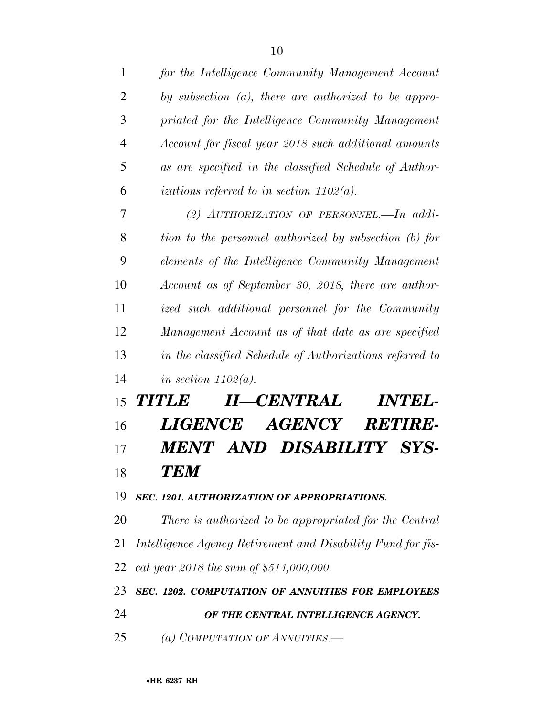| $\mathbf{1}$   | for the Intelligence Community Management Account           |
|----------------|-------------------------------------------------------------|
| $\overline{2}$ | by subsection $(a)$ , there are authorized to be appro-     |
| 3              | priated for the Intelligence Community Management           |
| $\overline{4}$ | Account for fiscal year 2018 such additional amounts        |
| 5              | as are specified in the classified Schedule of Author-      |
| 6              | izations referred to in section $1102(a)$ .                 |
| 7              | (2) AUTHORIZATION OF PERSONNEL. $\Box$ addi-                |
| 8              | tion to the personnel authorized by subsection (b) for      |
| 9              | elements of the Intelligence Community Management           |
| 10             | Account as of September 30, 2018, there are author-         |
| 11             | ized such additional personnel for the Community            |
| 12             | Management Account as of that date as are specified         |
| 13             | in the classified Schedule of Authorizations referred to    |
| 14             | in section $1102(a)$ .                                      |
| 15             | II—CENTRAL<br><i><b>INTEL-</b></i><br><b>TITLE</b>          |
| 16             | <i><b>LIGENCE</b></i><br><b>AGENCY</b><br><b>RETIRE-</b>    |
| 17             | MENT AND DISABILITY SYS-                                    |
| 18             | TEM                                                         |
| 19             | SEC. 1201. AUTHORIZATION OF APPROPRIATIONS.                 |
| 20             | There is authorized to be appropriated for the Central      |
| 21             | Intelligence Agency Retirement and Disability Fund for fis- |
| 22             | cal year 2018 the sum of \$514,000,000.                     |
| 23             | SEC. 1202. COMPUTATION OF ANNUITIES FOR EMPLOYEES           |
| 24             | OF THE CENTRAL INTELLIGENCE AGENCY.                         |
| 25             | (a) COMPUTATION OF ANNUITIES.—                              |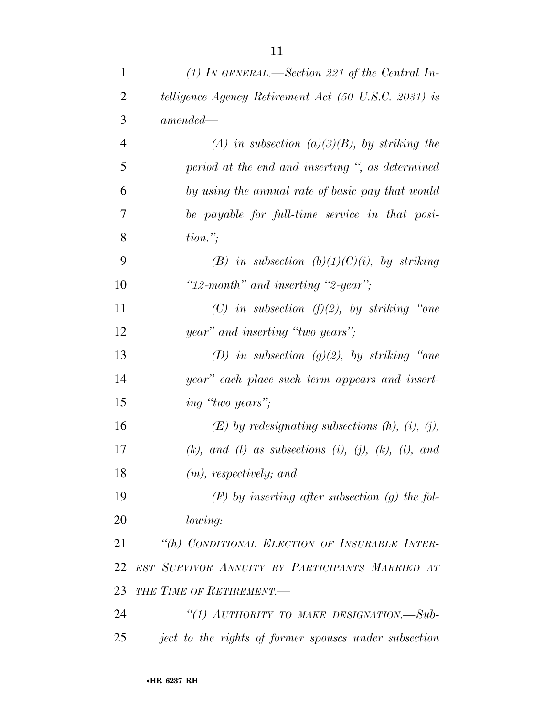| $\mathbf{1}$   | (1) IN GENERAL.—Section 221 of the Central In-                       |
|----------------|----------------------------------------------------------------------|
| $\overline{2}$ | telligence Agency Retirement Act (50 U.S.C. 2031) is                 |
| 3              | $amended -$                                                          |
| $\overline{4}$ | (A) in subsection (a)(3)(B), by striking the                         |
| 5              | period at the end and inserting ", as determined                     |
| 6              | by using the annual rate of basic pay that would                     |
| 7              | be payable for full-time service in that posi-                       |
| 8              | $tion.$ ";                                                           |
| 9              | (B) in subsection $(b)(1)(C)(i)$ , by striking                       |
| 10             | "12-month" and inserting "2-year";                                   |
| 11             | (C) in subsection ( $f$ )(2), by striking "one                       |
| 12             | year" and inserting "two years";                                     |
| 13             | (D) in subsection $(g)(2)$ , by striking "one                        |
| 14             | year" each place such term appears and insert-                       |
| 15             | <i>ing</i> " <i>two years</i> ";                                     |
| 16             | $(E)$ by redesignating subsections $(h)$ , $(i)$ , $(j)$ ,           |
| 17             | $(k)$ , and $(l)$ as subsections $(i)$ , $(j)$ , $(k)$ , $(l)$ , and |
| 18             | $(m)$ , respectively; and                                            |
| 19             | $(F)$ by inserting after subsection (g) the fol-                     |
| 20             | lowing:                                                              |
| 21             | "(h) CONDITIONAL ELECTION OF INSURABLE INTER-                        |
| 22             | EST SURVIVOR ANNUITY BY PARTICIPANTS MARRIED AT                      |
| 23             | THE TIME OF RETIREMENT.                                              |
| 24             | "(1) AUTHORITY TO MAKE DESIGNATION.—Sub-                             |
| 25             | ject to the rights of former spouses under subsection                |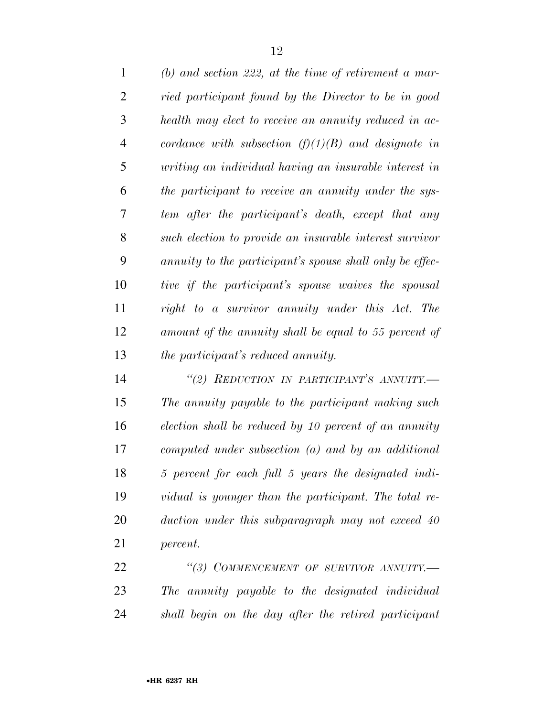| $\mathbf{1}$   | (b) and section 222, at the time of retirement a mar-    |
|----------------|----------------------------------------------------------|
| $\overline{2}$ | ried participant found by the Director to be in good     |
| 3              | health may elect to receive an annuity reduced in ac-    |
| $\overline{4}$ | cordance with subsection $(f)(1)(B)$ and designate in    |
| 5              | writing an individual having an insurable interest in    |
| 6              | the participant to receive an annuity under the sys-     |
| 7              | tem after the participant's death, except that any       |
| 8              | such election to provide an insurable interest survivor  |
| 9              | annuity to the participant's spouse shall only be effec- |
| 10             | tive if the participant's spouse waives the spousal      |
| 11             | right to a survivor annuity under this Act. The          |
| 12             | amount of the annuity shall be equal to 55 percent of    |
| 13             | <i>the participant's reduced annuity.</i>                |

 *''(2) REDUCTION IN PARTICIPANT'S ANNUITY.— The annuity payable to the participant making such election shall be reduced by 10 percent of an annuity computed under subsection (a) and by an additional 5 percent for each full 5 years the designated indi- vidual is younger than the participant. The total re- duction under this subparagraph may not exceed 40 percent.* 

 *''(3) COMMENCEMENT OF SURVIVOR ANNUITY.— The annuity payable to the designated individual shall begin on the day after the retired participant*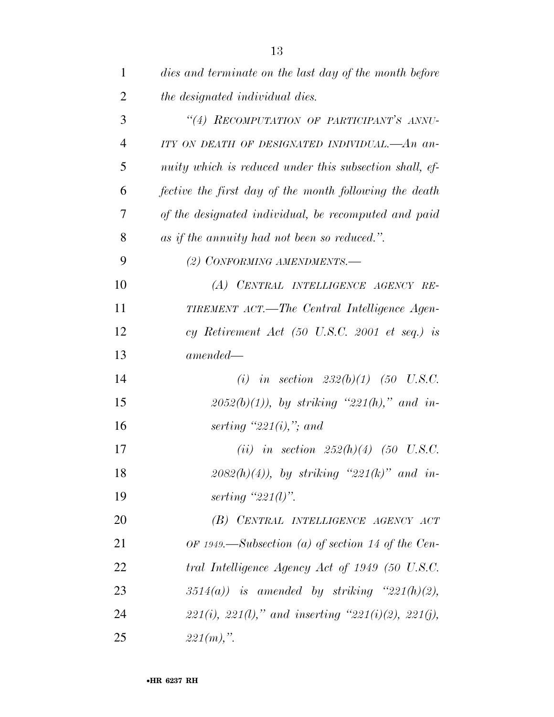| $\mathbf{1}$   | dies and terminate on the last day of the month before           |
|----------------|------------------------------------------------------------------|
| $\overline{2}$ | the designated individual dies.                                  |
| 3              | "(4) RECOMPUTATION OF PARTICIPANT'S ANNU-                        |
| $\overline{4}$ | ITY ON DEATH OF DESIGNATED INDIVIDUAL.—An an-                    |
| 5              | nuity which is reduced under this subsection shall, ef-          |
| 6              | fective the first day of the month following the death           |
| 7              | of the designated individual, be recomputed and paid             |
| 8              | as if the annuity had not been so reduced.".                     |
| 9              | (2) CONFORMING AMENDMENTS.-                                      |
| 10             | (A) CENTRAL INTELLIGENCE AGENCY RE-                              |
| 11             | TIREMENT ACT.—The Central Intelligence Agen-                     |
| 12             | cy Retirement Act $(50 \text{ U.S.C. } 2001 \text{ et seq.})$ is |
| 13             | $amended-$                                                       |
| 14             | (i) in section $232(b)(1)$ (50 U.S.C.                            |
| 15             | $2052(b)(1)$ , by striking "221(h)," and in-                     |
| 16             | serting "221 $(i)$ ,"; and                                       |
| 17             | ( <i>ii</i> ) in section $252(h)(4)$ (50 U.S.C.                  |
| 18             | $2082(h)(4)$ , by striking " $221(k)$ " and in-                  |
| 19             | serting " $221(l)$ ".                                            |
| 20             | (B) CENTRAL INTELLIGENCE AGENCY ACT                              |
| 21             | OF 1949.—Subsection (a) of section 14 of the Cen-                |
| 22             | tral Intelligence Agency Act of 1949 (50 U.S.C.                  |
| 23             | $3514(a)$ ) is amended by striking " $221(h)(2)$ ,               |
| 24             | $221(i)$ , $221(l)$ ," and inserting " $221(i)(2)$ , $221(j)$ ,  |
| 25             | $221(m)$ ,".                                                     |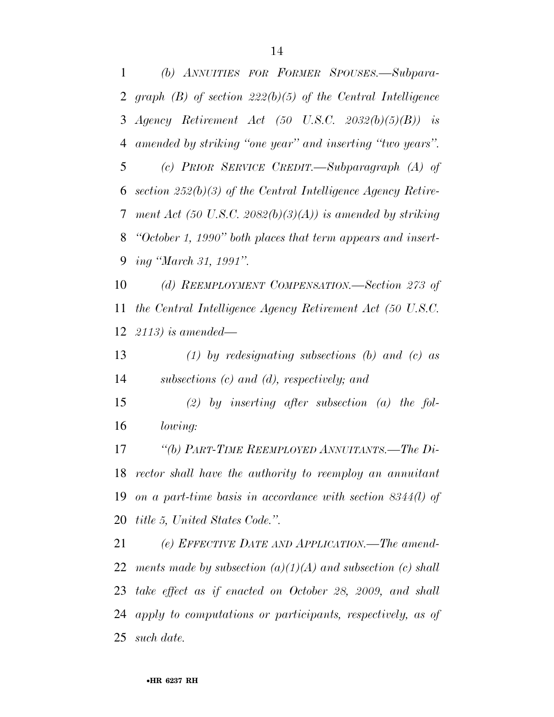*(b) ANNUITIES FOR FORMER SPOUSES.—Subpara- graph (B) of section 222(b)(5) of the Central Intelligence Agency Retirement Act (50 U.S.C. 2032(b)(5)(B)) is amended by striking ''one year'' and inserting ''two years''. (c) PRIOR SERVICE CREDIT.—Subparagraph (A) of section 252(b)(3) of the Central Intelligence Agency Retire- ment Act (50 U.S.C. 2082(b)(3)(A)) is amended by striking ''October 1, 1990'' both places that term appears and insert-ing ''March 31, 1991''.* 

 *(d) REEMPLOYMENT COMPENSATION.—Section 273 of the Central Intelligence Agency Retirement Act (50 U.S.C. 2113) is amended—* 

 *(1) by redesignating subsections (b) and (c) as subsections (c) and (d), respectively; and* 

 *(2) by inserting after subsection (a) the fol-lowing:* 

 *''(b) PART-TIME REEMPLOYED ANNUITANTS.—The Di- rector shall have the authority to reemploy an annuitant on a part-time basis in accordance with section 8344(l) of title 5, United States Code.''.* 

 *(e) EFFECTIVE DATE AND APPLICATION.—The amend- ments made by subsection (a)(1)(A) and subsection (c) shall take effect as if enacted on October 28, 2009, and shall apply to computations or participants, respectively, as of such date.*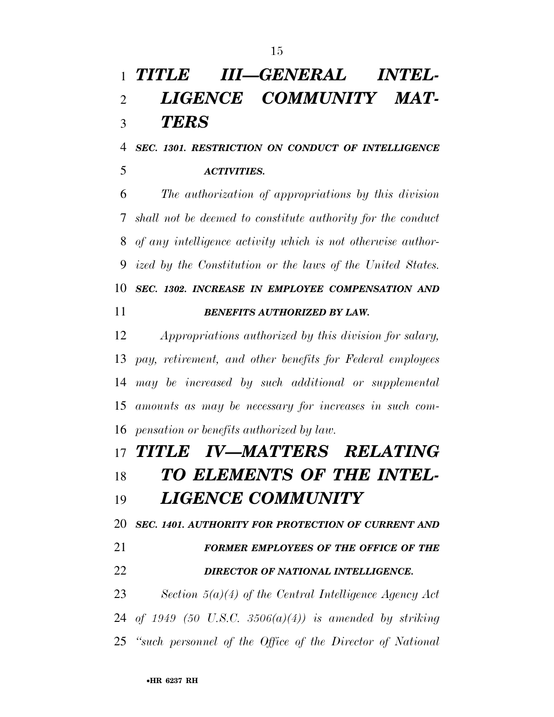# *TITLE III—GENERAL INTEL- LIGENCE COMMUNITY MAT-TERS*

 *SEC. 1301. RESTRICTION ON CONDUCT OF INTELLIGENCE ACTIVITIES.* 

 *The authorization of appropriations by this division shall not be deemed to constitute authority for the conduct of any intelligence activity which is not otherwise author- ized by the Constitution or the laws of the United States. SEC. 1302. INCREASE IN EMPLOYEE COMPENSATION AND BENEFITS AUTHORIZED BY LAW.* 

 *Appropriations authorized by this division for salary, pay, retirement, and other benefits for Federal employees may be increased by such additional or supplemental amounts as may be necessary for increases in such com-pensation or benefits authorized by law.* 

 *TITLE IV—MATTERS RELATING TO ELEMENTS OF THE INTEL-LIGENCE COMMUNITY* 

*SEC. 1401. AUTHORITY FOR PROTECTION OF CURRENT AND* 

 *FORMER EMPLOYEES OF THE OFFICE OF THE DIRECTOR OF NATIONAL INTELLIGENCE.* 

 *Section 5(a)(4) of the Central Intelligence Agency Act of 1949 (50 U.S.C. 3506(a)(4)) is amended by striking ''such personnel of the Office of the Director of National*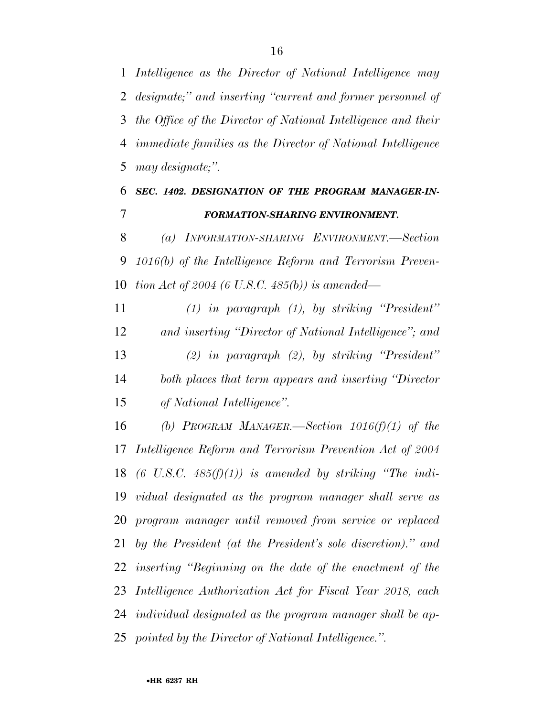*Intelligence as the Director of National Intelligence may designate;'' and inserting ''current and former personnel of the Office of the Director of National Intelligence and their immediate families as the Director of National Intelligence may designate;''.* 

## *SEC. 1402. DESIGNATION OF THE PROGRAM MANAGER-IN-FORMATION-SHARING ENVIRONMENT.*

 *(a) INFORMATION-SHARING ENVIRONMENT.—Section 1016(b) of the Intelligence Reform and Terrorism Preven-tion Act of 2004 (6 U.S.C. 485(b)) is amended—* 

 *(1) in paragraph (1), by striking ''President'' and inserting ''Director of National Intelligence''; and (2) in paragraph (2), by striking ''President'' both places that term appears and inserting ''Director of National Intelligence''.* 

 *(b) PROGRAM MANAGER.—Section 1016(f)(1) of the Intelligence Reform and Terrorism Prevention Act of 2004 (6 U.S.C. 485(f)(1)) is amended by striking ''The indi- vidual designated as the program manager shall serve as program manager until removed from service or replaced by the President (at the President's sole discretion).'' and inserting ''Beginning on the date of the enactment of the Intelligence Authorization Act for Fiscal Year 2018, each individual designated as the program manager shall be ap-pointed by the Director of National Intelligence.''.*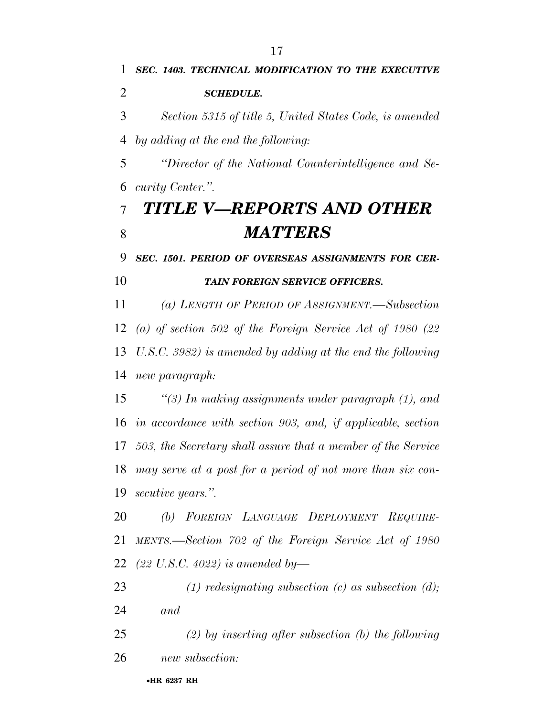*SCHEDULE.* 

*SEC. 1403. TECHNICAL MODIFICATION TO THE EXECUTIVE* 

•**HR 6237 RH** *Section 5315 of title 5, United States Code, is amended by adding at the end the following: ''Director of the National Counterintelligence and Se- curity Center.''. TITLE V—REPORTS AND OTHER MATTERS SEC. 1501. PERIOD OF OVERSEAS ASSIGNMENTS FOR CER- TAIN FOREIGN SERVICE OFFICERS. (a) LENGTH OF PERIOD OF ASSIGNMENT.—Subsection (a) of section 502 of the Foreign Service Act of 1980 (22 U.S.C. 3982) is amended by adding at the end the following new paragraph: ''(3) In making assignments under paragraph (1), and in accordance with section 903, and, if applicable, section 503, the Secretary shall assure that a member of the Service may serve at a post for a period of not more than six con- secutive years.''. (b) FOREIGN LANGUAGE DEPLOYMENT REQUIRE- MENTS.—Section 702 of the Foreign Service Act of 1980 (22 U.S.C. 4022) is amended by— (1) redesignating subsection (c) as subsection (d); and (2) by inserting after subsection (b) the following new subsection:*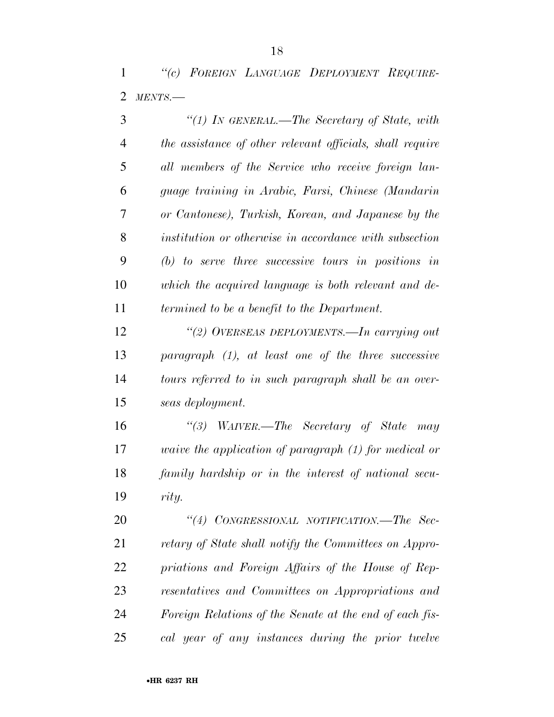*''(c) FOREIGN LANGUAGE DEPLOYMENT REQUIRE-MENTS.—* 

| 3              | "(1) In GENERAL.—The Secretary of State, with                |
|----------------|--------------------------------------------------------------|
| $\overline{4}$ | the assistance of other relevant officials, shall require    |
| 5              | all members of the Service who receive foreign lan-          |
| 6              | guage training in Arabic, Farsi, Chinese (Mandarin           |
| $\overline{7}$ | or Cantonese), Turkish, Korean, and Japanese by the          |
| 8              | institution or otherwise in accordance with subsection       |
| 9              | $(b)$ to serve three successive tours in positions in        |
| 10             | which the acquired language is both relevant and de-         |
| 11             | termined to be a benefit to the Department.                  |
| 12             | "(2) OVERSEAS DEPLOYMENTS.—In carrying out                   |
| 13             | $paramph$ (1), at least one of the three successive          |
| 14             | tours referred to in such paragraph shall be an over-        |
| 15             | seas deployment.                                             |
| 16             | "(3) WAIVER.—The Secretary of State may                      |
| 17             | <i>waive the application of paragraph (1) for medical or</i> |
| 18             | family hardship or in the interest of national secu-         |
| 19             | rity.                                                        |
| 20             | "(4) CONGRESSIONAL NOTIFICATION.—The Sec-                    |
| 21             | retary of State shall notify the Committees on Appro-        |
| 22             | priations and Foreign Affairs of the House of Rep-           |
| 23             | resentatives and Committees on Appropriations and            |
| 24             | Foreign Relations of the Senate at the end of each fis-      |
| 25             | cal year of any instances during the prior twelve            |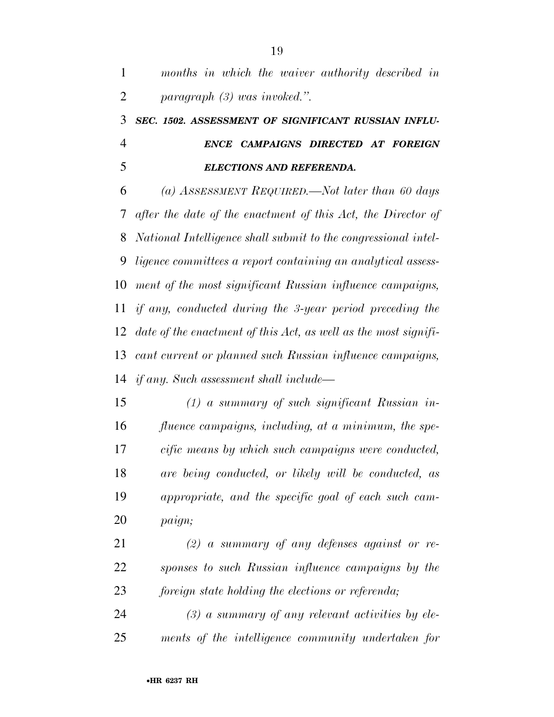| $\mathbf{1}$   | months in which the waiver authority described in               |
|----------------|-----------------------------------------------------------------|
| $\overline{2}$ | $paragnph (3) was invoked.$ ".                                  |
| 3              | SEC. 1502. ASSESSMENT OF SIGNIFICANT RUSSIAN INFLU-             |
| $\overline{4}$ | ENCE CAMPAIGNS DIRECTED AT FOREIGN                              |
| 5              | <b>ELECTIONS AND REFERENDA.</b>                                 |
| 6              | (a) ASSESSMENT REQUIRED.—Not later than 60 days                 |
| 7              | after the date of the enactment of this Act, the Director of    |
| 8              | National Intelligence shall submit to the congressional intel-  |
| 9              | ligence committees a report containing an analytical assess-    |
| 10             | ment of the most significant Russian influence campaigns,       |
| 11             | if any, conducted during the 3-year period preceding the        |
| 12             | date of the enactment of this Act, as well as the most signifi- |
| 13             | cant current or planned such Russian influence campaigns,       |
| 14             | <i>if any.</i> Such assessment shall include—                   |
| 15             | $(1)$ a summary of such significant Russian in-                 |
| 16             | fluence campaigns, including, at a minimum, the spe-            |
| 17             | cific means by which such campaigns were conducted,             |
| 18             | are being conducted, or likely will be conducted, as            |
| 19             | appropriate, and the specific goal of each such cam-            |
| 20             | paign;                                                          |

 *(2) a summary of any defenses against or re- sponses to such Russian influence campaigns by the foreign state holding the elections or referenda;* 

 *(3) a summary of any relevant activities by ele-ments of the intelligence community undertaken for*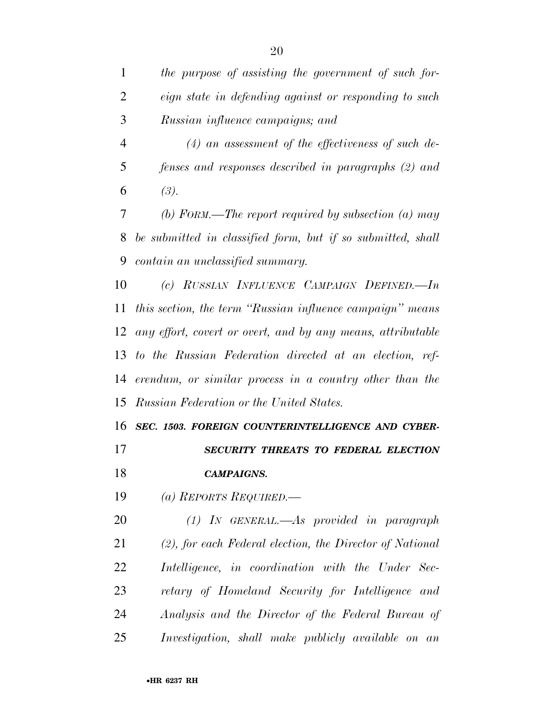| the purpose of assisting the government of such for-         |
|--------------------------------------------------------------|
| <i>eign</i> state in defending against or responding to such |
| <i>Russian influence campaigns; and</i>                      |

 *(4) an assessment of the effectiveness of such de- fenses and responses described in paragraphs (2) and*  6  $(3)$ .

 *(b) FORM.—The report required by subsection (a) may be submitted in classified form, but if so submitted, shall contain an unclassified summary.* 

 *(c) RUSSIAN INFLUENCE CAMPAIGN DEFINED.—In this section, the term ''Russian influence campaign'' means any effort, covert or overt, and by any means, attributable to the Russian Federation directed at an election, ref- erendum, or similar process in a country other than the Russian Federation or the United States.* 

 *SEC. 1503. FOREIGN COUNTERINTELLIGENCE AND CYBER-SECURITY THREATS TO FEDERAL ELECTION* 

*CAMPAIGNS.* 

*(a) REPORTS REQUIRED.—* 

 *(1) IN GENERAL.—As provided in paragraph (2), for each Federal election, the Director of National Intelligence, in coordination with the Under Sec- retary of Homeland Security for Intelligence and Analysis and the Director of the Federal Bureau of Investigation, shall make publicly available on an*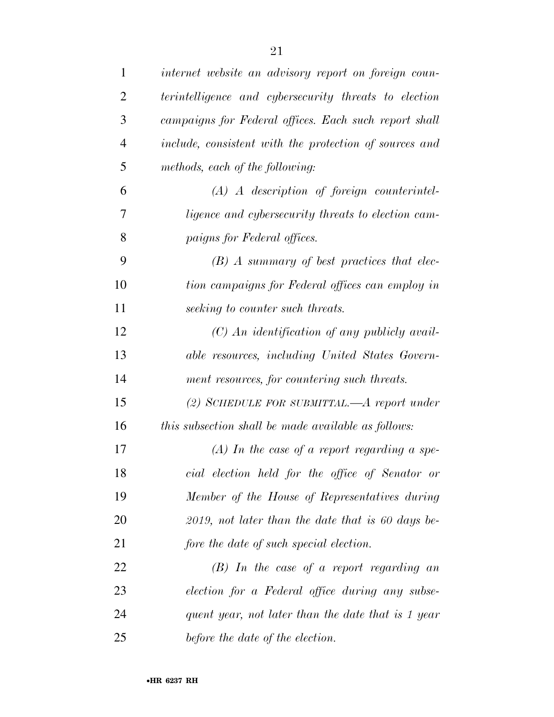| $\mathbf{1}$   | internet website an advisory report on foreign coun-   |
|----------------|--------------------------------------------------------|
| $\overline{2}$ | terintelligence and cybersecurity threats to election  |
| 3              | campaigns for Federal offices. Each such report shall  |
| $\overline{4}$ | include, consistent with the protection of sources and |
| 5              | methods, each of the following:                        |
| 6              | $(A)$ A description of foreign counterintel-           |
| 7              | ligence and cybersecurity threats to election cam-     |
| 8              | paigns for Federal offices.                            |
| 9              | $(B)$ A summary of best practices that elec-           |
| 10             | tion campaigns for Federal offices can employ in       |
| 11             | seeking to counter such threats.                       |
| 12             | $(C)$ An identification of any publicly avail-         |
| 13             | able resources, including United States Govern-        |
| 14             | ment resources, for countering such threats.           |
| 15             | (2) SCHEDULE FOR SUBMITTAL.— $A$ report under          |
| 16             | this subsection shall be made available as follows:    |
| 17             | $(A)$ In the case of a report regarding a spe-         |
| 18             | cial election held for the office of Senator or        |
| 19             | Member of the House of Representatives during          |
| 20             | $2019$ , not later than the date that is 60 days be-   |
| 21             | fore the date of such special election.                |
| 22             | $(B)$ In the case of a report regarding an             |
| 23             | election for a Federal office during any subse-        |
| 24             | quent year, not later than the date that is 1 year     |
| 25             | before the date of the election.                       |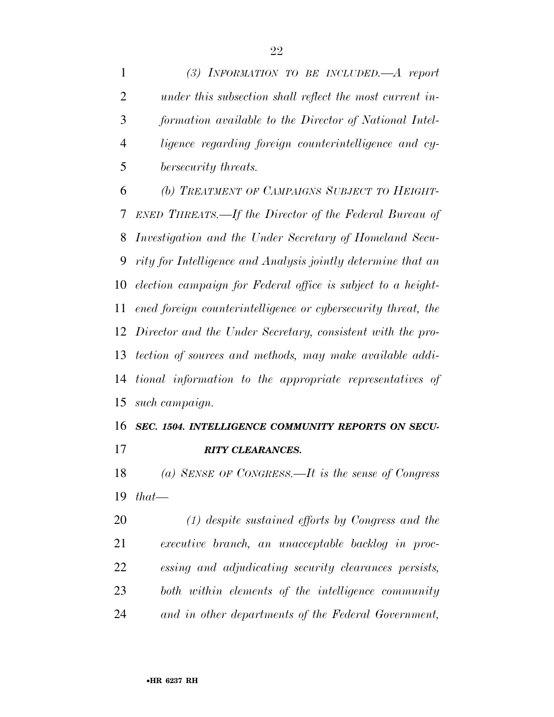*(3) INFORMATION TO BE INCLUDED.—A report under this subsection shall reflect the most current in- formation available to the Director of National Intel- ligence regarding foreign counterintelligence and cy-bersecurity threats.* 

 *(b) TREATMENT OF CAMPAIGNS SUBJECT TO HEIGHT- ENED THREATS.—If the Director of the Federal Bureau of Investigation and the Under Secretary of Homeland Secu- rity for Intelligence and Analysis jointly determine that an election campaign for Federal office is subject to a height- ened foreign counterintelligence or cybersecurity threat, the Director and the Under Secretary, consistent with the pro- tection of sources and methods, may make available addi- tional information to the appropriate representatives of such campaign.* 

### *SEC. 1504. INTELLIGENCE COMMUNITY REPORTS ON SECU-RITY CLEARANCES.*

 *(a) SENSE OF CONGRESS.—It is the sense of Congress that—* 

 *(1) despite sustained efforts by Congress and the executive branch, an unacceptable backlog in proc- essing and adjudicating security clearances persists, both within elements of the intelligence community and in other departments of the Federal Government,*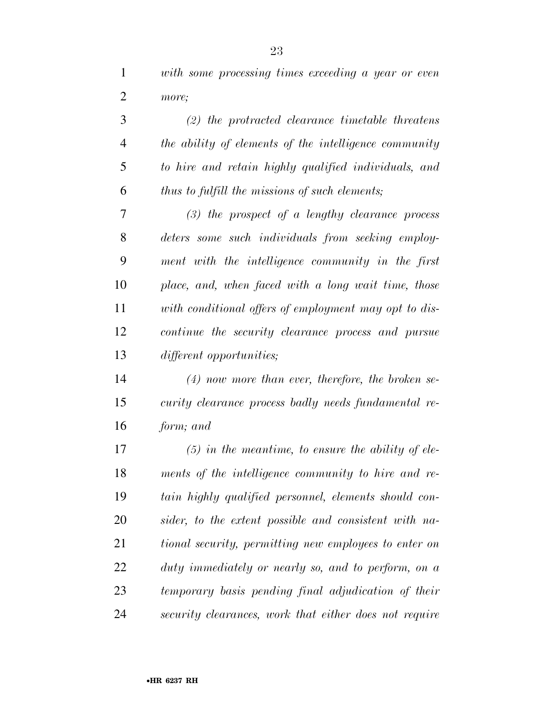*with some processing times exceeding a year or even more;* 

 *(2) the protracted clearance timetable threatens the ability of elements of the intelligence community to hire and retain highly qualified individuals, and thus to fulfill the missions of such elements; (3) the prospect of a lengthy clearance process deters some such individuals from seeking employ- ment with the intelligence community in the first place, and, when faced with a long wait time, those with conditional offers of employment may opt to dis- continue the security clearance process and pursue different opportunities;* 

 *(4) now more than ever, therefore, the broken se- curity clearance process badly needs fundamental re-form; and* 

 *(5) in the meantime, to ensure the ability of ele- ments of the intelligence community to hire and re- tain highly qualified personnel, elements should con- sider, to the extent possible and consistent with na- tional security, permitting new employees to enter on duty immediately or nearly so, and to perform, on a temporary basis pending final adjudication of their security clearances, work that either does not require*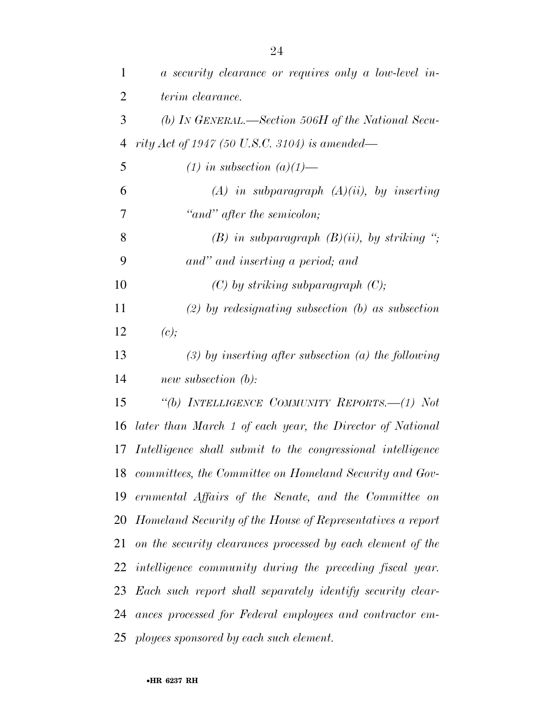| 1              | a security clearance or requires only a low-level in-         |
|----------------|---------------------------------------------------------------|
| $\overline{2}$ | terim clearance.                                              |
| 3              | (b) IN GENERAL.—Section 506H of the National Secu-            |
| $\overline{4}$ | rity Act of 1947 (50 U.S.C. 3104) is amended—                 |
| 5              | $(1)$ in subsection $(a)(1)$ —                                |
| 6              | $(A)$ in subparagraph $(A)(ii)$ , by inserting                |
| 7              | "and" after the semicolon;                                    |
| 8              | $(B)$ in subparagraph $(B)(ii)$ , by striking ";              |
| 9              | and" and inserting a period; and                              |
| 10             | $(C)$ by striking subparagraph $(C)$ ;                        |
| 11             | $(2)$ by redesignating subsection $(b)$ as subsection         |
| 12             | (c);                                                          |
| 13             | $(3)$ by inserting after subsection (a) the following         |
| 14             | new subsection (b):                                           |
| 15             | "(b) INTELLIGENCE COMMUNITY REPORTS.—(1) Not                  |
| 16             | later than March 1 of each year, the Director of National     |
| 17             | Intelligence shall submit to the congressional intelligence   |
|                | 18 committees, the Committee on Homeland Security and Gov-    |
|                | 19 ernmental Affairs of the Senate, and the Committee on      |
|                | 20 Homeland Security of the House of Representatives a report |
| 21             | on the security clearances processed by each element of the   |
|                | 22 intelligence community during the preceding fiscal year.   |
|                | 23 Each such report shall separately identify security clear- |
|                | 24 ances processed for Federal employees and contractor em-   |
|                | 25 ployees sponsored by each such element.                    |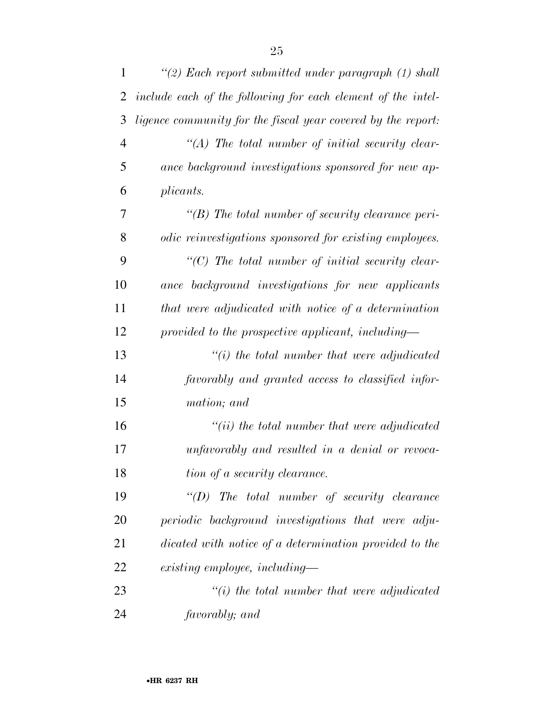| $\mathbf{1}$   | "(2) Each report submitted under paragraph $(1)$ shall       |
|----------------|--------------------------------------------------------------|
| $\overline{2}$ | include each of the following for each element of the intel- |
| 3              | ligence community for the fiscal year covered by the report: |
| $\overline{4}$ | $\lq (A)$ The total number of initial security clear-        |
| 5              | ance background investigations sponsored for new ap-         |
| 6              | plicants.                                                    |
| 7              | $\lq (B)$ The total number of security clearance peri-       |
| 8              | odic reinvestigations sponsored for existing employees.      |
| 9              | $\lq\lq C$ ) The total number of initial security clear-     |
| 10             | ance background investigations for new applicants            |
| 11             | that were adjudicated with notice of a determination         |
| 12             | provided to the prospective applicant, including—            |
| 13             | $\lq\lq(i)$ the total number that were adjudicated           |
| 14             | favorably and granted access to classified infor-            |
| 15             | mation; and                                                  |
| 16             | $``(ii)$ the total number that were adjudicated              |
| 17             | unfavorably and resulted in a denial or revoca-              |
| 18             | tion of a security clearance.                                |
| 19             | $\lq (D)$ The total number of security clearance             |
| 20             | periodic background investigations that were adju-           |
| 21             | dicated with notice of a determination provided to the       |
| 22             | existing employee, including—                                |
| 23             | $\tilde{f}(i)$ the total number that were adjudicated        |
| 24             | favorably; and                                               |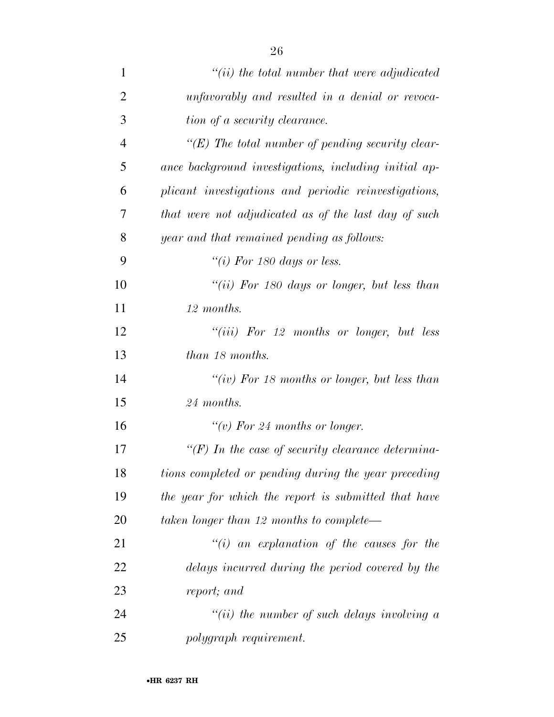| $\overline{2}$ | unfavorably and resulted in a denial or revoca-          |
|----------------|----------------------------------------------------------|
| 3              | tion of a security clearance.                            |
| $\overline{4}$ | $\lq\lq (E)$ The total number of pending security clear- |
| 5              | ance background investigations, including initial ap-    |
| 6              | plicant investigations and periodic reinvestigations,    |
| 7              | that were not adjudicated as of the last day of such     |
| 8              | year and that remained pending as follows:               |
| 9              | "(i) For 180 days or less.                               |
| 10             | "(ii) For 180 days or longer, but less than              |
| 11             | 12 months.                                               |
| 12             | "(iii) For 12 months or longer, but less                 |
| 13             | than 18 months.                                          |
| 14             | "(iv) For 18 months or longer, but less than             |
| 15             | 24 months.                                               |
| 16             | "(v) For 24 months or longer.                            |
| 17             | $H(F)$ In the case of security clearance determina-      |
| 18             | tions completed or pending during the year preceding     |
| 19             | the year for which the report is submitted that have     |
| 20             | taken longer than 12 months to complete—                 |
| 21             | "(i) an explanation of the causes for the                |
| 22             | delays incurred during the period covered by the         |
| 23             | report; and                                              |
| 24             | "(ii) the number of such delays involving $a$            |
| 25             | polygraph requirement.                                   |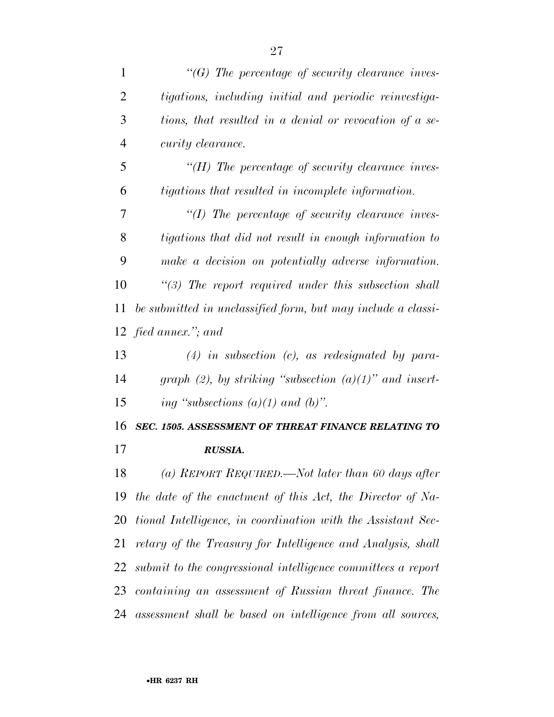| $\mathbf{1}$   | $\lq\lq(G)$ The percentage of security clearance inves-      |
|----------------|--------------------------------------------------------------|
| $\overline{2}$ | tigations, including initial and periodic reinvestiga-       |
| 3              | tions, that resulted in a denial or revocation of a se-      |
| 4              | curity clearance.                                            |
| 5              | $H$ ) The percentage of security clearance inves-            |
| 6              | tigations that resulted in incomplete information.           |
| 7              | $\lq (I)$ The percentage of security clearance inves-        |
| 8              | tigations that did not result in enough information to       |
| 9              | make a decision on potentially adverse information.          |
| 10             | $\lq(3)$ The report required under this subsection shall     |
| 11             | be submitted in unclassified form, but may include a classi- |
|                | 12 fied annex."; and                                         |
| 13             | $(4)$ in subsection $(c)$ , as redesignated by para-         |
| 14             | graph (2), by striking "subsection $(a)(1)$ " and insert-    |
|                |                                                              |
| 15             | ing "subsections $(a)(1)$ and $(b)$ ".                       |
| 16             | SEC. 1505. ASSESSMENT OF THREAT FINANCE RELATING TO          |
| 17             | RUSSIA.                                                      |
| 18             | (a) REPORT REQUIRED.—Not later than 60 days after            |
| 19             | the date of the enactment of this Act, the Director of Na-   |
| 20             | tional Intelligence, in coordination with the Assistant Sec- |
| 21             | retary of the Treasury for Intelligence and Analysis, shall  |
| 22             | submit to the congressional intelligence committees a report |
| 23             | containing an assessment of Russian threat finance. The      |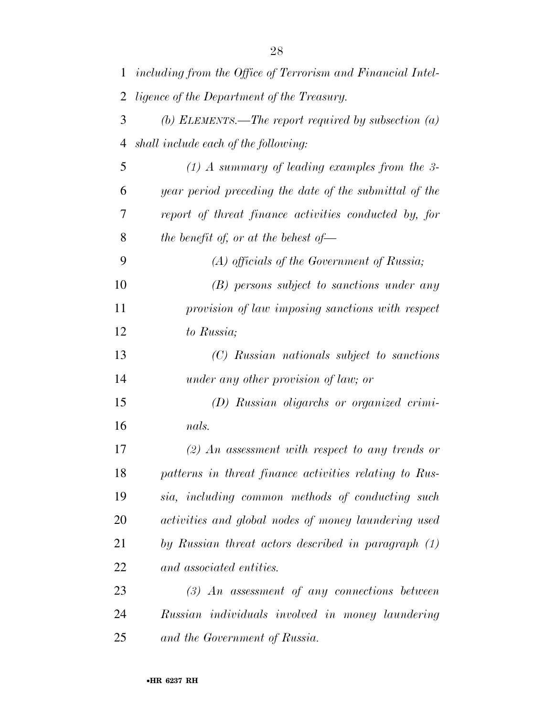| 1  | including from the Office of Terrorism and Financial Intel- |
|----|-------------------------------------------------------------|
| 2  | <i>ligence of the Department of the Treasury.</i>           |
| 3  | (b) ELEMENTS.—The report required by subsection $(a)$       |
| 4  | shall include each of the following:                        |
| 5  | $(1)$ A summary of leading examples from the 3-             |
| 6  | year period preceding the date of the submittal of the      |
| 7  | report of threat finance activities conducted by, for       |
| 8  | the benefit of, or at the behest of $-$                     |
| 9  | $(A)$ officials of the Government of Russia;                |
| 10 | (B) persons subject to sanctions under any                  |
| 11 | provision of law imposing sanctions with respect            |
| 12 | to Russia;                                                  |
| 13 | (C) Russian nationals subject to sanctions                  |
| 14 | under any other provision of law; or                        |
| 15 | (D) Russian oligarchs or organized crimi-                   |
| 16 | nals.                                                       |
| 17 | $(2)$ An assessment with respect to any trends or           |
| 18 | patterns in threat finance activities relating to Rus-      |
| 19 | sia, including common methods of conducting such            |
| 20 | activities and global nodes of money laundering used        |
| 21 | by Russian threat actors described in paragraph (1)         |
| 22 | and associated entities.                                    |
| 23 | $(3)$ An assessment of any connections between              |
| 24 | Russian individuals involved in money laundering            |
| 25 | and the Government of Russia.                               |

•**HR 6237 RH**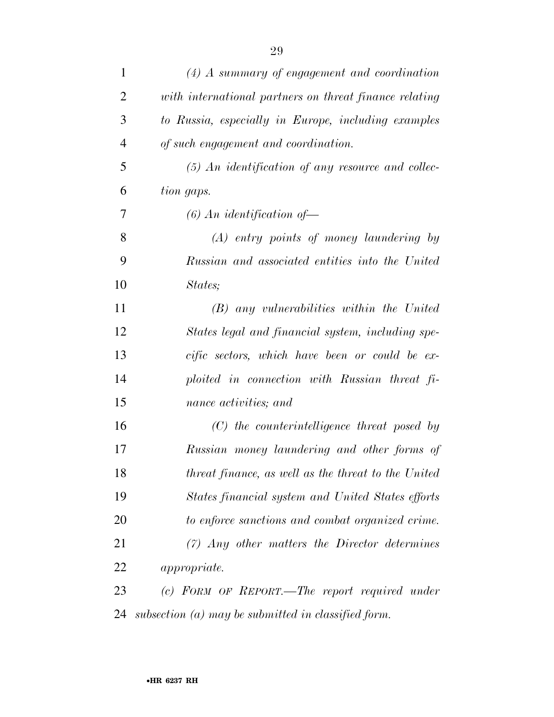| $\mathbf{1}$   | $(4)$ A summary of engagement and coordination         |
|----------------|--------------------------------------------------------|
| $\overline{2}$ | with international partners on threat finance relating |
| 3              | to Russia, especially in Europe, including examples    |
| $\overline{4}$ | of such engagement and coordination.                   |
| 5              | $(5)$ An identification of any resource and collec-    |
| 6              | tion gaps.                                             |
| 7              | $(6)$ An identification of —                           |
| 8              | (A) entry points of money laundering by                |
| 9              | Russian and associated entities into the United        |
| 10             | States;                                                |
| 11             | $(B)$ any vulnerabilities within the United            |
| 12             | States legal and financial system, including spe-      |
| 13             | cific sectors, which have been or could be ex-         |
| 14             | ploited in connection with Russian threat fi-          |
| 15             | nance activities; and                                  |
| 16             | $(C)$ the counterintelligence threat posed by          |
| 17             | Russian money laundering and other forms of            |
| 18             | threat finance, as well as the threat to the United    |
| 19             | States financial system and United States efforts      |
| 20             | to enforce sanctions and combat organized crime.       |
| 21             | $(7)$ Any other matters the Director determines        |
| 22             | <i>appropriate.</i>                                    |
| 23             | (c) FORM OF REPORT.—The report required under          |
| 24             | subsection $(a)$ may be submitted in classified form.  |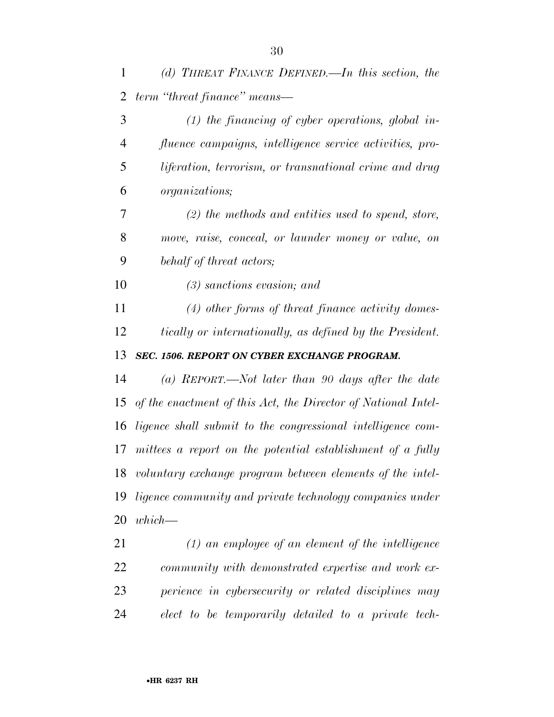| 1              | (d) THREAT FINANCE DEFINED.—In this section, the              |
|----------------|---------------------------------------------------------------|
| $\overline{2}$ | term "threat finance" means—                                  |
| 3              | $(1)$ the financing of cyber operations, global in-           |
| 4              | fluence campaigns, intelligence service activities, pro-      |
| 5              | liferation, terrorism, or transnational crime and drug        |
| 6              | organizations;                                                |
| 7              | $(2)$ the methods and entities used to spend, store,          |
| $8\,$          | move, raise, conceal, or launder money or value, on           |
| 9              | behalf of threat actors;                                      |
| 10             | $(3)$ sanctions evasion; and                                  |
| 11             | $(4)$ other forms of threat finance activity domes-           |
| 12             | tically or internationally, as defined by the President.      |
| 13             | SEC. 1506. REPORT ON CYBER EXCHANGE PROGRAM.                  |
| 14             | (a) REPORT.—Not later than 90 days after the date             |
| 15             | of the enactment of this Act, the Director of National Intel- |
| 16             | ligence shall submit to the congressional intelligence com-   |
| 17             | mittees a report on the potential establishment of a fully    |
|                | 18 voluntary exchange program between elements of the intel-  |
| 19             | ligence community and private technology companies under      |
| 20             | $which$ —                                                     |
| 21             | $(1)$ an employee of an element of the intelligence           |
| 22             | community with demonstrated expertise and work ex-            |
| 23             | perience in cybersecurity or related disciplines may          |

*elect to be temporarily detailed to a private tech-*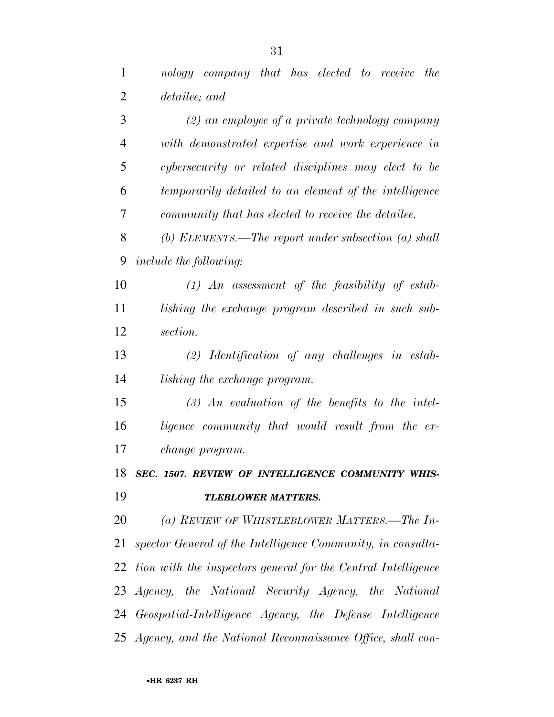| $\mathbf{1}$   | nology company that has elected to receive the                   |
|----------------|------------------------------------------------------------------|
| $\overline{2}$ | detailee; and                                                    |
| 3              | $(2)$ an employee of a private technology company                |
| $\overline{4}$ | with demonstrated expertise and work experience in               |
| 5              | cybersecurity or related disciplines may elect to be             |
| 6              | temporarily detailed to an element of the intelligence           |
| 7              | community that has elected to receive the detailee.              |
| 8              | (b) ELEMENTS.—The report under subsection $(a)$ shall            |
| 9              | include the following:                                           |
| 10             | $(1)$ An assessment of the feasibility of estab-                 |
| 11             | lishing the exchange program described in such sub-              |
| 12             | section.                                                         |
| 13             | $(2)$ Identification of any challenges in estab-                 |
| 14             | <i>lishing the exchange program.</i>                             |
| 15             | $(3)$ An evaluation of the benefits to the intel-                |
| 16             | ligence community that would result from the ex-                 |
| 17             | change program.                                                  |
|                | 18 SEC. 1507. REVIEW OF INTELLIGENCE COMMUNITY WHIS-             |
| 19             | <b>TLEBLOWER MATTERS.</b>                                        |
| 20             | (a) REVIEW OF WHISTLEBLOWER MATTERS.—The In-                     |
| 21             | spector General of the Intelligence Community, in consulta-      |
|                | 22 tion with the inspectors general for the Central Intelligence |
|                | 23 Agency, the National Security Agency, the National            |
|                | 24 Geospatial-Intelligence Agency, the Defense Intelligence      |
|                | 25 Agency, and the National Reconnaissance Office, shall con-    |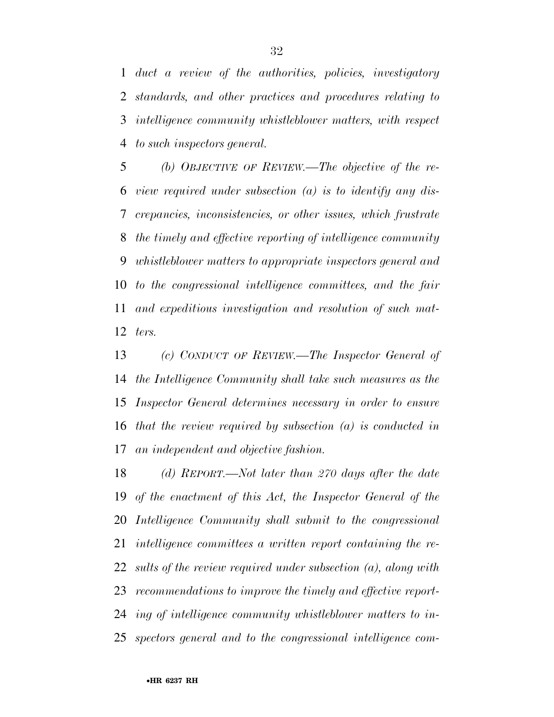*duct a review of the authorities, policies, investigatory standards, and other practices and procedures relating to intelligence community whistleblower matters, with respect to such inspectors general.* 

 *(b) OBJECTIVE OF REVIEW.—The objective of the re- view required under subsection (a) is to identify any dis- crepancies, inconsistencies, or other issues, which frustrate the timely and effective reporting of intelligence community whistleblower matters to appropriate inspectors general and to the congressional intelligence committees, and the fair and expeditious investigation and resolution of such mat-ters.* 

 *(c) CONDUCT OF REVIEW.—The Inspector General of the Intelligence Community shall take such measures as the Inspector General determines necessary in order to ensure that the review required by subsection (a) is conducted in an independent and objective fashion.* 

 *(d) REPORT.—Not later than 270 days after the date of the enactment of this Act, the Inspector General of the Intelligence Community shall submit to the congressional intelligence committees a written report containing the re- sults of the review required under subsection (a), along with recommendations to improve the timely and effective report- ing of intelligence community whistleblower matters to in-spectors general and to the congressional intelligence com-*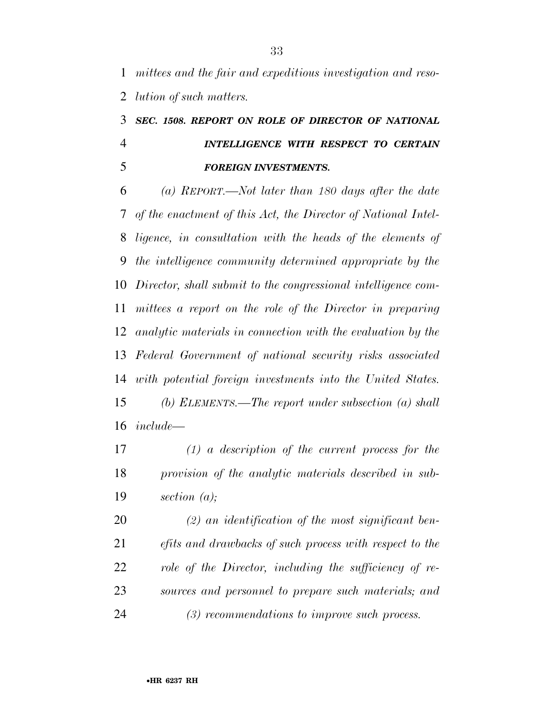*mittees and the fair and expeditious investigation and reso-lution of such matters.* 

## *SEC. 1508. REPORT ON ROLE OF DIRECTOR OF NATIONAL INTELLIGENCE WITH RESPECT TO CERTAIN FOREIGN INVESTMENTS.*

 *(a) REPORT.—Not later than 180 days after the date of the enactment of this Act, the Director of National Intel- ligence, in consultation with the heads of the elements of the intelligence community determined appropriate by the Director, shall submit to the congressional intelligence com- mittees a report on the role of the Director in preparing analytic materials in connection with the evaluation by the Federal Government of national security risks associated with potential foreign investments into the United States. (b) ELEMENTS.—The report under subsection (a) shall include—* 

 *(1) a description of the current process for the provision of the analytic materials described in sub-section (a);* 

 *(2) an identification of the most significant ben- efits and drawbacks of such process with respect to the role of the Director, including the sufficiency of re- sources and personnel to prepare such materials; and (3) recommendations to improve such process.*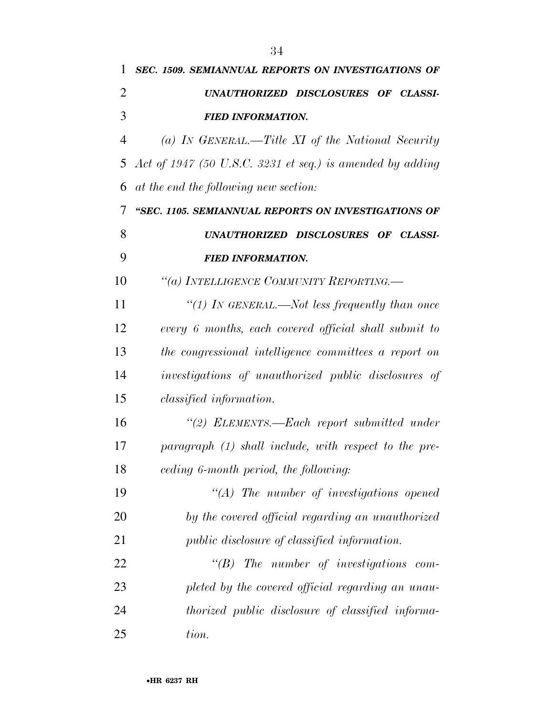| 1              | SEC. 1509. SEMIANNUAL REPORTS ON INVESTIGATIONS OF        |
|----------------|-----------------------------------------------------------|
| 2              | UNAUTHORIZED DISCLOSURES OF CLASSI-                       |
| 3              | <b>FIED INFORMATION.</b>                                  |
| $\overline{4}$ | (a) IN GENERAL.—Title XI of the National Security         |
| 5              | Act of 1947 (50 U.S.C. 3231 et seq.) is amended by adding |
| 6              | at the end the following new section:                     |
| 7              | "SEC. 1105. SEMIANNUAL REPORTS ON INVESTIGATIONS OF       |
| 8              | UNAUTHORIZED DISCLOSURES OF CLASSI-                       |
| 9              | <b>FIED INFORMATION.</b>                                  |
| 10             | "(a) INTELLIGENCE COMMUNITY REPORTING.—                   |
| 11             | "(1) IN GENERAL.—Not less frequently than once            |
| 12             | every 6 months, each covered official shall submit to     |
| 13             | the congressional intelligence committees a report on     |
| 14             | investigations of unauthorized public disclosures of      |
| 15             | <i>classified information.</i>                            |
| 16             | "(2) ELEMENTS.—Each report submitted under                |
| 17             | $paramph (1) shall include, with respect to the pre-$     |
| 18             | ceding 6-month period, the following:                     |
| 19             | $\lq\lq (A)$ The number of investigations opened          |
| 20             | by the covered official regarding an unauthorized         |
| 21             | <i>public disclosure of classified information.</i>       |
| 22             | $\lq\lq B$ ) The number of investigations<br>$com-$       |
| 23             | pleted by the covered official regarding an unau-         |
| 24             | thorized public disclosure of classified informa-         |
| 25             | tion.                                                     |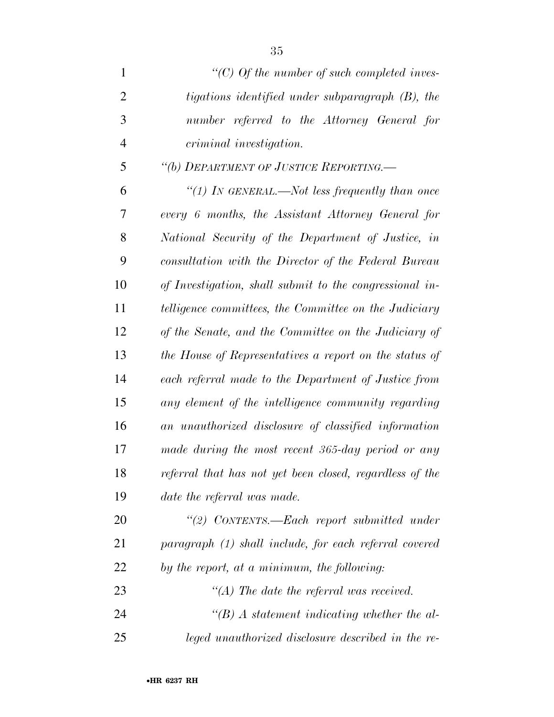| $\mathbf{1}$   | "(C) Of the number of such completed inves-              |
|----------------|----------------------------------------------------------|
| $\overline{2}$ | tigations identified under subparagraph (B), the         |
| 3              | number referred to the Attorney General for              |
| $\overline{4}$ | <i>criminal investigation.</i>                           |
| 5              | "(b) DEPARTMENT OF JUSTICE REPORTING.-                   |
| 6              | "(1) IN GENERAL.—Not less frequently than once           |
| 7              | every 6 months, the Assistant Attorney General for       |
| 8              | National Security of the Department of Justice, in       |
| 9              | consultation with the Director of the Federal Bureau     |
| 10             | of Investigation, shall submit to the congressional in-  |
| 11             | telligence committees, the Committee on the Judiciary    |
| 12             | of the Senate, and the Committee on the Judiciary of     |
| 13             | the House of Representatives a report on the status of   |
| 14             | each referral made to the Department of Justice from     |
| 15             | any element of the intelligence community regarding      |
| 16             | an unauthorized disclosure of classified information     |
| 17             | made during the most recent 365-day period or any        |
| 18             | referral that has not yet been closed, regardless of the |
| 19             | date the referral was made.                              |
| 20             | "(2) CONTENTS.—Each report submitted under               |
| 21             | paragraph (1) shall include, for each referral covered   |
| 22             | by the report, at a minimum, the following:              |
| 23             | "(A) The date the referral was received.                 |
| 24             | $\lq\lq(B)$ A statement indicating whether the al-       |
| 25             | leged unauthorized disclosure described in the re-       |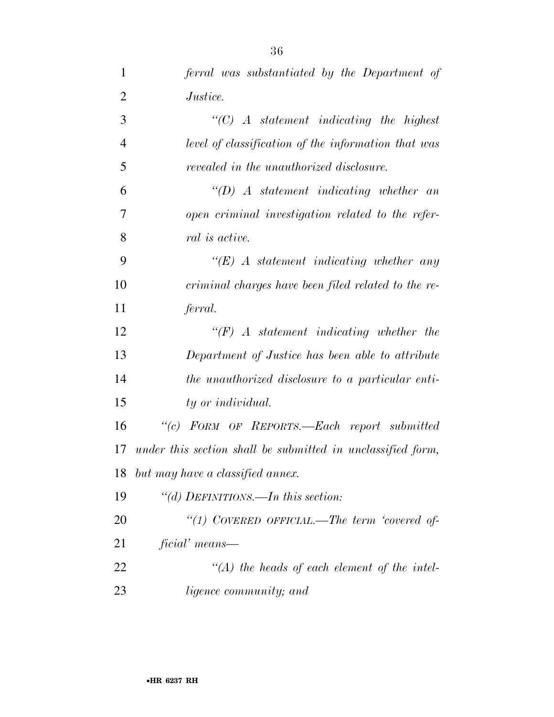| $\mathbf{1}$   | ferral was substantiated by the Department of               |
|----------------|-------------------------------------------------------------|
| $\overline{2}$ | <i>Justice.</i>                                             |
| 3              | $\lq\lq C$ A statement indicating the highest               |
| $\overline{4}$ | level of classification of the information that was         |
| 5              | revealed in the unauthorized disclosure.                    |
| 6              | $\lq\lq D$ A statement indicating whether an                |
| 7              | open criminal investigation related to the refer-           |
| 8              | <i>ral is active.</i>                                       |
| 9              | $\lq\lq (E)$ A statement indicating whether any             |
| 10             | criminal charges have been filed related to the re-         |
| 11             | ferral.                                                     |
| 12             | $\lq\lq(F)$ A statement indicating whether the              |
| 13             | Department of Justice has been able to attribute            |
| 14             | the unauthorized disclosure to a particular enti-           |
| 15             | ty or individual.                                           |
| 16             | "(c) FORM OF REPORTS.-Each report submitted                 |
| 17             | under this section shall be submitted in unclassified form, |
| 18             | but may have a classified annex.                            |
| 19             | "(d) DEFINITIONS.—In this section:                          |
| 20             | "(1) COVERED OFFICIAL.—The term 'covered of-                |
| 21             | ficial' means—                                              |
| 22             | $\lq\lq (A)$ the heads of each element of the intel-        |
| 23             | <i>ligence community</i> ; and                              |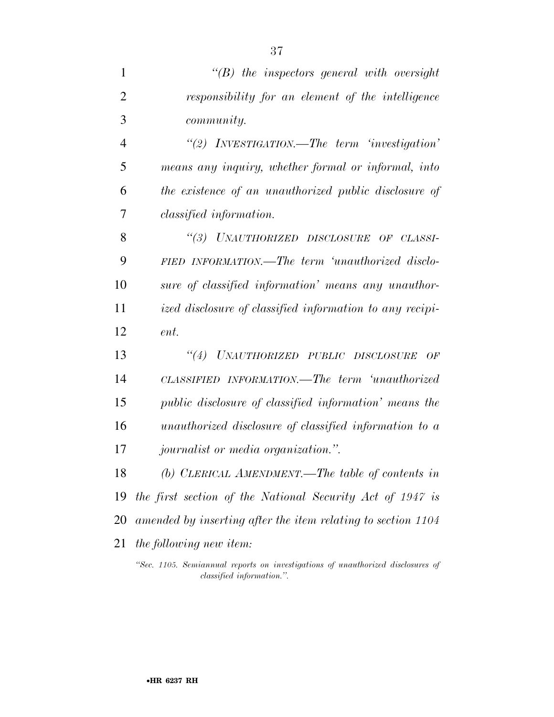| $\mathbf{1}$   | $\lq\lq B$ the inspectors general with oversight                                                             |
|----------------|--------------------------------------------------------------------------------------------------------------|
| $\overline{2}$ | responsibility for an element of the intelligence                                                            |
| 3              | <i>community.</i>                                                                                            |
| $\overline{4}$ | "(2) INVESTIGATION.—The term 'investigation'                                                                 |
| 5              | means any inquiry, whether formal or informal, into                                                          |
| 6              | the existence of an unauthorized public disclosure of                                                        |
| 7              | <i>classified information.</i>                                                                               |
| 8              | "(3) UNAUTHORIZED DISCLOSURE OF CLASSI-                                                                      |
| 9              | FIED INFORMATION.—The term 'unauthorized disclo-                                                             |
| 10             | sure of classified information' means any unauthor-                                                          |
| 11             | ized disclosure of classified information to any recipi-                                                     |
| 12             | ent.                                                                                                         |
| 13             | "(4) UNAUTHORIZED PUBLIC DISCLOSURE<br>OF                                                                    |
| 14             | CLASSIFIED INFORMATION.—The term 'unauthorized                                                               |
| 15             | <i>public disclosure of classified information' means the</i>                                                |
| 16             | unauthorized disclosure of classified information to a                                                       |
| 17             | <i>journalist or media organization.</i> ".                                                                  |
| 18             | (b) CLERICAL AMENDMENT.—The table of contents in                                                             |
| 19             | the first section of the National Security Act of 1947 is                                                    |
| 20             | amended by inserting after the item relating to section 1104                                                 |
| 21             | <i>the following new item:</i>                                                                               |
|                | "Sec. 1105. Semiannual reports on investigations of unauthorized disclosures of<br>classified information.". |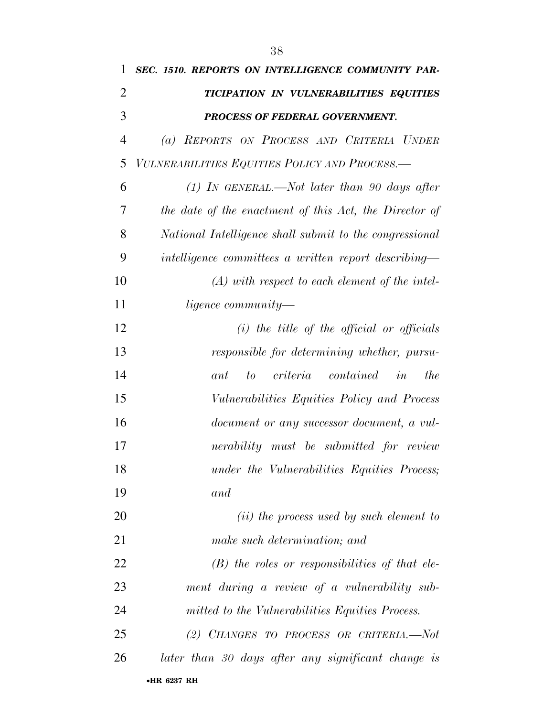| 1              | SEC. 1510. REPORTS ON INTELLIGENCE COMMUNITY PAR-       |
|----------------|---------------------------------------------------------|
| 2              | TICIPATION IN VULNERABILITIES EQUITIES                  |
| 3              | PROCESS OF FEDERAL GOVERNMENT.                          |
| $\overline{4}$ | (a) REPORTS ON PROCESS AND CRITERIA UNDER               |
| 5              | VULNERABILITIES EQUITIES POLICY AND PROCESS.—           |
| 6              | $(1)$ IN GENERAL.—Not later than 90 days after          |
| 7              | the date of the enactment of this Act, the Director of  |
| 8              | National Intelligence shall submit to the congressional |
| 9              | intelligence committees a written report describing—    |
| 10             | $(A)$ with respect to each element of the intel-        |
| 11             | <i>ligence community—</i>                               |
| 12             | $(i)$ the title of the official or officials            |
| 13             | responsible for determining whether, pursu-             |
| 14             | $criterion$ $contained$ $in$<br>the<br>ant<br>to        |
| 15             | Vulnerabilities Equities Policy and Process             |
| 16             | document or any successor document, a vul-              |
| 17             | nerability must be submitted for review                 |
| 18             | under the Vulnerabilities Equities Process;             |
| 19             | and                                                     |
| 20             | ( <i>ii</i> ) the process used by such element to       |
| 21             | make such determination; and                            |
| <u>22</u>      | $(B)$ the roles or responsibilities of that ele-        |
| 23             | ment during a review of a vulnerability sub-            |
| 24             | mitted to the Vulnerabilities Equities Process.         |
| 25             | (2) CHANGES TO PROCESS OR CRITERIA.-Not                 |
| 26             | later than 30 days after any significant change is      |
|                | •HR 6237 RH                                             |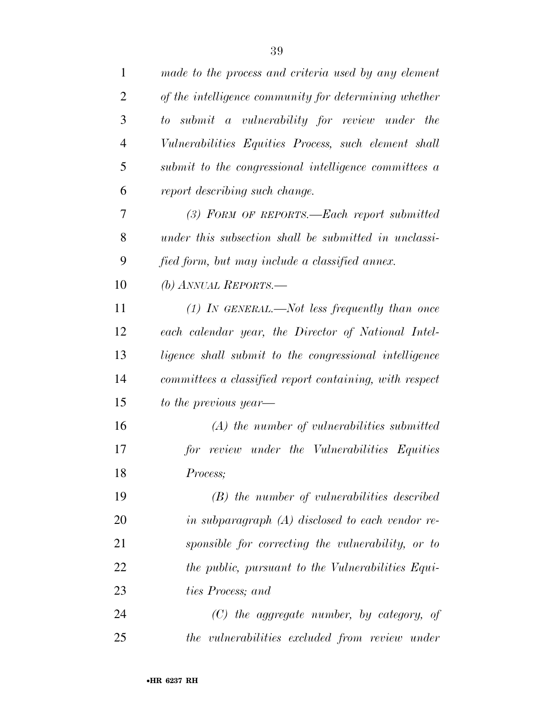| $\mathbf{1}$   | made to the process and criteria used by any element    |
|----------------|---------------------------------------------------------|
| $\overline{2}$ | of the intelligence community for determining whether   |
| 3              | to submit a vulnerability for review under the          |
| $\overline{4}$ | Vulnerabilities Equities Process, such element shall    |
| 5              | submit to the congressional intelligence committees a   |
| 6              | report describing such change.                          |
| 7              | (3) FORM OF REPORTS.—Each report submitted              |
| 8              | under this subsection shall be submitted in unclassi-   |
| 9              | fied form, but may include a classified annex.          |
| 10             | (b) ANNUAL REPORTS.—                                    |
| 11             | $(1)$ IN GENERAL.—Not less frequently than once         |
| 12             | each calendar year, the Director of National Intel-     |
| 13             | ligence shall submit to the congressional intelligence  |
| 14             | committees a classified report containing, with respect |
| 15             | to the previous year—                                   |
| 16             | $(A)$ the number of vulnerabilities submitted           |
| 17             | review under the Vulnerabilities Equities<br>for        |
| 18             | Process;                                                |
| 19             | $(B)$ the number of vulnerabilities described           |
| 20             | in subparagraph (A) disclosed to each vendor re-        |
| 21             | sponsible for correcting the vulnerability, or to       |
| 22             | the public, pursuant to the Vulnerabilities Equi-       |
| 23             | ties Process; and                                       |
| 24             | $(C)$ the aggregate number, by category, of             |
| 25             | the vulnerabilities excluded from review under          |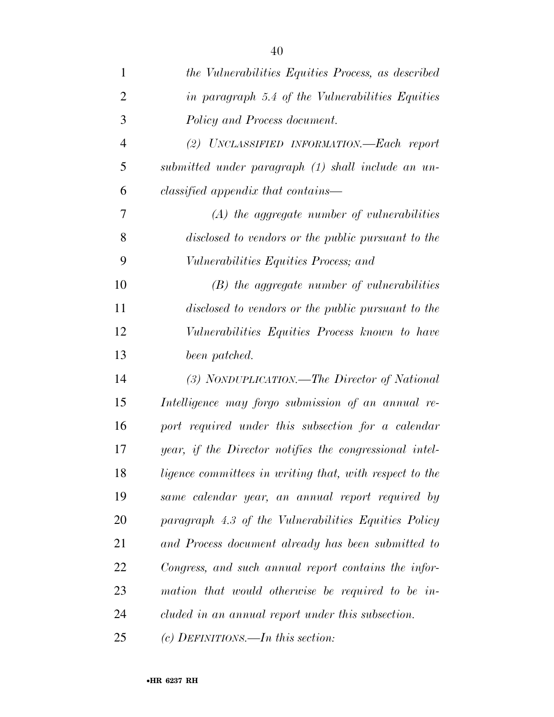| 1              | the Vulnerabilities Equities Process, as described      |
|----------------|---------------------------------------------------------|
| $\overline{2}$ | in paragraph 5.4 of the Vulnerabilities Equities        |
| 3              | Policy and Process document.                            |
| $\overline{4}$ | (2) UNCLASSIFIED INFORMATION.—Each report               |
| 5              | submitted under paragraph (1) shall include an un-      |
| 6              | classified appendix that contains—                      |
| 7              | $(A)$ the aggregate number of vulnerabilities           |
| 8              | disclosed to vendors or the public pursuant to the      |
| 9              | <i>Vulnerabilities Equities Process; and</i>            |
| 10             | $(B)$ the aggregate number of vulnerabilities           |
| 11             | disclosed to vendors or the public pursuant to the      |
| 12             | Vulnerabilities Equities Process known to have          |
| 13             | been patched.                                           |
| 14             | (3) NONDUPLICATION.—The Director of National            |
| 15             | Intelligence may forgo submission of an annual re-      |
| 16             | port required under this subsection for a calendar      |
| 17             | year, if the Director notifies the congressional intel- |
| 18             | ligence committees in writing that, with respect to the |
| 19             | same calendar year, an annual report required by        |
| 20             | paragraph 4.3 of the Vulnerabilities Equities Policy    |
| 21             | and Process document already has been submitted to      |
| 22             | Congress, and such annual report contains the infor-    |
| 23             | mation that would otherwise be required to be in-       |
| 24             | cluded in an annual report under this subsection.       |
| 25             | (c) DEFINITIONS.—In this section:                       |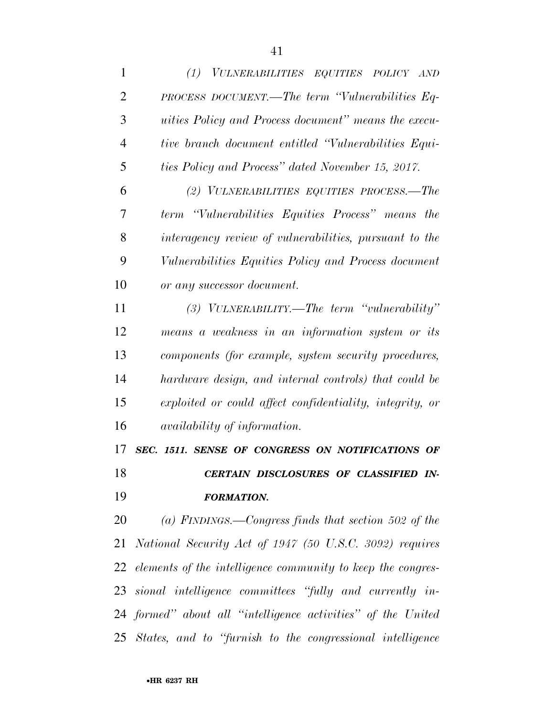| 1              | (1) VULNERABILITIES EQUITIES POLICY AND                             |
|----------------|---------------------------------------------------------------------|
| $\overline{2}$ | PROCESS DOCUMENT.—The term "Vulnerabilities Eq-                     |
| 3              | <i>uities Policy and Process document</i> " <i>means the execu-</i> |
| $\overline{4}$ | tive branch document entitled "Vulnerabilities Equi-                |
| 5              | ties Policy and Process" dated November 15, 2017.                   |
| 6              | (2) VULNERABILITIES EQUITIES PROCESS.—The                           |
| 7              | term "Vulnerabilities Equities Process" means the                   |
| 8              | interagency review of vulnerabilities, pursuant to the              |
| 9              | Vulnerabilities Equities Policy and Process document                |
| 10             | or any successor document.                                          |
| 11             | $(3)$ VULNERABILITY.—The term "vulnerability"                       |
| 12             | means a weakness in an information system or its                    |
| 13             | components (for example, system security procedures,                |
| 14             | hardware design, and internal controls) that could be               |
| 15             | exploited or could affect confidentiality, integrity, or            |
| 16             | availability of information.                                        |
| 17             | SEC. 1511. SENSE OF CONGRESS ON NOTIFICATIONS OF                    |
| 18             | CERTAIN DISCLOSURES OF CLASSIFIED IN-                               |
| 19             | <b>FORMATION.</b>                                                   |
| 20             | (a) FINDINGS.—Congress finds that section 502 of the                |
| 21             | National Security Act of 1947 (50 U.S.C. 3092) requires             |
|                | 22 elements of the intelligence community to keep the congres-      |
|                | 23 sional intelligence committees "fully and currently in-          |
|                | 24 formed" about all "intelligence activities" of the United        |
| 25             | States, and to "furnish to the congressional intelligence"          |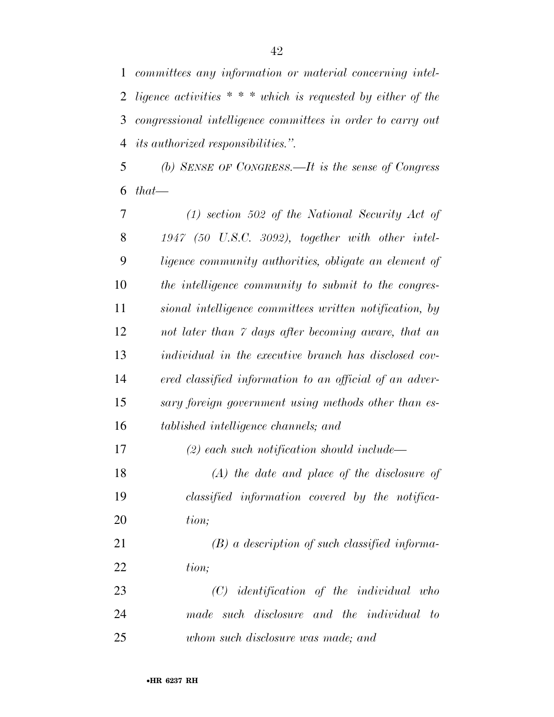*committees any information or material concerning intel- ligence activities \* \* \* which is requested by either of the congressional intelligence committees in order to carry out its authorized responsibilities.''.* 

 *(b) SENSE OF CONGRESS.—It is the sense of Congress that—* 

 *(1) section 502 of the National Security Act of 1947 (50 U.S.C. 3092), together with other intel- ligence community authorities, obligate an element of the intelligence community to submit to the congres- sional intelligence committees written notification, by not later than 7 days after becoming aware, that an individual in the executive branch has disclosed cov- ered classified information to an official of an adver- sary foreign government using methods other than es- tablished intelligence channels; and (2) each such notification should include— (A) the date and place of the disclosure of classified information covered by the notifica- tion; (B) a description of such classified informa- tion; (C) identification of the individual who made such disclosure and the individual to whom such disclosure was made; and*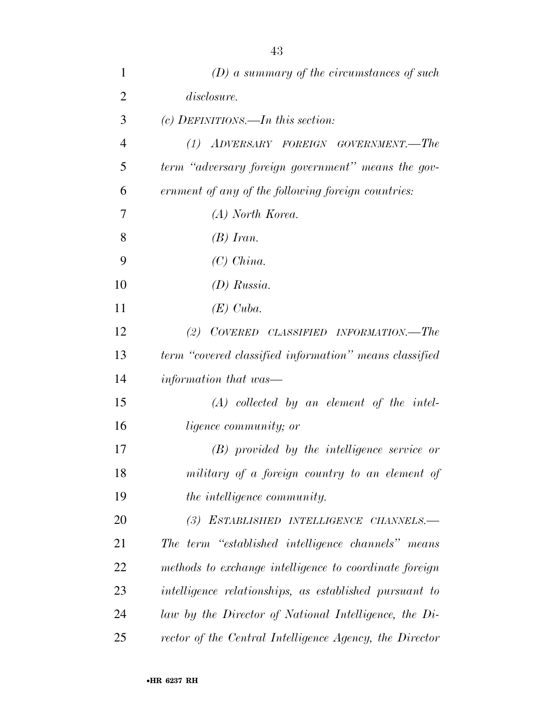| 1              | $(D)$ a summary of the circumstances of such            |
|----------------|---------------------------------------------------------|
| $\overline{2}$ | disclosure.                                             |
| 3              | $(c)$ DEFINITIONS.—In this section:                     |
| 4              | (1) ADVERSARY FOREIGN GOVERNMENT.—The                   |
| 5              | term "adversary foreign government" means the gov-      |
| 6              | ernment of any of the following foreign countries:      |
| 7              | (A) North Korea.                                        |
| 8              | $(B)$ Iran.                                             |
| 9              | $(C)$ China.                                            |
| 10             | $(D)$ Russia.                                           |
| 11             | $(E)$ Cuba.                                             |
| 12             | COVERED CLASSIFIED INFORMATION.—The<br>(2)              |
| 13             | term "covered classified information" means classified  |
| 14             | information that was—                                   |
| 15             | $(A)$ collected by an element of the intel-             |
| 16             | <i>ligence community</i> ; or                           |
| 17             | (B) provided by the intelligence service or             |
| 18             | military of a foreign country to an element of          |
| 19             | the intelligence community.                             |
| 20             | (3) ESTABLISHED INTELLIGENCE CHANNELS.-                 |
| 21             | The term "established intelligence channels" means      |
| 22             | methods to exchange intelligence to coordinate foreign  |
| 23             | intelligence relationships, as established pursuant to  |
| 24             | law by the Director of National Intelligence, the Di-   |
| 25             | rector of the Central Intelligence Agency, the Director |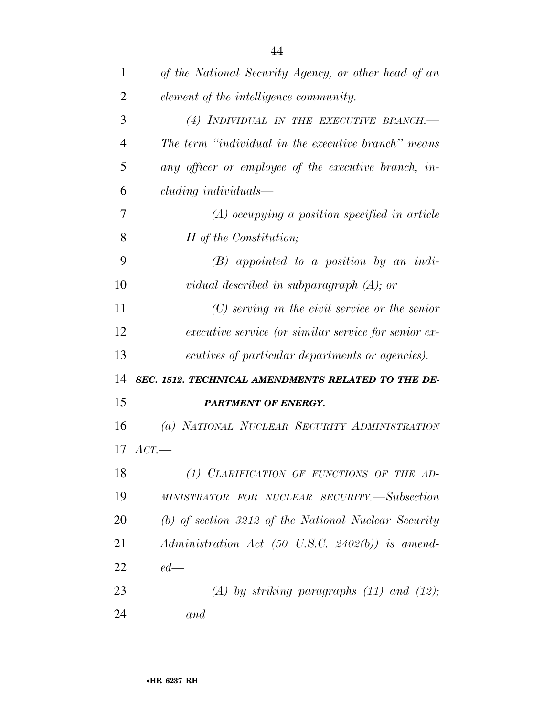| 1              | of the National Security Agency, or other head of an   |
|----------------|--------------------------------------------------------|
| $\overline{2}$ | element of the intelligence community.                 |
| 3              | (4) INDIVIDUAL IN THE EXECUTIVE BRANCH.-               |
| $\overline{4}$ | The term "individual in the executive branch" means    |
| 5              | any officer or employee of the executive branch, in-   |
| 6              | cluding individuals—                                   |
| 7              | $(A)$ occupying a position specified in article        |
| 8              | II of the Constitution;                                |
| 9              | $(B)$ appointed to a position by an indi-              |
| 10             | vidual described in subparagraph $(A)$ ; or            |
| 11             | $(C)$ serving in the civil service or the senior       |
| 12             | executive service (or similar service for senior ex-   |
| 13             | ecutives of particular departments or agencies).       |
| 14             | SEC. 1512. TECHNICAL AMENDMENTS RELATED TO THE DE-     |
| 15             | <b>PARTMENT OF ENERGY.</b>                             |
| 16             | (a) NATIONAL NUCLEAR SECURITY ADMINISTRATION           |
| 17             | $ACT$ .                                                |
| 18             | (1) CLARIFICATION OF FUNCTIONS OF THE AD-              |
| 19             | MINISTRATOR FOR NUCLEAR SECURITY.—Subsection           |
| 20             | (b) of section $3212$ of the National Nuclear Security |
| 21             | $Administration$ $Act$ (50 U.S.C. 2402(b)) is amend-   |
| 22             | $ed$ —                                                 |
| 23             | $(A)$ by striking paragraphs $(11)$ and $(12)$ ;       |
| 24             | and                                                    |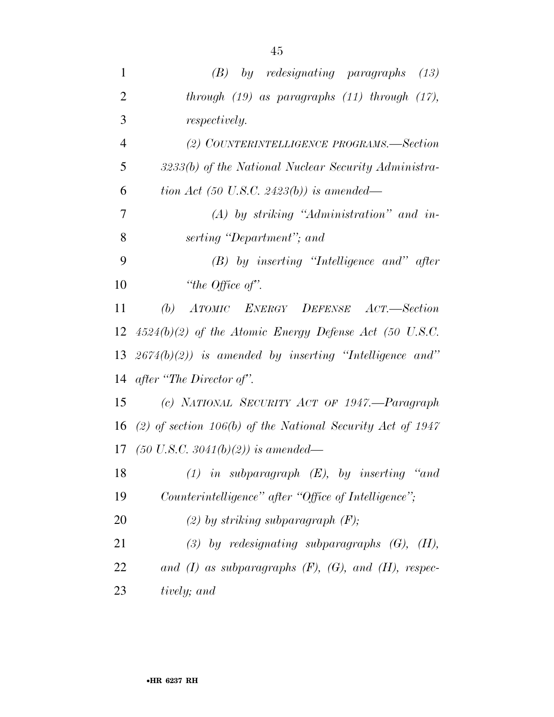| 1              | $(B)$ by redesignating paragraphs $(13)$                       |
|----------------|----------------------------------------------------------------|
| $\overline{2}$ | through $(19)$ as paragraphs $(11)$ through $(17)$ ,           |
| 3              | <i>respectively.</i>                                           |
| $\overline{4}$ | (2) COUNTERINTELLIGENCE PROGRAMS.-Section                      |
| 5              | 3233(b) of the National Nuclear Security Administra-           |
| 6              | tion Act (50 U.S.C. 2423(b)) is amended—                       |
| 7              | $(A)$ by striking "Administration" and in-                     |
| 8              | serting "Department"; and                                      |
| 9              | $(B)$ by inserting "Intelligence and" after                    |
| 10             | "the Office of".                                               |
| 11             | (b) ATOMIC ENERGY DEFENSE ACT.—Section                         |
|                | 12 $4524(b)(2)$ of the Atomic Energy Defense Act (50 U.S.C.    |
|                | 13 $2674(b)(2)$ is amended by inserting "Intelligence and"     |
|                | 14 after "The Director of".                                    |
| 15             | (c) NATIONAL SECURITY ACT OF 1947.—Paragraph                   |
| 16             | (2) of section 106(b) of the National Security Act of 1947     |
|                | 17 (50 U.S.C. 3041(b)(2)) is amended—                          |
| 18             | $(1)$ in subparagraph $(E)$ , by inserting "and                |
| 19             | Counterintelligence" after "Office of Intelligence";           |
| 20             | (2) by striking subparagraph $(F)$ ;                           |
| 21             | $(3)$ by redesignating subparagraphs $(G)$ , $(H)$ ,           |
| 22             | and $(I)$ as subparagraphs $(F)$ , $(G)$ , and $(H)$ , respec- |
| 23             | tively; and                                                    |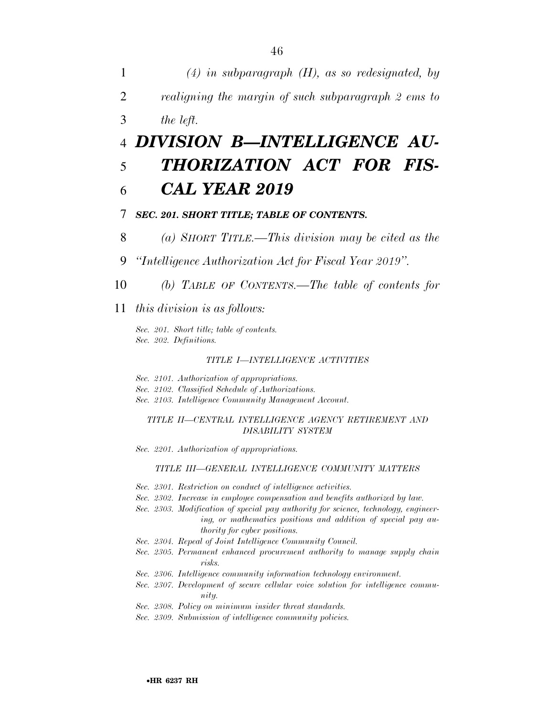1 *(4) in subparagraph (H), as so redesignated, by*  2 *realigning the margin of such subparagraph 2 ems to*  3 *the left.* 

### 4 *DIVISION B—INTELLIGENCE AU-*5 *THORIZATION ACT FOR FIS-*6 *CAL YEAR 2019*

#### 7 *SEC. 201. SHORT TITLE; TABLE OF CONTENTS.*

- 8 *(a) SHORT TITLE.—This division may be cited as the*
- 9 *''Intelligence Authorization Act for Fiscal Year 2019''.*
- 10 *(b) TABLE OF CONTENTS.—The table of contents for*

11 *this division is as follows:* 

*Sec. 201. Short title; table of contents. Sec. 202. Definitions.* 

#### *TITLE I—INTELLIGENCE ACTIVITIES*

*Sec. 2101. Authorization of appropriations.* 

*Sec. 2102. Classified Schedule of Authorizations.* 

*Sec. 2103. Intelligence Community Management Account.* 

*TITLE II—CENTRAL INTELLIGENCE AGENCY RETIREMENT AND DISABILITY SYSTEM* 

*Sec. 2201. Authorization of appropriations.* 

#### *TITLE III—GENERAL INTELLIGENCE COMMUNITY MATTERS*

- *Sec. 2301. Restriction on conduct of intelligence activities.*
- *Sec. 2302. Increase in employee compensation and benefits authorized by law.*
- *Sec. 2303. Modification of special pay authority for science, technology, engineering, or mathematics positions and addition of special pay authority for cyber positions.*
- *Sec. 2304. Repeal of Joint Intelligence Community Council.*
- *Sec. 2305. Permanent enhanced procurement authority to manage supply chain risks.*
- *Sec. 2306. Intelligence community information technology environment.*
- *Sec. 2307. Development of secure cellular voice solution for intelligence community.*
- *Sec. 2308. Policy on minimum insider threat standards.*
- *Sec. 2309. Submission of intelligence community policies.*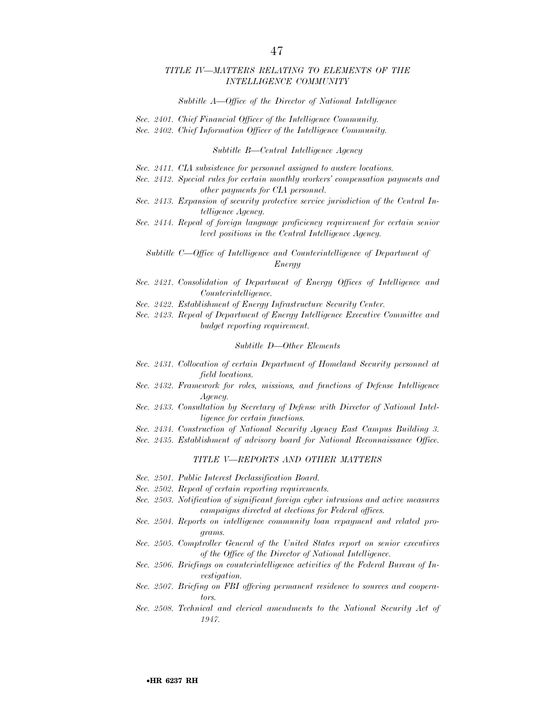#### *TITLE IV—MATTERS RELATING TO ELEMENTS OF THE INTELLIGENCE COMMUNITY*

#### *Subtitle A—Office of the Director of National Intelligence*

- *Sec. 2401. Chief Financial Officer of the Intelligence Community.*
- *Sec. 2402. Chief Information Officer of the Intelligence Community.*

*Subtitle B—Central Intelligence Agency* 

- *Sec. 2411. CIA subsistence for personnel assigned to austere locations.*
- *Sec. 2412. Special rules for certain monthly workers' compensation payments and other payments for CIA personnel.*
- *Sec. 2413. Expansion of security protective service jurisdiction of the Central Intelligence Agency.*
- *Sec. 2414. Repeal of foreign language proficiency requirement for certain senior level positions in the Central Intelligence Agency.*

*Subtitle C—Office of Intelligence and Counterintelligence of Department of Energy* 

- *Sec. 2421. Consolidation of Department of Energy Offices of Intelligence and Counterintelligence.*
- *Sec. 2422. Establishment of Energy Infrastructure Security Center.*

*Sec. 2423. Repeal of Department of Energy Intelligence Executive Committee and budget reporting requirement.* 

#### *Subtitle D—Other Elements*

- *Sec. 2431. Collocation of certain Department of Homeland Security personnel at field locations.*
- *Sec. 2432. Framework for roles, missions, and functions of Defense Intelligence Agency.*
- *Sec. 2433. Consultation by Secretary of Defense with Director of National Intelligence for certain functions.*
- *Sec. 2434. Construction of National Security Agency East Campus Building 3.*
- *Sec. 2435. Establishment of advisory board for National Reconnaissance Office.*

#### *TITLE V—REPORTS AND OTHER MATTERS*

- *Sec. 2501. Public Interest Declassification Board.*
- *Sec. 2502. Repeal of certain reporting requirements.*
- *Sec. 2503. Notification of significant foreign cyber intrusions and active measures campaigns directed at elections for Federal offices.*
- *Sec. 2504. Reports on intelligence community loan repayment and related programs.*
- *Sec. 2505. Comptroller General of the United States report on senior executives of the Office of the Director of National Intelligence.*
- *Sec. 2506. Briefings on counterintelligence activities of the Federal Bureau of Investigation.*
- *Sec. 2507. Briefing on FBI offering permanent residence to sources and cooperators.*
- Sec. 2508. Technical and clerical amendments to the National Security Act of *1947.*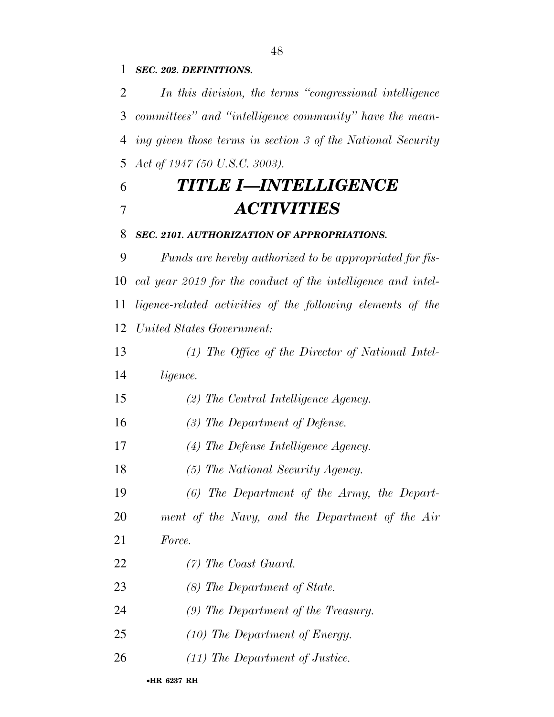*SEC. 202. DEFINITIONS.* 

 *In this division, the terms ''congressional intelligence committees'' and ''intelligence community'' have the mean- ing given those terms in section 3 of the National Security Act of 1947 (50 U.S.C. 3003).* 

## *TITLE I—INTELLIGENCE ACTIVITIES*

*SEC. 2101. AUTHORIZATION OF APPROPRIATIONS.* 

 *Funds are hereby authorized to be appropriated for fis- cal year 2019 for the conduct of the intelligence and intel- ligence-related activities of the following elements of the United States Government:* 

 *(1) The Office of the Director of National Intel-ligence.* 

- *(2) The Central Intelligence Agency.*
- *(3) The Department of Defense.*
- *(4) The Defense Intelligence Agency.*
- *(5) The National Security Agency.*
- *(6) The Department of the Army, the Depart-*
- *ment of the Navy, and the Department of the Air*
- *Force.*
- *(7) The Coast Guard.*
- *(8) The Department of State.*
- *(9) The Department of the Treasury.*
- *(10) The Department of Energy.*
- *(11) The Department of Justice.*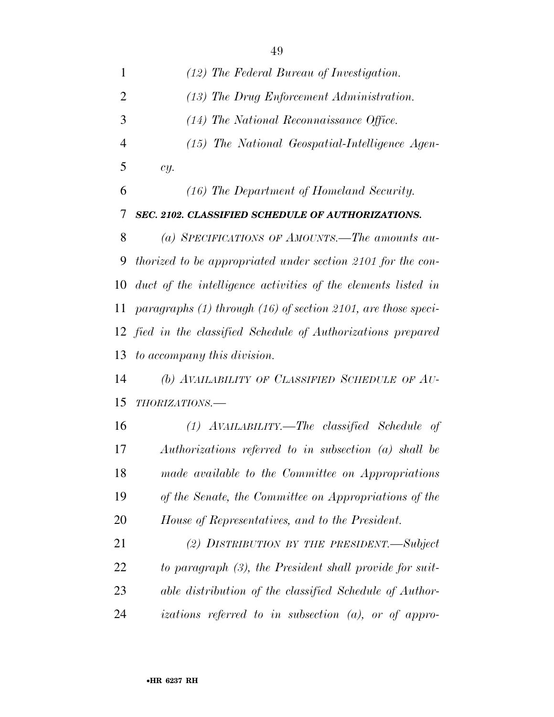| 1              | (12) The Federal Bureau of Investigation.                         |
|----------------|-------------------------------------------------------------------|
| $\overline{2}$ | $(13)$ The Drug Enforcement Administration.                       |
| 3              | (14) The National Reconnaissance Office.                          |
| $\overline{4}$ | (15) The National Geospatial-Intelligence Agen-                   |
| 5              | cy.                                                               |
| 6              | (16) The Department of Homeland Security.                         |
| 7              | SEC. 2102. CLASSIFIED SCHEDULE OF AUTHORIZATIONS.                 |
| 8              | (a) SPECIFICATIONS OF AMOUNTS.—The amounts au-                    |
| 9              | thorized to be appropriated under section 2101 for the con-       |
| 10             | duct of the intelligence activities of the elements listed in     |
| 11             | paragraphs $(1)$ through $(16)$ of section 2101, are those speci- |
|                | 12 fied in the classified Schedule of Authorizations prepared     |
| 13             | to accompany this division.                                       |
| 14             | (b) AVAILABILITY OF CLASSIFIED SCHEDULE OF AU-                    |
| 15             | THORIZATIONS.-                                                    |
| 16             | $(1)$ AVAILABILITY.—The classified Schedule of                    |
| 17             | Authorizations referred to in subsection (a) shall be             |
| 18             | made available to the Committee on Appropriations                 |
| 19             | of the Senate, the Committee on Appropriations of the             |
| 20             | House of Representatives, and to the President.                   |
| 21             | (2) DISTRIBUTION BY THE PRESIDENT.—Subject                        |
| 22             | to paragraph (3), the President shall provide for suit-           |
| 23             | able distribution of the classified Schedule of Author-           |
| 24             | izations referred to in subsection $(a)$ , or of appro-           |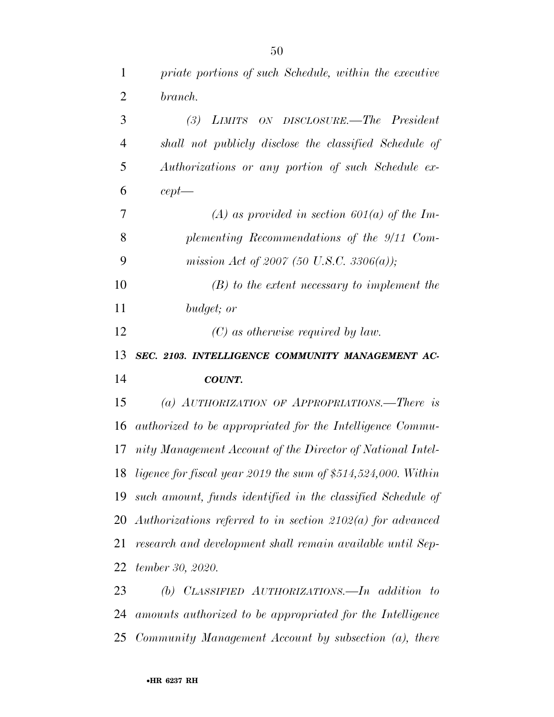| $\mathbf{1}$   | priate portions of such Schedule, within the executive           |
|----------------|------------------------------------------------------------------|
| $\overline{2}$ | branch.                                                          |
| 3              | (3)<br>LIMITS ON DISCLOSURE.—The President                       |
| $\overline{4}$ | shall not publicly disclose the classified Schedule of           |
| 5              | Authorizations or any portion of such Schedule ex-               |
| 6              | $cept -$                                                         |
| 7              | (A) as provided in section 601(a) of the Im-                     |
| 8              | plementing Recommendations of the 9/11 Com-                      |
| 9              | mission Act of 2007 (50 U.S.C. 3306(a));                         |
| 10             | $(B)$ to the extent necessary to implement the                   |
| 11             | budget; or                                                       |
| 12             | $(C)$ as otherwise required by law.                              |
|                |                                                                  |
| 13             | SEC. 2103. INTELLIGENCE COMMUNITY MANAGEMENT AC-                 |
| 14             | <b>COUNT.</b>                                                    |
| 15             | (a) AUTHORIZATION OF APPROPRIATIONS.—There is                    |
| 16             | authorized to be appropriated for the Intelligence Commu-        |
| 17             | nity Management Account of the Director of National Intel-       |
|                | 18 ligence for fiscal year 2019 the sum of \$514,524,000. Within |
| 19             | such amount, funds identified in the classified Schedule of      |
| 20             | Authorizations referred to in section $2102(a)$ for advanced     |
| 21             | research and development shall remain available until Sep-       |
| 22             | tember 30, 2020.                                                 |
| 23             | (b) CLASSIFIED AUTHORIZATIONS.—In addition<br>$\tau$             |

*Community Management Account by subsection (a), there*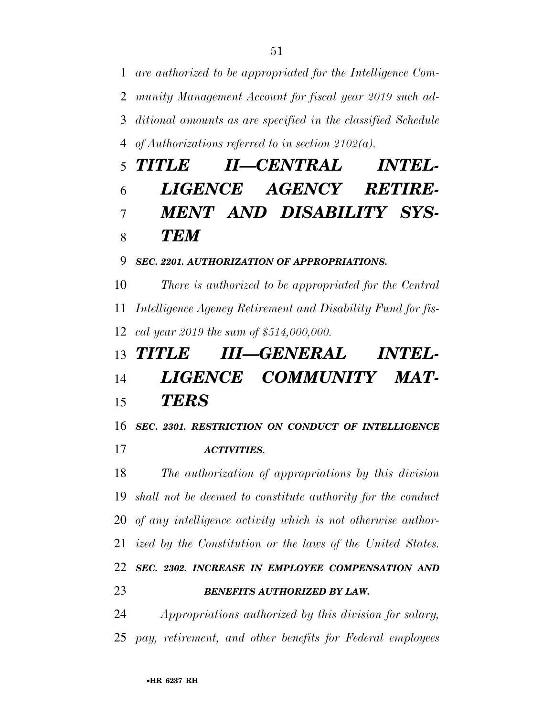*are authorized to be appropriated for the Intelligence Com- munity Management Account for fiscal year 2019 such ad- ditional amounts as are specified in the classified Schedule of Authorizations referred to in section 2102(a).* 

# *TITLE II—CENTRAL INTEL- LIGENCE AGENCY RETIRE- MENT AND DISABILITY SYS-TEM*

#### *SEC. 2201. AUTHORIZATION OF APPROPRIATIONS.*

 *There is authorized to be appropriated for the Central Intelligence Agency Retirement and Disability Fund for fis-cal year 2019 the sum of \$514,000,000.* 

### *TITLE III—GENERAL INTEL- LIGENCE COMMUNITY MAT-TERS*

*SEC. 2301. RESTRICTION ON CONDUCT OF INTELLIGENCE* 

*ACTIVITIES.* 

 *The authorization of appropriations by this division shall not be deemed to constitute authority for the conduct of any intelligence activity which is not otherwise author- ized by the Constitution or the laws of the United States. SEC. 2302. INCREASE IN EMPLOYEE COMPENSATION AND BENEFITS AUTHORIZED BY LAW.* 

 *Appropriations authorized by this division for salary, pay, retirement, and other benefits for Federal employees*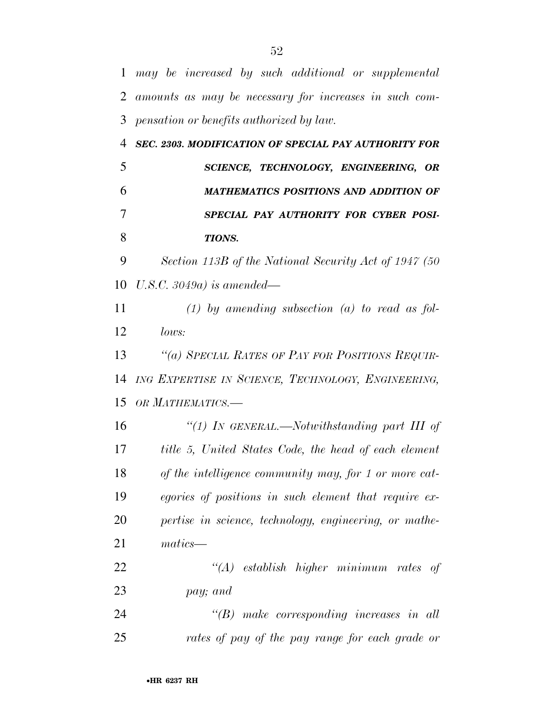*may be increased by such additional or supplemental amounts as may be necessary for increases in such com- pensation or benefits authorized by law. SEC. 2303. MODIFICATION OF SPECIAL PAY AUTHORITY FOR SCIENCE, TECHNOLOGY, ENGINEERING, OR MATHEMATICS POSITIONS AND ADDITION OF SPECIAL PAY AUTHORITY FOR CYBER POSI- TIONS. Section 113B of the National Security Act of 1947 (50 U.S.C. 3049a) is amended— (1) by amending subsection (a) to read as fol- lows: ''(a) SPECIAL RATES OF PAY FOR POSITIONS REQUIR- ING EXPERTISE IN SCIENCE, TECHNOLOGY, ENGINEERING, OR MATHEMATICS.— ''(1) IN GENERAL.—Notwithstanding part III of title 5, United States Code, the head of each element of the intelligence community may, for 1 or more cat- egories of positions in such element that require ex- pertise in science, technology, engineering, or mathe- matics— ''(A) establish higher minimum rates of pay; and ''(B) make corresponding increases in all rates of pay of the pay range for each grade or*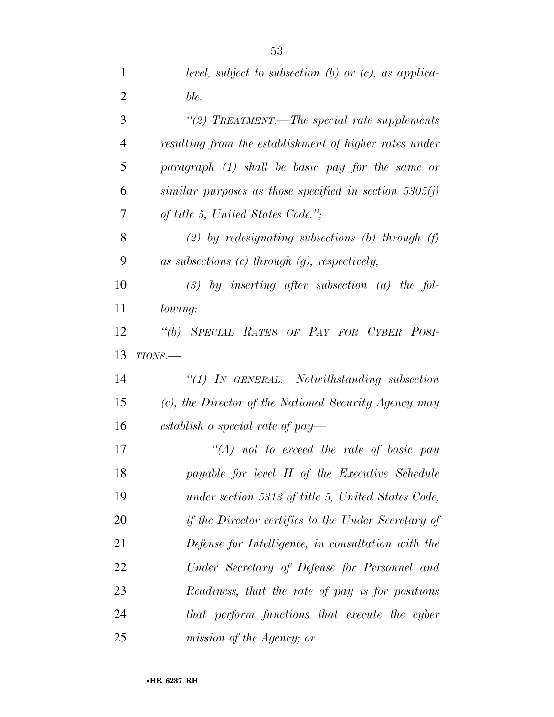| $\mathbf{1}$   | level, subject to subsection $(b)$ or $(c)$ , as applica-  |
|----------------|------------------------------------------------------------|
| $\overline{2}$ | ble.                                                       |
| 3              | "(2) TREATMENT.—The special rate supplements               |
| $\overline{4}$ | resulting from the establishment of higher rates under     |
| 5              | paragraph (1) shall be basic pay for the same or           |
| 6              | similar purposes as those specified in section $5305(j)$   |
| 7              | of title 5, United States Code.";                          |
| 8              | (2) by redesignating subsections (b) through $(f)$         |
| 9              | as subsections $(c)$ through $(g)$ , respectively;         |
| 10             | $(3)$ by inserting after subsection $(a)$ the fol-         |
| 11             | lowing:                                                    |
| 12             | "(b) SPECIAL RATES OF PAY FOR CYBER POSI-                  |
| 13             | $TIONS$ .                                                  |
| 14             | " $(1)$ IN GENERAL.—Notwithstanding subsection             |
| 15             | (c), the Director of the National Security Agency may      |
| 16             | establish a special rate of pay—                           |
| 17             | $\lq (A)$ not to exceed the rate of basic pay              |
| 18             | payable for level II of the Executive Schedule             |
| 19             | under section 5313 of title 5, United States Code,         |
| 20             | <i>if the Director certifies to the Under Secretary of</i> |
| 21             | Defense for Intelligence, in consultation with the         |
| 22             | Under Secretary of Defense for Personnel and               |
| 23             | Readiness, that the rate of pay is for positions           |
| 24             | that perform functions that execute the cyber              |
| 25             | mission of the Agency; or                                  |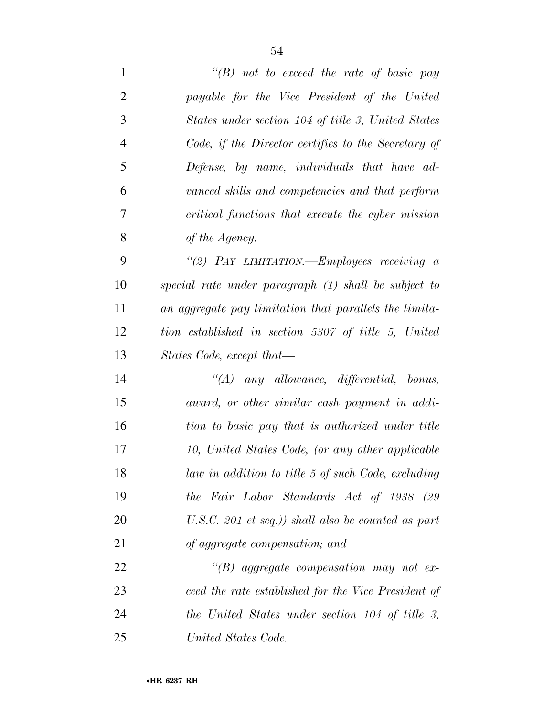*''(B) not to exceed the rate of basic pay payable for the Vice President of the United States under section 104 of title 3, United States Code, if the Director certifies to the Secretary of Defense, by name, individuals that have ad- vanced skills and competencies and that perform critical functions that execute the cyber mission of the Agency. ''(2) PAY LIMITATION.—Employees receiving a special rate under paragraph (1) shall be subject to an aggregate pay limitation that parallels the limita- tion established in section 5307 of title 5, United States Code, except that— ''(A) any allowance, differential, bonus, award, or other similar cash payment in addi- tion to basic pay that is authorized under title 10, United States Code, (or any other applicable law in addition to title 5 of such Code, excluding the Fair Labor Standards Act of 1938 (29 U.S.C. 201 et seq.)) shall also be counted as part of aggregate compensation; and ''(B) aggregate compensation may not ex-*

 *ceed the rate established for the Vice President of the United States under section 104 of title 3, United States Code.*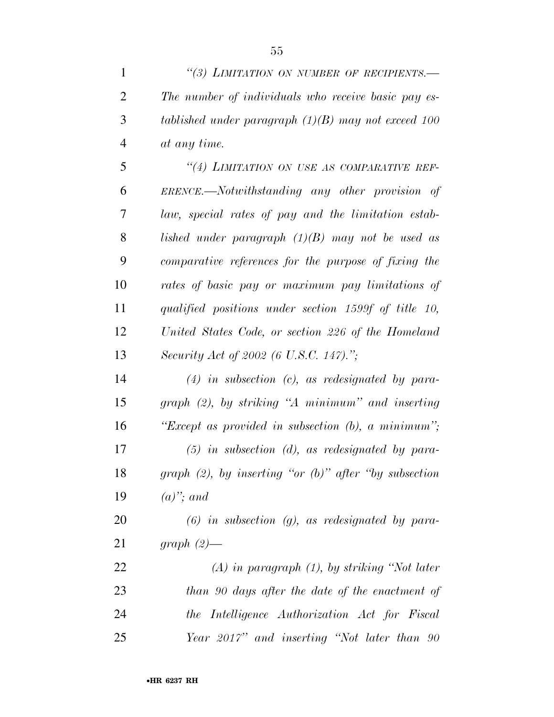*''(3) LIMITATION ON NUMBER OF RECIPIENTS.—* 

| $\overline{2}$ | The number of individuals who receive basic pay es-         |
|----------------|-------------------------------------------------------------|
| 3              | tablished under paragraph $(1)(B)$ may not exceed 100       |
| $\overline{4}$ | at any time.                                                |
| 5              | "(4) LIMITATION ON USE AS COMPARATIVE REF-                  |
| 6              | ERENCE.—Notwithstanding any other provision of              |
| $\overline{7}$ | law, special rates of pay and the limitation estab-         |
| 8              | lished under paragraph $(1)(B)$ may not be used as          |
| 9              | comparative references for the purpose of fixing the        |
| 10             | rates of basic pay or maximum pay limitations of            |
| 11             | qualified positions under section 1599f of title 10,        |
| 12             | United States Code, or section 226 of the Homeland          |
| 13             | Security Act of 2002 (6 U.S.C. 147).";                      |
| 14             | $(4)$ in subsection (c), as redesignated by para-           |
| 15             | graph (2), by striking "A minimum" and inserting            |
| 16             | "Except as provided in subsection $(b)$ , a minimum";       |
| 17             | $(5)$ in subsection (d), as redesignated by para-           |
| 18             | graph $(2)$ , by inserting "or $(b)$ " after "by subsection |
| 19             | $(a)$ "; and                                                |
| 20             | $(6)$ in subsection $(g)$ , as redesignated by para-        |
| 21             | graph $(2)$ —                                               |
| 22             | $(A)$ in paragraph $(1)$ , by striking "Not later           |
| 23             | than 90 days after the date of the enactment of             |
| 24             | the Intelligence Authorization Act for Fiscal               |
| 25             | Year 2017" and inserting "Not later than 90                 |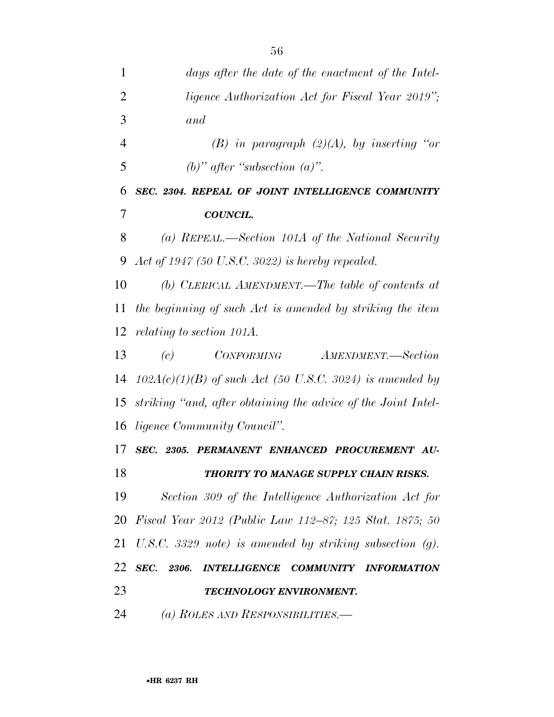| 1              | days after the date of the enactment of the Intel-            |
|----------------|---------------------------------------------------------------|
| $\overline{2}$ | <i>ligence Authorization Act for Fiscal Year 2019"</i> ;      |
| 3              | and                                                           |
| $\overline{4}$ | (B) in paragraph $(2)(A)$ , by inserting "or                  |
| 5              | (b)" after "subsection $(a)$ ".                               |
| 6              | SEC. 2304. REPEAL OF JOINT INTELLIGENCE COMMUNITY             |
| 7              | <b>COUNCIL.</b>                                               |
| 8              | (a) REPEAL.—Section 101A of the National Security             |
| 9              | Act of 1947 (50 U.S.C. 3022) is hereby repealed.              |
| 10             | (b) CLERICAL AMENDMENT.—The table of contents at              |
| 11             | the beginning of such Act is amended by striking the item     |
| 12             | <i>relating to section 101A.</i>                              |
| 13             | AMENDMENT.—Section<br>(c)<br><i>CONFORMING</i>                |
| 14             | $102A(c)(1)(B)$ of such Act (50 U.S.C. 3024) is amended by    |
| 15             | striking "and, after obtaining the advice of the Joint Intel- |
| 16             | <i>ligence Community Council".</i>                            |
| 17             | SEC. 2305. PERMANENT ENHANCED PROCUREMENT AU-                 |
| 18             | THORITY TO MANAGE SUPPLY CHAIN RISKS.                         |
| 19             | Section 309 of the Intelligence Authorization Act for         |
| 20             | Fiscal Year 2012 (Public Law 112–87; 125 Stat. 1875; 50       |
| 21             | U.S.C. 3329 note) is amended by striking subsection $(g)$ .   |
| 22             | SEC. 2306. INTELLIGENCE COMMUNITY INFORMATION                 |
| 23             | TECHNOLOGY ENVIRONMENT.                                       |
| 24             | (a) ROLES AND RESPONSIBILITIES.—                              |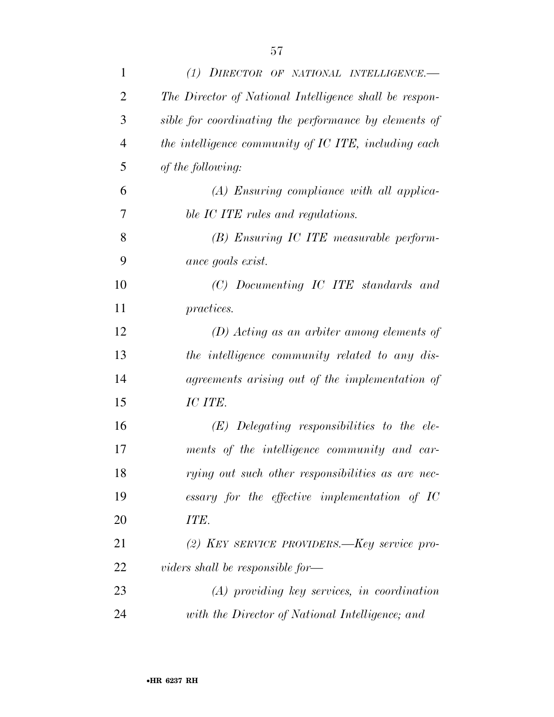| $\mathbf{1}$   | (1) DIRECTOR OF NATIONAL INTELLIGENCE.                 |
|----------------|--------------------------------------------------------|
| $\overline{2}$ | The Director of National Intelligence shall be respon- |
| 3              | sible for coordinating the performance by elements of  |
| $\overline{4}$ | the intelligence community of IC ITE, including each   |
| 5              | of the following:                                      |
| 6              | $(A)$ Ensuring compliance with all applica-            |
| 7              | ble IC ITE rules and regulations.                      |
| 8              | (B) Ensuring IC ITE measurable perform-                |
| 9              | ance goals exist.                                      |
| 10             | (C) Documenting IC ITE standards and                   |
| 11             | <i>practices.</i>                                      |
| 12             | $(D)$ Acting as an arbiter among elements of           |
| 13             | the intelligence community related to any dis-         |
| 14             | agreements arising out of the implementation of        |
| 15             | IC ITE.                                                |
| 16             | $(E)$ Delegating responsibilities to the ele-          |
| 17             | ments of the intelligence community and car-           |
| 18             | rying out such other responsibilities as are nec-      |
| 19             | essary for the effective implementation of $IC$        |
| 20             | ITE.                                                   |
| 21             | (2) KEY SERVICE PROVIDERS.—Key service pro-            |
| 22             | viders shall be responsible for—                       |
| 23             | $(A)$ providing key services, in coordination          |
| 24             | with the Director of National Intelligence; and        |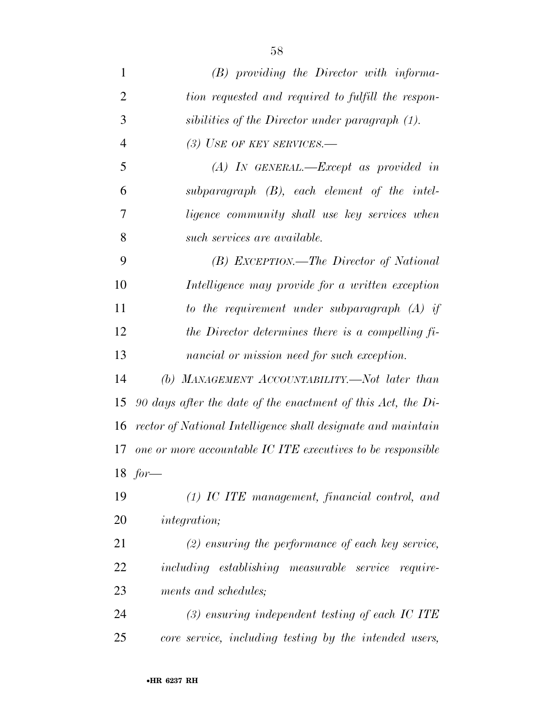| $\mathbf{1}$   | $(B)$ providing the Director with informa-                     |
|----------------|----------------------------------------------------------------|
| $\overline{2}$ | tion requested and required to fulfill the respon-             |
| 3              | sibilities of the Director under paragraph (1).                |
| $\overline{4}$ | (3) USE OF KEY SERVICES.-                                      |
| 5              | $(A)$ IN GENERAL.—Except as provided in                        |
| 6              | subparagraph $(B)$ , each element of the intel-                |
| 7              | ligence community shall use key services when                  |
| 8              | such services are available.                                   |
| 9              | (B) EXCEPTION.—The Director of National                        |
| 10             | Intelligence may provide for a written exception               |
| 11             | to the requirement under subparagraph $(A)$ if                 |
| 12             | the Director determines there is a compelling $fi$ .           |
| 13             | nancial or mission need for such exception.                    |
| 14             | (b) MANAGEMENT ACCOUNTABILITY.—Not later than                  |
| 15             | 90 days after the date of the enactment of this Act, the $Di-$ |
| 16             | rector of National Intelligence shall designate and maintain   |
| 17             | one or more accountable IC ITE executives to be responsible    |
|                | 18 $for-$                                                      |
| 19             | $(1)$ IC ITE management, financial control, and                |
| 20             | <i>integration</i> ;                                           |
| 21             | $(2)$ ensuring the performance of each key service,            |
| 22             | including establishing measurable service require-             |
| 23             | ments and schedules;                                           |
| 24             | $(3)$ ensuring independent testing of each IC ITE              |
| 25             | core service, including testing by the intended users,         |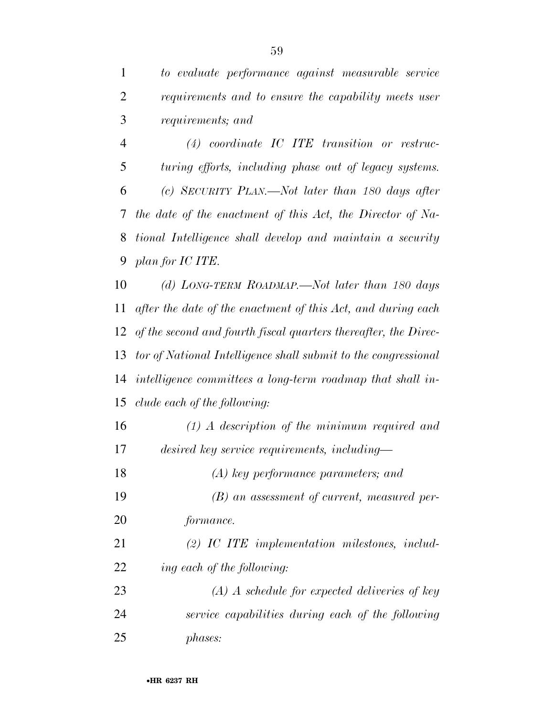*to evaluate performance against measurable service requirements and to ensure the capability meets user requirements; and* 

 *(4) coordinate IC ITE transition or restruc- turing efforts, including phase out of legacy systems. (c) SECURITY PLAN.—Not later than 180 days after the date of the enactment of this Act, the Director of Na- tional Intelligence shall develop and maintain a security plan for IC ITE.* 

 *(d) LONG-TERM ROADMAP.—Not later than 180 days after the date of the enactment of this Act, and during each of the second and fourth fiscal quarters thereafter, the Direc- tor of National Intelligence shall submit to the congressional intelligence committees a long-term roadmap that shall in-clude each of the following:* 

 *(1) A description of the minimum required and desired key service requirements, including—* 

*(A) key performance parameters; and* 

 *(B) an assessment of current, measured per-formance.* 

 *(2) IC ITE implementation milestones, includ-ing each of the following:* 

 *(A) A schedule for expected deliveries of key service capabilities during each of the following phases:*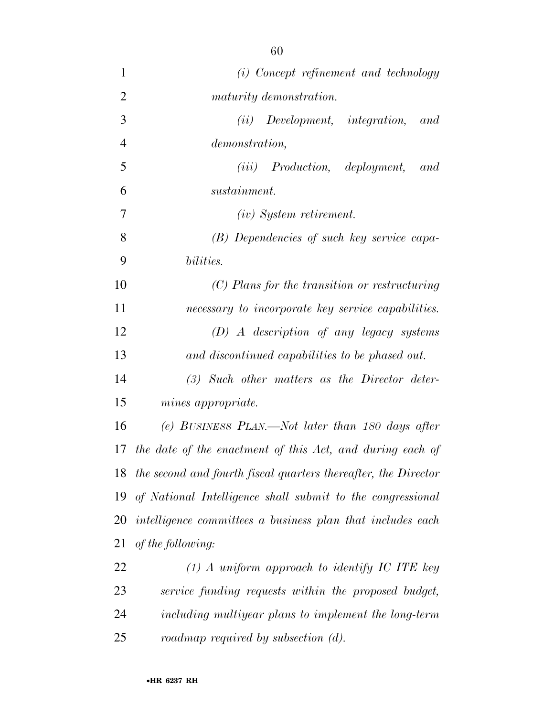| $\mathbf{1}$   | (i) Concept refinement and technology                          |
|----------------|----------------------------------------------------------------|
| $\overline{2}$ | maturity demonstration.                                        |
| 3              | Development, integration,<br>(ii)<br>and                       |
| $\overline{4}$ | demonstration,                                                 |
| 5              | $(iii)$ Production, deployment,<br>and                         |
| 6              | sustainment.                                                   |
| 7              | $(iv)$ System retirement.                                      |
| 8              | (B) Dependencies of such key service capa-                     |
| 9              | bilities.                                                      |
| 10             | $(C)$ Plans for the transition or restructuring                |
| 11             | necessary to incorporate key service capabilities.             |
| 12             | $(D)$ A description of any legacy systems                      |
| 13             | and discontinued capabilities to be phased out.                |
| 14             | $(3)$ Such other matters as the Director deter-                |
| 15             | mines appropriate.                                             |
| 16             | (e) BUSINESS PLAN.—Not later than 180 days after               |
| 17             | the date of the enactment of this Act, and during each of      |
| 18             | the second and fourth fiscal quarters thereafter, the Director |
| 19             | of National Intelligence shall submit to the congressional     |
| 20             | intelligence committees a business plan that includes each     |
| 21             | of the following:                                              |
| 22             | $(1)$ A uniform approach to identify IC ITE key                |
| 23             | service funding requests within the proposed budget,           |
| 24             | including multiyear plans to implement the long-term           |
| 25             | roadmap required by subsection $(d)$ .                         |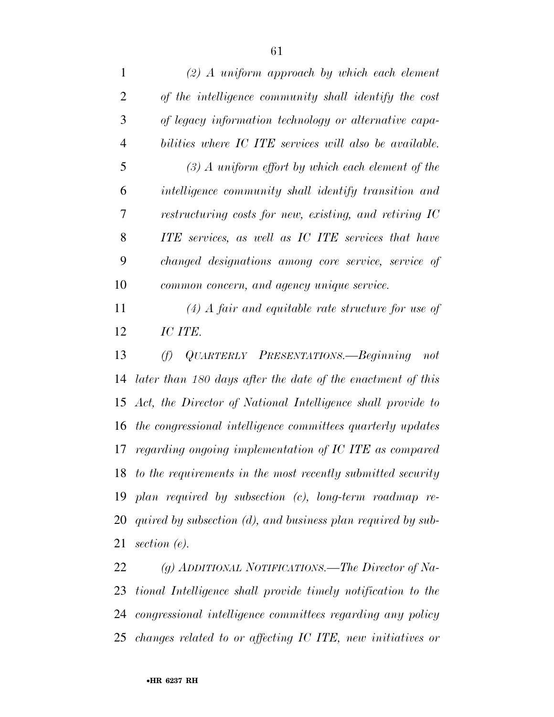| 1              | $(2)$ A uniform approach by which each element                 |
|----------------|----------------------------------------------------------------|
| $\overline{2}$ | of the intelligence community shall identify the cost          |
| 3              | of legacy information technology or alternative capa-          |
| 4              | bilities where IC ITE services will also be available.         |
| 5              | $(3)$ A uniform effort by which each element of the            |
| 6              | intelligence community shall identify transition and           |
| 7              | restructuring costs for new, existing, and retiring IC         |
| 8              | ITE services, as well as IC ITE services that have             |
| 9              | changed designations among core service, service of            |
| 10             | common concern, and agency unique service.                     |
| 11             | $(4)$ A fair and equitable rate structure for use of           |
| 12             | IC ITE.                                                        |
| 13             | QUARTERLY PRESENTATIONS.—Beginning<br>(f)<br>not               |
| 14             | later than 180 days after the date of the enactment of this    |
|                | 15 Act, the Director of National Intelligence shall provide to |
|                |                                                                |

*the congressional intelligence committees quarterly updates* 

*regarding ongoing implementation of IC ITE as compared* 

*to the requirements in the most recently submitted security* 

*plan required by subsection (c), long-term roadmap re-*

*quired by subsection (d), and business plan required by sub-*

*(g) ADDITIONAL NOTIFICATIONS.—The Director of Na-*

*tional Intelligence shall provide timely notification to the* 

*congressional intelligence committees regarding any policy* 

*changes related to or affecting IC ITE, new initiatives or* 

*section (e).*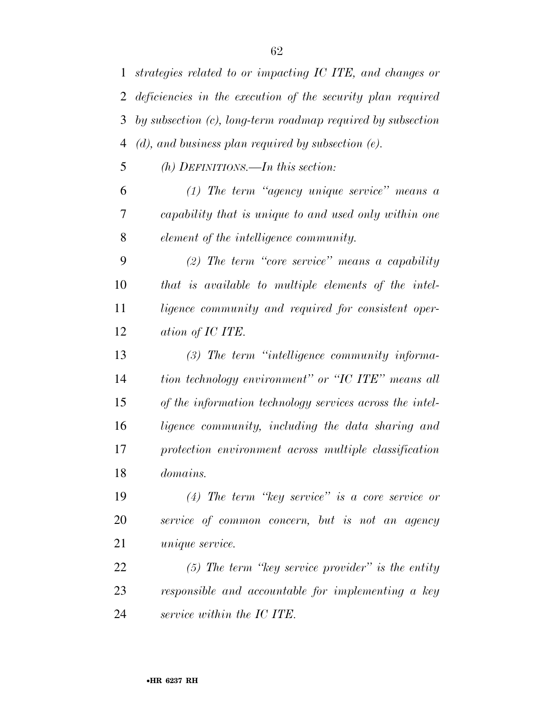*strategies related to or impacting IC ITE, and changes or deficiencies in the execution of the security plan required by subsection (c), long-term roadmap required by subsection (d), and business plan required by subsection (e).* 

*(h) DEFINITIONS.—In this section:* 

 *(1) The term ''agency unique service'' means a capability that is unique to and used only within one element of the intelligence community.* 

 *(2) The term ''core service'' means a capability that is available to multiple elements of the intel- ligence community and required for consistent oper-ation of IC ITE.* 

 *(3) The term ''intelligence community informa- tion technology environment'' or ''IC ITE'' means all of the information technology services across the intel- ligence community, including the data sharing and protection environment across multiple classification domains.* 

 *(4) The term ''key service'' is a core service or service of common concern, but is not an agency unique service.* 

 *(5) The term ''key service provider'' is the entity responsible and accountable for implementing a key service within the IC ITE.*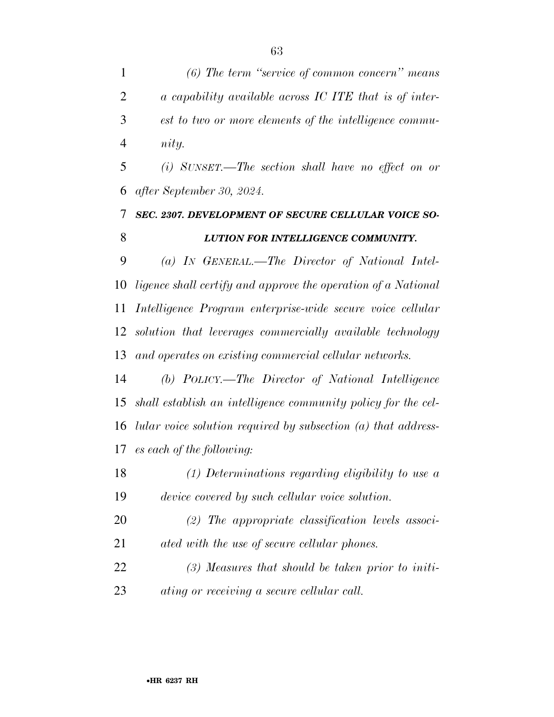*(6) The term ''service of common concern'' means a capability available across IC ITE that is of inter- est to two or more elements of the intelligence commu-nity.* 

 *(i) SUNSET.—The section shall have no effect on or after September 30, 2024.* 

### *SEC. 2307. DEVELOPMENT OF SECURE CELLULAR VOICE SO-LUTION FOR INTELLIGENCE COMMUNITY.*

 *(a) IN GENERAL.—The Director of National Intel- ligence shall certify and approve the operation of a National Intelligence Program enterprise-wide secure voice cellular solution that leverages commercially available technology and operates on existing commercial cellular networks.* 

 *(b) POLICY.—The Director of National Intelligence shall establish an intelligence community policy for the cel- lular voice solution required by subsection (a) that address-es each of the following:* 

- *(1) Determinations regarding eligibility to use a device covered by such cellular voice solution.*
- *(2) The appropriate classification levels associ-ated with the use of secure cellular phones.*
- *(3) Measures that should be taken prior to initi-ating or receiving a secure cellular call.*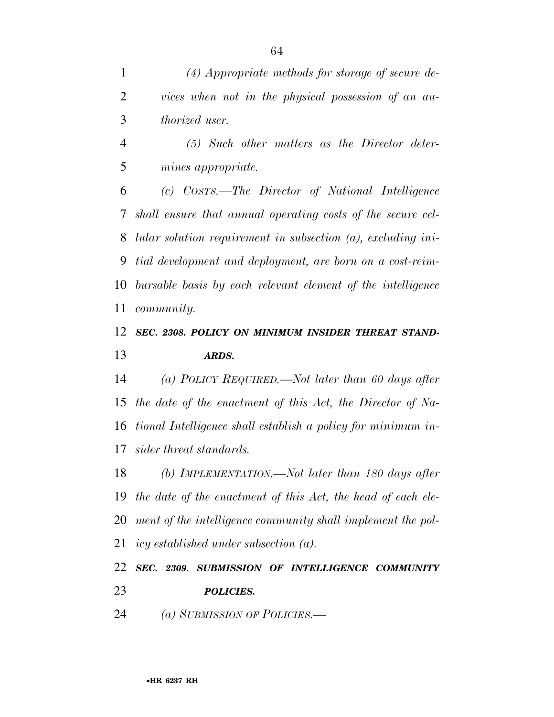*(4) Appropriate methods for storage of secure de- vices when not in the physical possession of an au-thorized user.* 

 *(5) Such other matters as the Director deter-mines appropriate.* 

 *(c) COSTS.—The Director of National Intelligence shall ensure that annual operating costs of the secure cel- lular solution requirement in subsection (a), excluding ini- tial development and deployment, are born on a cost-reim- bursable basis by each relevant element of the intelligence community.* 

### *SEC. 2308. POLICY ON MINIMUM INSIDER THREAT STAND-ARDS.*

 *(a) POLICY REQUIRED.—Not later than 60 days after the date of the enactment of this Act, the Director of Na- tional Intelligence shall establish a policy for minimum in-sider threat standards.* 

 *(b) IMPLEMENTATION.—Not later than 180 days after the date of the enactment of this Act, the head of each ele- ment of the intelligence community shall implement the pol-icy established under subsection (a).* 

 *SEC. 2309. SUBMISSION OF INTELLIGENCE COMMUNITY POLICIES.* 

*(a) SUBMISSION OF POLICIES.—*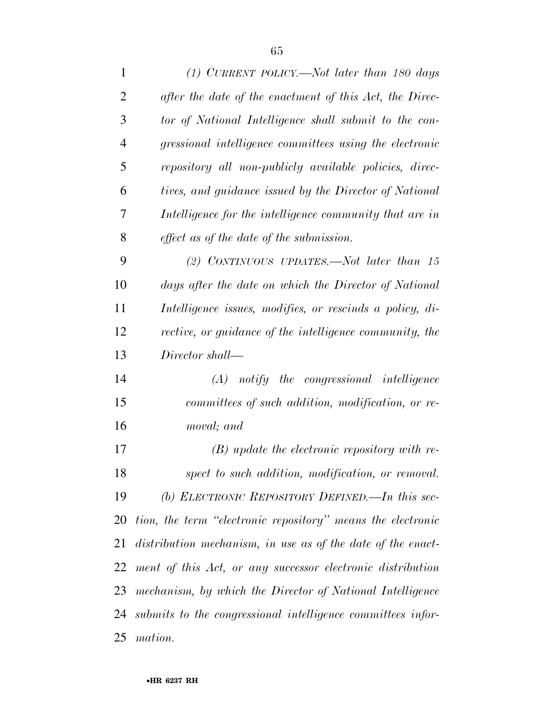| 1              | (1) CURRENT POLICY.—Not later than 180 days                    |
|----------------|----------------------------------------------------------------|
| $\overline{2}$ | after the date of the enactment of this Act, the Direc-        |
| 3              | tor of National Intelligence shall submit to the con-          |
| 4              | gressional intelligence committees using the electronic        |
| 5              | repository all non-publicly available policies, direc-         |
| 6              | tives, and guidance issued by the Director of National         |
| 7              | Intelligence for the intelligence community that are in        |
| 8              | effect as of the date of the submission.                       |
| 9              | (2) CONTINUOUS UPDATES.—Not later than $15$                    |
| 10             | days after the date on which the Director of National          |
| 11             | Intelligence issues, modifies, or rescinds a policy, di-       |
| 12             | rective, or guidance of the intelligence community, the        |
| 13             | Director shall—                                                |
| 14             | $(A)$ notify the congressional intelligence                    |
| 15             | committees of such addition, modification, or re-              |
| 16             | moval; and                                                     |
| 17             | $(B)$ update the electronic repository with re-                |
| 18             | spect to such addition, modification, or removal.              |
| 19             | (b) ELECTRONIC REPOSITORY DEFINED.—In this sec-                |
| 20             | tion, the term "electronic repository" means the electronic    |
|                | 21 distribution mechanism, in use as of the date of the enact- |
| 22             | ment of this Act, or any successor electronic distribution     |
| 23             | mechanism, by which the Director of National Intelligence      |
|                | 24 submits to the congressional intelligence committees infor- |
| 25             | mation.                                                        |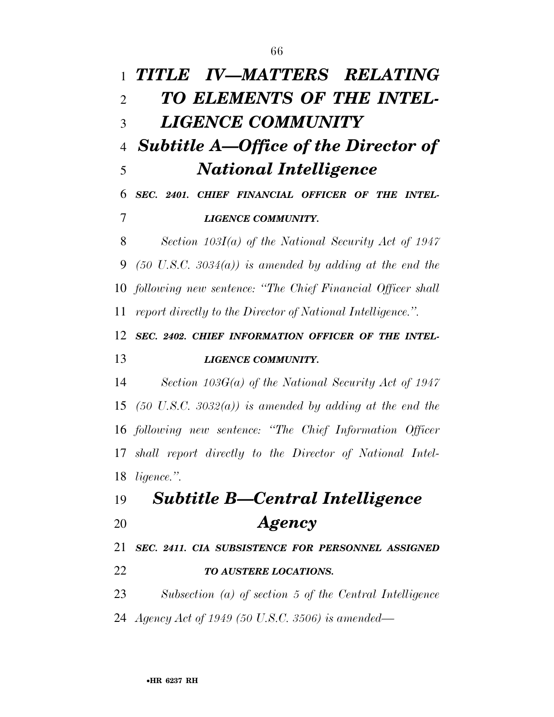*TITLE IV—MATTERS RELATING TO ELEMENTS OF THE INTEL- LIGENCE COMMUNITY Subtitle A—Office of the Director of National Intelligence SEC. 2401. CHIEF FINANCIAL OFFICER OF THE INTEL- LIGENCE COMMUNITY. Section 103I(a) of the National Security Act of 1947*   $(50 \text{ U.S.C. } 3034(a))$  is amended by adding at the end the *following new sentence: ''The Chief Financial Officer shall report directly to the Director of National Intelligence.''. SEC. 2402. CHIEF INFORMATION OFFICER OF THE INTEL- LIGENCE COMMUNITY. Section 103G(a) of the National Security Act of 1947 (50 U.S.C. 3032(a)) is amended by adding at the end the following new sentence: ''The Chief Information Officer shall report directly to the Director of National Intel- ligence.''. Subtitle B—Central Intelligence Agency SEC. 2411. CIA SUBSISTENCE FOR PERSONNEL ASSIGNED TO AUSTERE LOCATIONS. Subsection (a) of section 5 of the Central Intelligence Agency Act of 1949 (50 U.S.C. 3506) is amended—*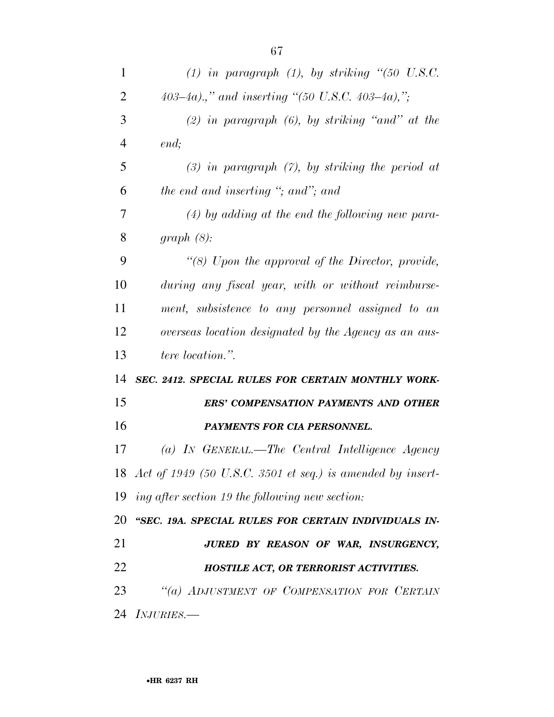| $\mathbf{1}$             | $(1)$ in paragraph $(1)$ , by striking " $(50 \text{ U.S.C.})$ |
|--------------------------|----------------------------------------------------------------|
| $\overline{2}$           | 403-4a).," and inserting "(50 U.S.C. 403-4a),";                |
| 3                        | $(2)$ in paragraph $(6)$ , by striking "and" at the            |
| $\overline{4}$           | end;                                                           |
| 5                        | $(3)$ in paragraph $(7)$ , by striking the period at           |
| 6                        | the end and inserting "; and"; and                             |
| 7                        | $(4)$ by adding at the end the following new para-             |
| 8                        | graph(8):                                                      |
| 9                        | "(8) Upon the approval of the Director, provide,               |
| 10                       | during any fiscal year, with or without reimburse-             |
| 11                       | ment, subsistence to any personnel assigned to an              |
| 12                       | overseas location designated by the Agency as an aus-          |
| 13                       | <i>tere location.</i> "                                        |
| 14                       | SEC. 2412. SPECIAL RULES FOR CERTAIN MONTHLY WORK-             |
| 15                       | <b>ERS' COMPENSATION PAYMENTS AND OTHER</b>                    |
| 16                       | PAYMENTS FOR CIA PERSONNEL.                                    |
| 17                       | (a) In GENERAL.—The Central Intelligence Agency                |
|                          | 18 Act of 1949 (50 U.S.C. 3501 et seq.) is amended by insert-  |
|                          | 19 ing after section 19 the following new section:             |
|                          | 20 "SEC. 19A. SPECIAL RULES FOR CERTAIN INDIVIDUALS IN-        |
| 21                       | JURED BY REASON OF WAR, INSURGENCY,                            |
| 22                       | HOSTILE ACT, OR TERRORIST ACTIVITIES.                          |
| 23                       | "(a) ADJUSTMENT OF COMPENSATION FOR CERTAIN                    |
| 24<br><i>INJURIES.</i> — |                                                                |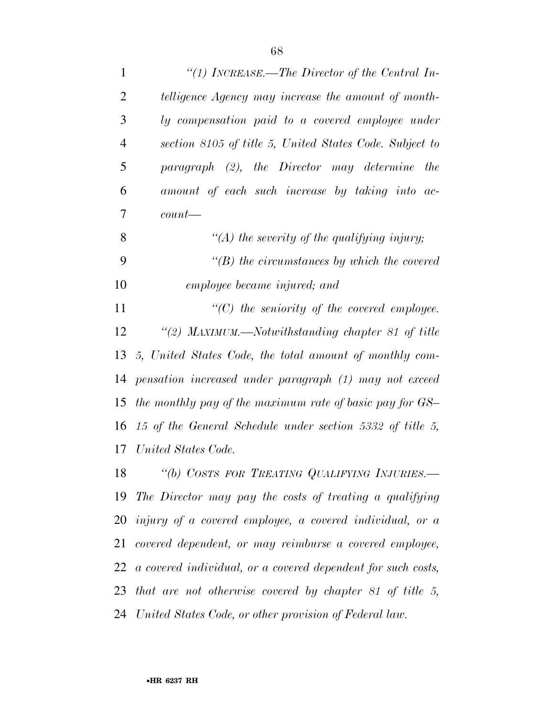| $\mathbf{1}$   | "(1) INCREASE.—The Director of the Central In-                  |
|----------------|-----------------------------------------------------------------|
| $\overline{2}$ | telligence Agency may increase the amount of month-             |
| 3              | ly compensation paid to a covered employee under                |
| $\overline{4}$ | section 8105 of title 5, United States Code. Subject to         |
| 5              | paragraph (2), the Director may determine<br>the                |
| 6              | amount of each such increase by taking into ac-                 |
| 7              | $count$ —                                                       |
| 8              | "(A) the severity of the qualifying injury;                     |
| 9              | $\lq\lq(B)$ the circumstances by which the covered              |
| 10             | employee became injured; and                                    |
| 11             | $\lq\lq C$ the seniority of the covered employee.               |
| 12             | "(2) MAXIMUM.—Notwithstanding chapter 81 of title               |
| 13             | 5, United States Code, the total amount of monthly com-         |
| 14             | pensation increased under paragraph (1) may not exceed          |
| 15             | the monthly pay of the maximum rate of basic pay for GS-        |
| 16             | 15 of the General Schedule under section 5332 of title 5,       |
| 17             | United States Code.                                             |
| 18             | "(b) COSTS FOR TREATING QUALIFYING INJURIES.-                   |
| 19             | The Director may pay the costs of treating a qualifying         |
|                | $20$ injury of a covered employee, a covered individual, or a   |
| 21             | covered dependent, or may reimburse a covered employee,         |
|                | 22 a covered individual, or a covered dependent for such costs, |
|                | 23 that are not otherwise covered by chapter $81$ of title 5,   |
|                | 24 United States Code, or other provision of Federal law.       |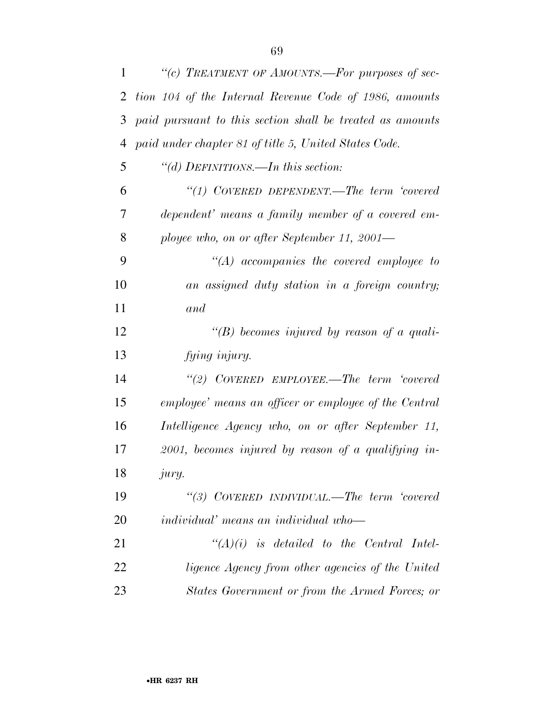| 1  | "(c) TREATMENT OF AMOUNTS.—For purposes of sec-           |
|----|-----------------------------------------------------------|
| 2  | tion 104 of the Internal Revenue Code of 1986, amounts    |
| 3  | paid pursuant to this section shall be treated as amounts |
| 4  | paid under chapter 81 of title 5, United States Code.     |
| 5  | "(d) DEFINITIONS.—In this section:                        |
| 6  | "(1) COVERED DEPENDENT.—The term 'covered                 |
| 7  | dependent' means a family member of a covered em-         |
| 8  | ployee who, on or after September 11, 2001—               |
| 9  | $"(A)$ accompanies the covered employee to                |
| 10 | an assigned duty station in a foreign country;            |
| 11 | and                                                       |
| 12 | "(B) becomes injured by reason of a quali-                |
| 13 | fying injury.                                             |
| 14 | "(2) COVERED EMPLOYEE.—The term 'covered                  |
| 15 | employee' means an officer or employee of the Central     |
| 16 | Intelligence Agency who, on or after September 11,        |
| 17 | $2001$ , becomes injured by reason of a qualifying in-    |
| 18 | <i>jury.</i>                                              |
| 19 | "(3) COVERED INDIVIDUAL.—The term 'covered                |
| 20 | <i>individual'</i> means an <i>individual</i> who-        |
| 21 | $\lq\lq (A)(i)$ is detailed to the Central Intel-         |
| 22 | ligence Agency from other agencies of the United          |
| 23 | States Government or from the Armed Forces; or            |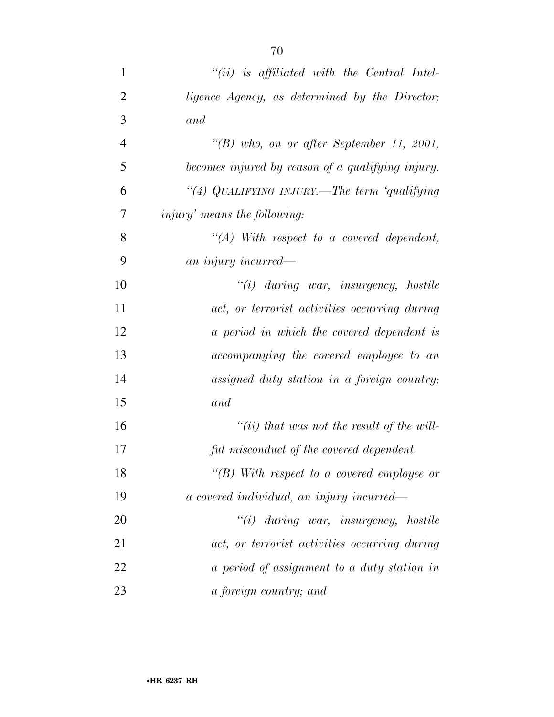| $\mathbf{1}$   | $``(ii)$ is affiliated with the Central Intel-    |
|----------------|---------------------------------------------------|
| $\overline{2}$ | ligence Agency, as determined by the Director;    |
| 3              | and                                               |
| $\overline{4}$ | " $(B)$ who, on or after September 11, 2001,      |
| 5              | becomes injured by reason of a qualifying injury. |
| 6              | "(4) QUALIFYING INJURY.—The term 'qualifying      |
| 7              | <i>injury'</i> means the following:               |
| 8              | $\lq\lq (A)$ With respect to a covered dependent, |
| 9              | an injury incurred—                               |
| 10             | $"(i)$ during war, insurgency, hostile            |
| 11             | act, or terrorist activities occurring during     |
| 12             | a period in which the covered dependent is        |
| 13             | accompanying the covered employee to an           |
| 14             | assigned duty station in a foreign country;       |
| 15             | and                                               |
| 16             | "(ii) that was not the result of the will-        |
| 17             | ful misconduct of the covered dependent.          |
| 18             | $``(B)$ With respect to a covered employee or     |
| 19             | a covered individual, an injury incurred—         |
| 20             | $"(i)$ during war, insurgency, hostile            |
| 21             | act, or terrorist activities occurring during     |
| 22             | a period of assignment to a duty station in       |
| 23             | a foreign country; and                            |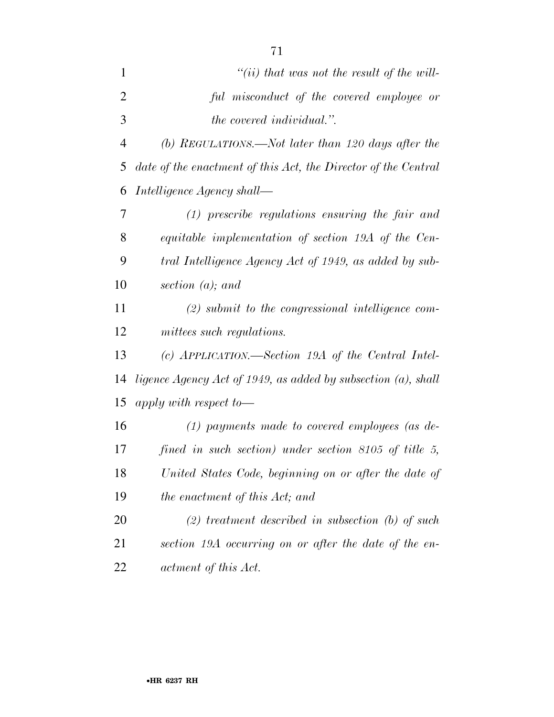| $\mathbf{1}$   | "(ii) that was not the result of the will-                     |
|----------------|----------------------------------------------------------------|
| $\overline{2}$ | ful misconduct of the covered employee or                      |
| 3              | <i>the covered individual.</i> ".                              |
| $\overline{4}$ | $(b)$ REGULATIONS.—Not later than 120 days after the           |
| 5              | date of the enactment of this Act, the Director of the Central |
| 6              | Intelligence Agency shall—                                     |
| 7              | $(1)$ prescribe regulations ensuring the fair and              |
| 8              | equitable implementation of section 19A of the Cen-            |
| 9              | tral Intelligence Agency Act of 1949, as added by sub-         |
| 10             | section $(a)$ ; and                                            |
| 11             | $(2)$ submit to the congressional intelligence com-            |
| 12             | mittees such regulations.                                      |
| 13             | (c) APPLICATION.—Section 19A of the Central Intel-             |
| 14             | ligence Agency Act of 1949, as added by subsection (a), shall  |
| 15             | apply with respect to $-$                                      |
| 16             | $(1)$ payments made to covered employees (as de-               |
| 17             | fined in such section) under section $8105$ of title 5,        |
| 18             | United States Code, beginning on or after the date of          |
| 19             | the enactment of this Act; and                                 |
| 20             | $(2)$ treatment described in subsection (b) of such            |
| 21             | section 19A occurring on or after the date of the en-          |
| 22             | actment of this Act.                                           |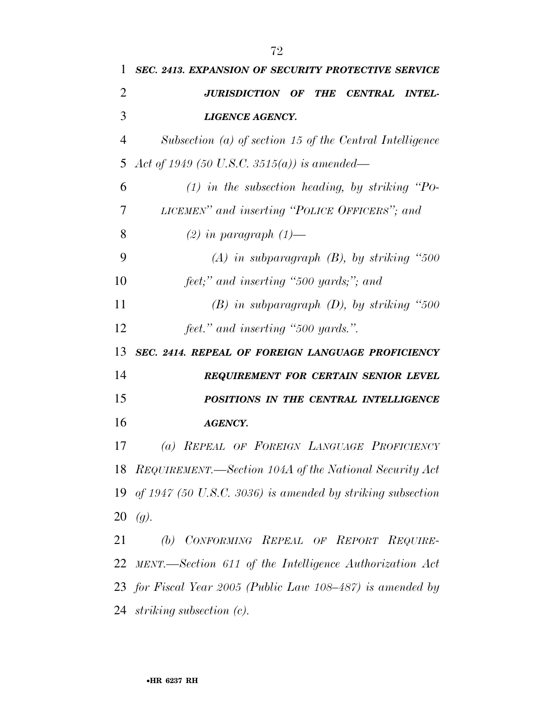| 1              | <b>SEC. 2413. EXPANSION OF SECURITY PROTECTIVE SERVICE</b>                     |
|----------------|--------------------------------------------------------------------------------|
| $\overline{2}$ | <b>JURISDICTION OF</b><br><b>THE</b><br><b>CENTRAL</b><br><i><b>INTEL-</b></i> |
| 3              | <b>LIGENCE AGENCY.</b>                                                         |
| 4              | Subsection (a) of section 15 of the Central Intelligence                       |
| 5              | Act of 1949 (50 U.S.C. 3515(a)) is amended—                                    |
| 6              | $(1)$ in the subsection heading, by striking "Po-                              |
| 7              | LICEMEN" and inserting "POLICE OFFICERS"; and                                  |
| 8              | $(2)$ in paragraph $(1)$ —                                                     |
| 9              | $(A)$ in subparagraph $(B)$ , by striking "500                                 |
| 10             | feet;" and inserting "500 yards;"; and                                         |
| 11             | $(B)$ in subparagraph $(D)$ , by striking "500                                 |
| 12             | feet." and inserting "500 yards.".                                             |
| 13             | SEC. 2414. REPEAL OF FOREIGN LANGUAGE PROFICIENCY                              |
| 14             | REQUIREMENT FOR CERTAIN SENIOR LEVEL                                           |
| 15             | POSITIONS IN THE CENTRAL INTELLIGENCE                                          |
| 16             | <b>AGENCY.</b>                                                                 |
| 17             | (a) REPEAL OF FOREIGN LANGUAGE PROFICIENCY                                     |
|                | 18 REQUIREMENT.—Section 104A of the National Security Act                      |
| 19             | of $1947$ (50 U.S.C. 3036) is amended by striking subsection                   |
| 20             | (g).                                                                           |
| 21             | (b) CONFORMING REPEAL OF REPORT REQUIRE-                                       |
| 22             | MENT.—Section 611 of the Intelligence Authorization Act                        |
|                |                                                                                |
|                | 23 for Fiscal Year 2005 (Public Law 108–487) is amended by                     |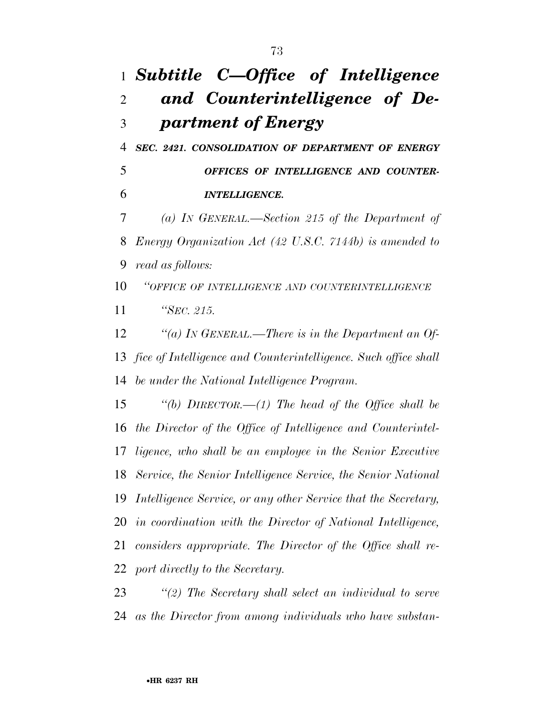## *Subtitle C—Office of Intelligence and Counterintelligence of De-partment of Energy*

 *SEC. 2421. CONSOLIDATION OF DEPARTMENT OF ENERGY OFFICES OF INTELLIGENCE AND COUNTER-INTELLIGENCE.* 

 *(a) IN GENERAL.—Section 215 of the Department of Energy Organization Act (42 U.S.C. 7144b) is amended to read as follows:* 

 *''OFFICE OF INTELLIGENCE AND COUNTERINTELLIGENCE ''SEC. 215.* 

 *''(a) IN GENERAL.—There is in the Department an Of- fice of Intelligence and Counterintelligence. Such office shall be under the National Intelligence Program.* 

 *''(b) DIRECTOR.—(1) The head of the Office shall be the Director of the Office of Intelligence and Counterintel- ligence, who shall be an employee in the Senior Executive Service, the Senior Intelligence Service, the Senior National Intelligence Service, or any other Service that the Secretary, in coordination with the Director of National Intelligence, considers appropriate. The Director of the Office shall re-port directly to the Secretary.* 

 *''(2) The Secretary shall select an individual to serve as the Director from among individuals who have substan-*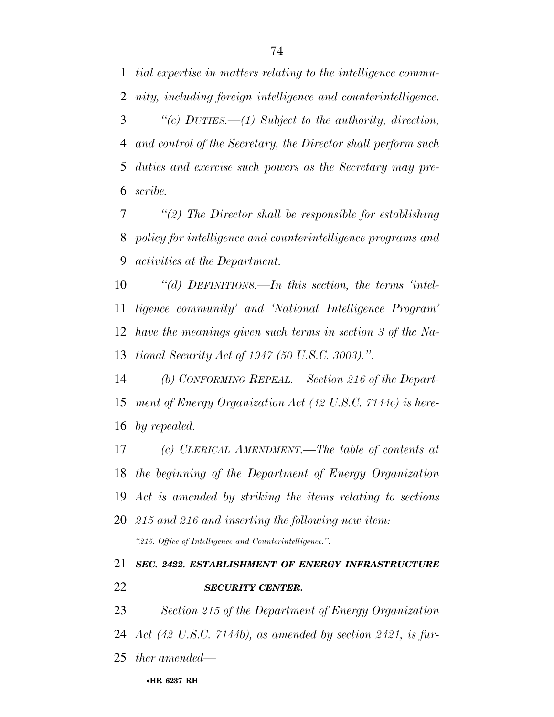*tial expertise in matters relating to the intelligence commu-nity, including foreign intelligence and counterintelligence.* 

 *''(c) DUTIES.—(1) Subject to the authority, direction, and control of the Secretary, the Director shall perform such duties and exercise such powers as the Secretary may pre-scribe.* 

 *''(2) The Director shall be responsible for establishing policy for intelligence and counterintelligence programs and activities at the Department.* 

 *''(d) DEFINITIONS.—In this section, the terms 'intel- ligence community' and 'National Intelligence Program' have the meanings given such terms in section 3 of the Na-tional Security Act of 1947 (50 U.S.C. 3003).''.* 

 *(b) CONFORMING REPEAL.—Section 216 of the Depart- ment of Energy Organization Act (42 U.S.C. 7144c) is here-by repealed.* 

 *(c) CLERICAL AMENDMENT.—The table of contents at the beginning of the Department of Energy Organization Act is amended by striking the items relating to sections 215 and 216 and inserting the following new item:* 

*''215. Office of Intelligence and Counterintelligence.''.* 

*SECURITY CENTER.* 

*SEC. 2422. ESTABLISHMENT OF ENERGY INFRASTRUCTURE* 

*Section 215 of the Department of Energy Organization* 

*Act (42 U.S.C. 7144b), as amended by section 2421, is fur-*

*ther amended—* 

•**HR 6237 RH**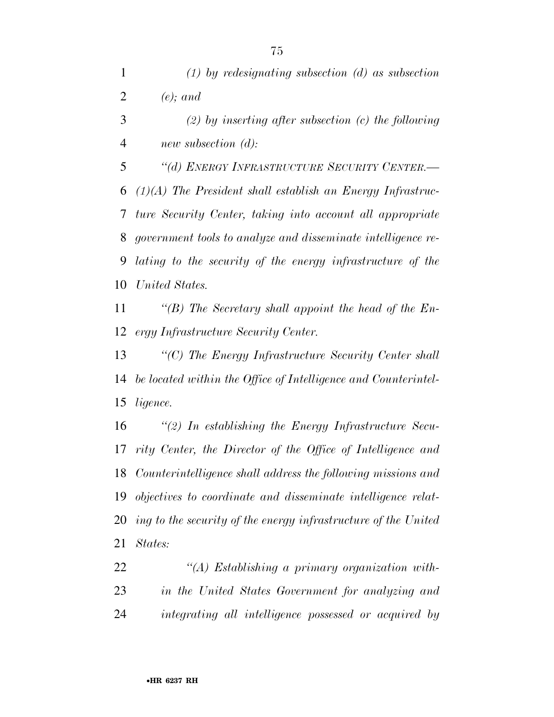*(2) by inserting after subsection (c) the following new subsection (d):* 

 *''(d) ENERGY INFRASTRUCTURE SECURITY CENTER.— (1)(A) The President shall establish an Energy Infrastruc- ture Security Center, taking into account all appropriate government tools to analyze and disseminate intelligence re- lating to the security of the energy infrastructure of the United States.* 

 *''(B) The Secretary shall appoint the head of the En-ergy Infrastructure Security Center.* 

 *''(C) The Energy Infrastructure Security Center shall be located within the Office of Intelligence and Counterintel-ligence.* 

 *''(2) In establishing the Energy Infrastructure Secu- rity Center, the Director of the Office of Intelligence and Counterintelligence shall address the following missions and objectives to coordinate and disseminate intelligence relat- ing to the security of the energy infrastructure of the United States:* 

 *''(A) Establishing a primary organization with- in the United States Government for analyzing and integrating all intelligence possessed or acquired by*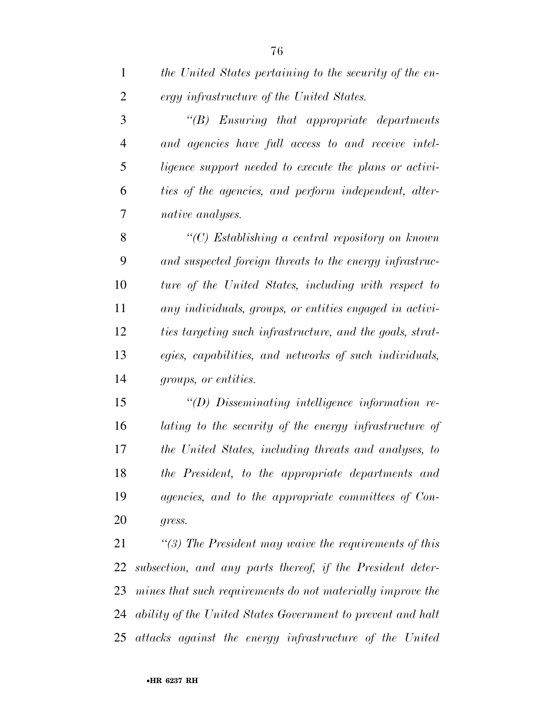*the United States pertaining to the security of the en-ergy infrastructure of the United States.* 

 *''(B) Ensuring that appropriate departments and agencies have full access to and receive intel- ligence support needed to execute the plans or activi- ties of the agencies, and perform independent, alter-native analyses.* 

 *''(C) Establishing a central repository on known and suspected foreign threats to the energy infrastruc- ture of the United States, including with respect to any individuals, groups, or entities engaged in activi- ties targeting such infrastructure, and the goals, strat- egies, capabilities, and networks of such individuals, groups, or entities.* 

 *''(D) Disseminating intelligence information re- lating to the security of the energy infrastructure of the United States, including threats and analyses, to the President, to the appropriate departments and agencies, and to the appropriate committees of Con-gress.* 

 *''(3) The President may waive the requirements of this subsection, and any parts thereof, if the President deter- mines that such requirements do not materially improve the ability of the United States Government to prevent and halt attacks against the energy infrastructure of the United*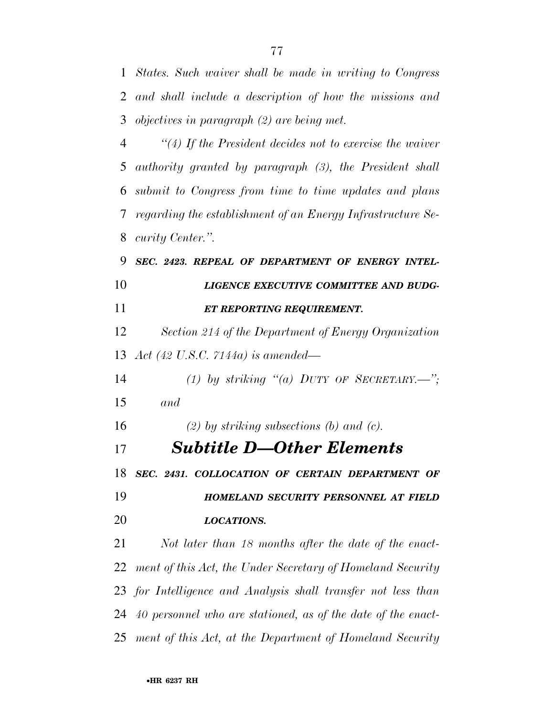*States. Such waiver shall be made in writing to Congress and shall include a description of how the missions and objectives in paragraph (2) are being met.* 

 *''(4) If the President decides not to exercise the waiver authority granted by paragraph (3), the President shall submit to Congress from time to time updates and plans regarding the establishment of an Energy Infrastructure Se-curity Center.''.* 

 *SEC. 2423. REPEAL OF DEPARTMENT OF ENERGY INTEL- LIGENCE EXECUTIVE COMMITTEE AND BUDG-ET REPORTING REQUIREMENT.* 

 *Section 214 of the Department of Energy Organization Act (42 U.S.C. 7144a) is amended—* 

 *(1) by striking ''(a) DUTY OF SECRETARY.—''; and* 

*(2) by striking subsections (b) and (c).* 

*Subtitle D—Other Elements* 

 *SEC. 2431. COLLOCATION OF CERTAIN DEPARTMENT OF HOMELAND SECURITY PERSONNEL AT FIELD* 

*LOCATIONS.* 

 *Not later than 18 months after the date of the enact- ment of this Act, the Under Secretary of Homeland Security for Intelligence and Analysis shall transfer not less than 40 personnel who are stationed, as of the date of the enact-ment of this Act, at the Department of Homeland Security*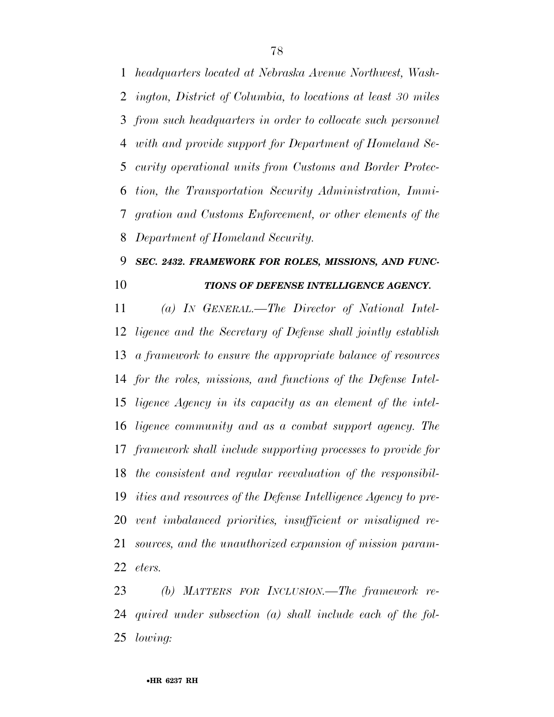*headquarters located at Nebraska Avenue Northwest, Wash- ington, District of Columbia, to locations at least 30 miles from such headquarters in order to collocate such personnel with and provide support for Department of Homeland Se- curity operational units from Customs and Border Protec- tion, the Transportation Security Administration, Immi- gration and Customs Enforcement, or other elements of the Department of Homeland Security.* 

#### *SEC. 2432. FRAMEWORK FOR ROLES, MISSIONS, AND FUNC-TIONS OF DEFENSE INTELLIGENCE AGENCY.*

 *(a) IN GENERAL.—The Director of National Intel- ligence and the Secretary of Defense shall jointly establish a framework to ensure the appropriate balance of resources for the roles, missions, and functions of the Defense Intel- ligence Agency in its capacity as an element of the intel- ligence community and as a combat support agency. The framework shall include supporting processes to provide for the consistent and regular reevaluation of the responsibil- ities and resources of the Defense Intelligence Agency to pre- vent imbalanced priorities, insufficient or misaligned re- sources, and the unauthorized expansion of mission param-eters.* 

 *(b) MATTERS FOR INCLUSION.—The framework re- quired under subsection (a) shall include each of the fol-lowing:*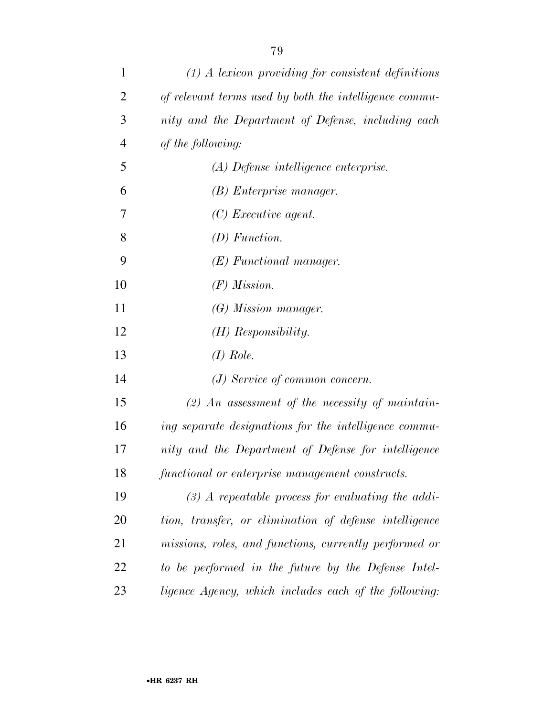| $\mathbf{1}$   | $(1)$ A lexicon providing for consistent definitions   |
|----------------|--------------------------------------------------------|
| $\overline{2}$ | of relevant terms used by both the intelligence commu- |
| 3              | nity and the Department of Defense, including each     |
| $\overline{4}$ | of the following:                                      |
| 5              | (A) Defense intelligence enterprise.                   |
| 6              | (B) Enterprise manager.                                |
| 7              | $(C)$ Executive agent.                                 |
| 8              | $(D)$ Function.                                        |
| 9              | $(E)$ Functional manager.                              |
| 10             | $(F)$ Mission.                                         |
| 11             | $(G)$ Mission manager.                                 |
| 12             | $(H)$ Responsibility.                                  |
| 13             | $(I)$ Role.                                            |
| 14             | $(J)$ Service of common concern.                       |
| 15             | $(2)$ An assessment of the necessity of maintain-      |
| 16             | ing separate designations for the intelligence commu-  |
| 17             | nity and the Department of Defense for intelligence    |
| 18             | functional or enterprise management constructs.        |
| 19             | $(3)$ A repeatable process for evaluating the addi-    |
| 20             | tion, transfer, or elimination of defense intelligence |
| 21             | missions, roles, and functions, currently performed or |
| 22             | to be performed in the future by the Defense Intel-    |
| 23             | ligence Agency, which includes each of the following:  |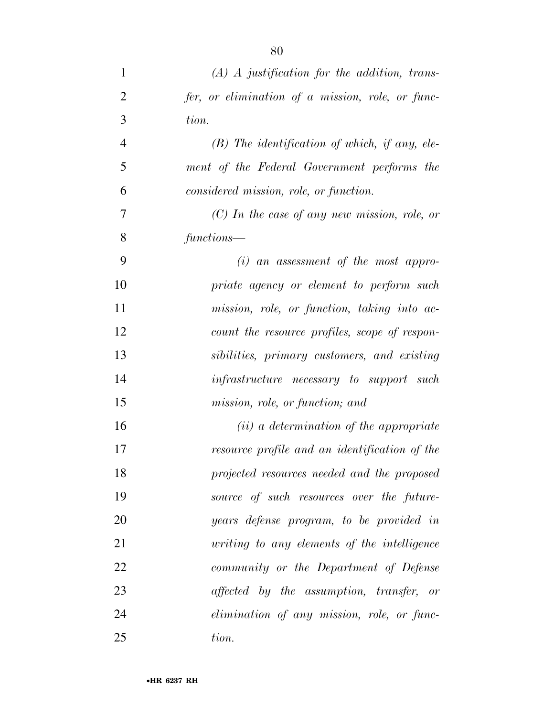| $\mathbf{1}$   | $(A)$ A justification for the addition, trans-   |
|----------------|--------------------------------------------------|
| $\overline{2}$ | fer, or elimination of a mission, role, or func- |
| 3              | tion.                                            |
| $\overline{4}$ | $(B)$ The identification of which, if any, ele-  |
| 5              | ment of the Federal Government performs the      |
| 6              | considered mission, role, or function.           |
| 7              | $(C)$ In the case of any new mission, role, or   |
| 8              | functions—                                       |
| 9              | $(i)$ an assessment of the most appro-           |
| 10             | priate agency or element to perform such         |
| 11             | mission, role, or function, taking into ac-      |
| 12             | count the resource profiles, scope of respon-    |
| 13             | sibilities, primary customers, and existing      |
| 14             | <i>infrastructure</i> necessary to support such  |
| 15             | mission, role, or function; and                  |
| 16             | $(ii)$ a determination of the appropriate        |
| 17             | resource profile and an identification of the    |
| 18             | projected resources needed and the proposed      |
| 19             | source of such resources over the future-        |
| 20             | years defense program, to be provided in         |
| 21             | writing to any elements of the intelligence      |
| 22             | community or the Department of Defense           |
| 23             | affected by the assumption, transfer, or         |
| 24             | elimination of any mission, role, or func-       |
| 25             | tion.                                            |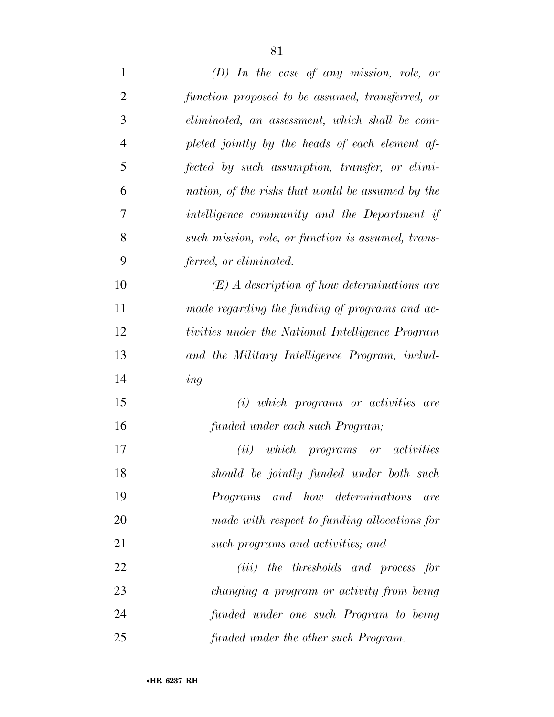| $\mathbf{1}$   | $(D)$ In the case of any mission, role, or         |
|----------------|----------------------------------------------------|
| $\overline{2}$ | function proposed to be assumed, transferred, or   |
| 3              | eliminated, an assessment, which shall be com-     |
| $\overline{4}$ | pleted jointly by the heads of each element af-    |
| 5              | fected by such assumption, transfer, or elimi-     |
| 6              | nation, of the risks that would be assumed by the  |
| 7              | intelligence community and the Department if       |
| 8              | such mission, role, or function is assumed, trans- |
| 9              | ferred, or eliminated.                             |
| 10             | $(E)$ A description of how determinations are      |
| 11             | made regarding the funding of programs and ac-     |
| 12             | tivities under the National Intelligence Program   |
| 13             | and the Military Intelligence Program, includ-     |
| 14             | $ing$ —                                            |
| 15             | (i) which programs or activities are               |
| 16             | funded under each such Program;                    |
| 17             | (ii)<br>which programs or activities               |
| 18             | should be jointly funded under both such           |
| 19             | Programs and how determinations<br>are             |
| 20             | made with respect to funding allocations for       |
| 21             | such programs and activities; and                  |
| 22             | ( <i>iii</i> ) the thresholds and process for      |
| 23             | changing a program or activity from being          |
| 24             | funded under one such Program to being             |
| 25             | funded under the other such Program.               |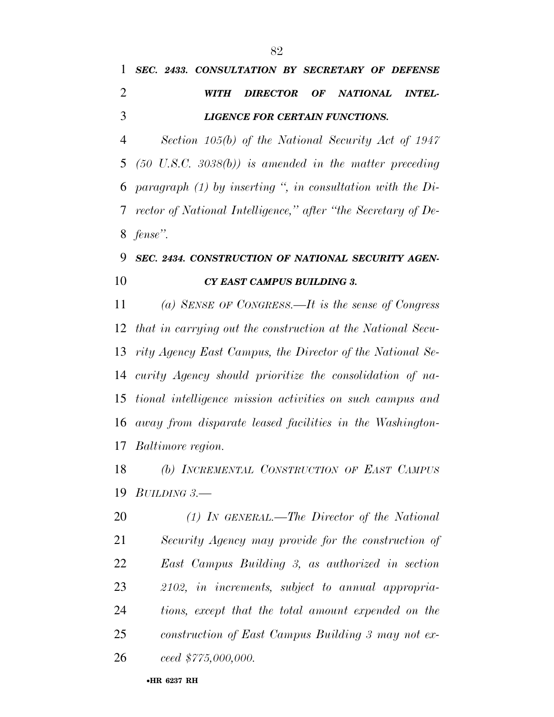### *SEC. 2433. CONSULTATION BY SECRETARY OF DEFENSE WITH DIRECTOR OF NATIONAL INTEL-LIGENCE FOR CERTAIN FUNCTIONS.*

 *Section 105(b) of the National Security Act of 1947 (50 U.S.C. 3038(b)) is amended in the matter preceding paragraph (1) by inserting '', in consultation with the Di- rector of National Intelligence,'' after ''the Secretary of De-fense''.* 

#### *SEC. 2434. CONSTRUCTION OF NATIONAL SECURITY AGEN-CY EAST CAMPUS BUILDING 3.*

 *(a) SENSE OF CONGRESS.—It is the sense of Congress that in carrying out the construction at the National Secu- rity Agency East Campus, the Director of the National Se- curity Agency should prioritize the consolidation of na- tional intelligence mission activities on such campus and away from disparate leased facilities in the Washington-Baltimore region.* 

 *(b) INCREMENTAL CONSTRUCTION OF EAST CAMPUS BUILDING 3.—* 

 *(1) IN GENERAL.—The Director of the National Security Agency may provide for the construction of East Campus Building 3, as authorized in section 2102, in increments, subject to annual appropria- tions, except that the total amount expended on the construction of East Campus Building 3 may not ex-ceed \$775,000,000.*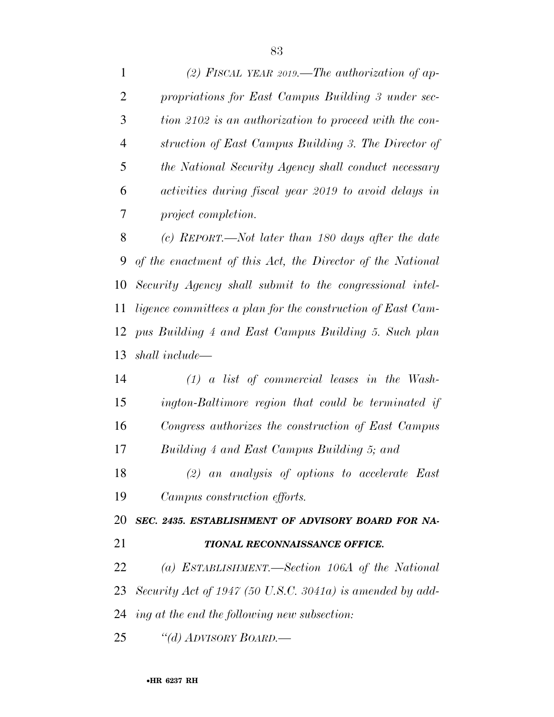*(2) FISCAL YEAR 2019.—The authorization of ap- propriations for East Campus Building 3 under sec- tion 2102 is an authorization to proceed with the con- struction of East Campus Building 3. The Director of the National Security Agency shall conduct necessary activities during fiscal year 2019 to avoid delays in project completion.* 

 *(c) REPORT.—Not later than 180 days after the date of the enactment of this Act, the Director of the National Security Agency shall submit to the congressional intel- ligence committees a plan for the construction of East Cam- pus Building 4 and East Campus Building 5. Such plan shall include—* 

 *(1) a list of commercial leases in the Wash- ington-Baltimore region that could be terminated if Congress authorizes the construction of East Campus Building 4 and East Campus Building 5; and (2) an analysis of options to accelerate East Campus construction efforts. SEC. 2435. ESTABLISHMENT OF ADVISORY BOARD FOR NA- TIONAL RECONNAISSANCE OFFICE. (a) ESTABLISHMENT.—Section 106A of the National Security Act of 1947 (50 U.S.C. 3041a) is amended by add-*

*ing at the end the following new subsection:* 

*''(d) ADVISORY BOARD.—*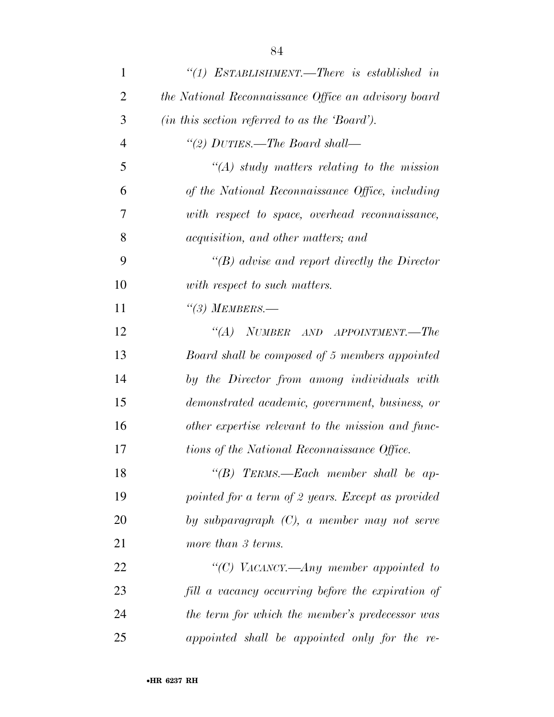| $\mathbf{1}$   | "(1) ESTABLISHMENT.—There is established in          |
|----------------|------------------------------------------------------|
| $\overline{2}$ | the National Reconnaissance Office an advisory board |
| 3              | (in this section referred to as the 'Board').        |
| $\overline{4}$ | "(2) DUTIES.—The Board shall—                        |
| 5              | $\lq (A)$ study matters relating to the mission      |
| 6              | of the National Reconnaissance Office, including     |
| 7              | with respect to space, overhead reconnaissance,      |
| 8              | <i>acquisition, and other matters; and</i>           |
| 9              | $\lq\lq(B)$ advise and report directly the Director  |
| 10             | with respect to such matters.                        |
| 11             | $\lq(3)$ MEMBERS.—                                   |
| 12             | "(A) NUMBER AND APPOINTMENT.—The                     |
| 13             | Board shall be composed of 5 members appointed       |
| 14             | by the Director from among individuals with          |
| 15             | demonstrated academic, government, business, or      |
| 16             | other expertise relevant to the mission and func-    |
| 17             | tions of the National Reconnaissance Office.         |
| 18             | "(B) TERMS.—Each member shall be ap-                 |
| 19             | pointed for a term of 2 years. Except as provided    |
| 20             | by subparagraph $(C)$ , a member may not serve       |
| 21             | more than 3 terms.                                   |
| 22             | "(C) VACANCY.—Any member appointed to                |
| 23             | fill a vacancy occurring before the expiration of    |
| 24             | the term for which the member's predecessor was      |
| 25             | appointed shall be appointed only for the re-        |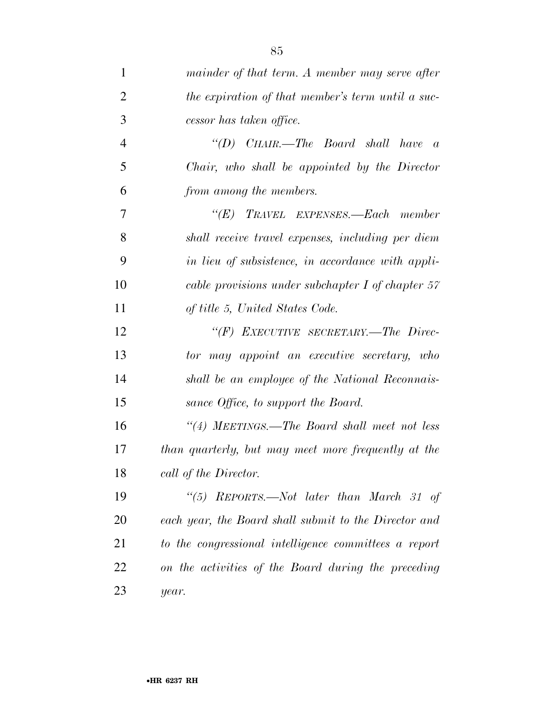| $\mathbf{1}$   | mainder of that term. A member may serve after        |
|----------------|-------------------------------------------------------|
| 2              | the expiration of that member's term until a suc-     |
| 3              | cessor has taken office.                              |
| $\overline{4}$ | "(D) CHAIR.—The Board shall have<br>$\overline{a}$    |
| 5              | Chair, who shall be appointed by the Director         |
| 6              | from among the members.                               |
| 7              | "(E) TRAVEL EXPENSES.—Each member                     |
| 8              | shall receive travel expenses, including per diem     |
| 9              | in lieu of subsistence, in accordance with appli-     |
| 10             | cable provisions under subchapter $I$ of chapter $57$ |
| 11             | of title 5, United States Code.                       |
| 12             | "(F) EXECUTIVE SECRETARY.—The Direc-                  |
| 13             | tor may appoint an executive secretary, who           |
| 14             | shall be an employee of the National Reconnais-       |
| 15             | sance Office, to support the Board.                   |
| 16             | "(4) MEETINGS.—The Board shall meet not less          |
| 17             | than quarterly, but may meet more frequently at the   |
| 18             | call of the Director.                                 |
| 19             | "(5) REPORTS.—Not later than March 31 of              |
| 20             | each year, the Board shall submit to the Director and |
| 21             | to the congressional intelligence committees a report |
| 22             | on the activities of the Board during the preceding   |
| 23             | year.                                                 |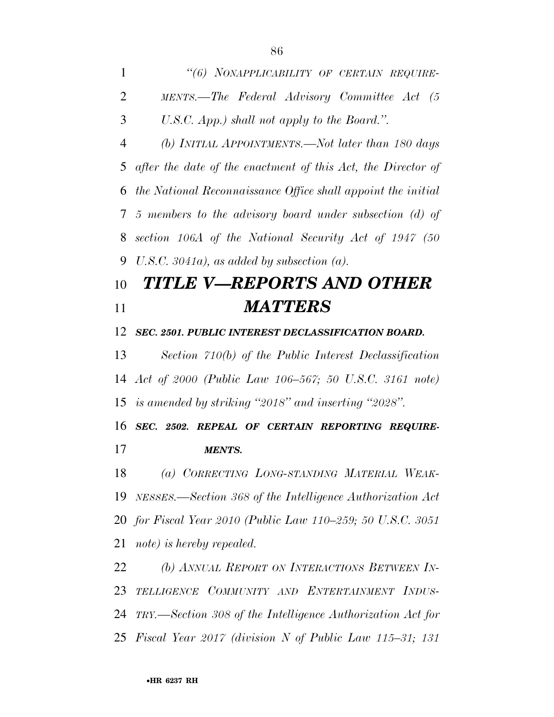| 1              | "(6) NONAPPLICABILITY OF CERTAIN REQUIRE-                    |
|----------------|--------------------------------------------------------------|
| $\overline{2}$ | MENTS.—The Federal Advisory Committee Act (5                 |
| 3              | U.S.C. App.) shall not apply to the Board.".                 |
| 4              | (b) INITIAL APPOINTMENTS.—Not later than 180 days            |
| 5              | after the date of the enactment of this Act, the Director of |
| 6              | the National Reconnaissance Office shall appoint the initial |
| 7              | 5 members to the advisory board under subsection $(d)$ of    |
| 8              | section 106A of the National Security Act of 1947 (50        |
| 9              | U.S.C. $3041a$ , as added by subsection (a).                 |
| 10             | TITLE V—REPORTS AND OTHER                                    |
| 11             | <b>MATTERS</b>                                               |
| 12             | SEC. 2501. PUBLIC INTEREST DECLASSIFICATION BOARD.           |
| 13             | Section 710(b) of the Public Interest Declassification       |
|                | 14 Act of 2000 (Public Law 106–567; 50 U.S.C. 3161 note)     |
|                | 15 is amended by striking "2018" and inserting "2028".       |
| 16             | SEC. 2502. REPEAL OF CERTAIN REPORTING REQUIRE-              |
| 17             | MENTS.                                                       |
| 18             | (a) CORRECTING LONG-STANDING MATERIAL WEAK-                  |
| 19             | NESSES.—Section 368 of the Intelligence Authorization Act    |
|                | 20 for Fiscal Year 2010 (Public Law 110–259; 50 U.S.C. 3051  |
| 21             | note) is hereby repealed.                                    |
| 22             | (b) ANNUAL REPORT ON INTERACTIONS BETWEEN IN-                |
| 23             | TELLIGENCE COMMUNITY AND ENTERTAINMENT INDUS-                |
| 24             | TRY.—Section 308 of the Intelligence Authorization Act for   |
| 25             | Fiscal Year 2017 (division N of Public Law 115–31; 131       |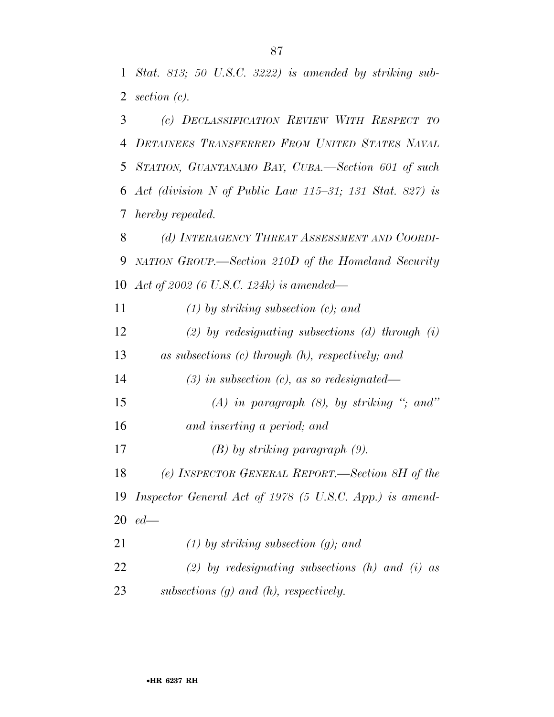*Stat. 813; 50 U.S.C. 3222) is amended by striking sub- section (c). (c) DECLASSIFICATION REVIEW WITH RESPECT TO*

 *DETAINEES TRANSFERRED FROM UNITED STATES NAVAL STATION, GUANTANAMO BAY, CUBA.—Section 601 of such Act (division N of Public Law 115–31; 131 Stat. 827) is hereby repealed.* 

 *(d) INTERAGENCY THREAT ASSESSMENT AND COORDI- NATION GROUP.—Section 210D of the Homeland Security Act of 2002 (6 U.S.C. 124k) is amended—* 

*(1) by striking subsection (c); and* 

 *(2) by redesignating subsections (d) through (i) as subsections (c) through (h), respectively; and* 

*(3) in subsection (c), as so redesignated—* 

- *(A) in paragraph (8), by striking ''; and''*
- *and inserting a period; and*
- *(B) by striking paragraph (9).*

 *(e) INSPECTOR GENERAL REPORT.—Section 8H of the Inspector General Act of 1978 (5 U.S.C. App.) is amend-ed—* 

 *(1) by striking subsection (g); and (2) by redesignating subsections (h) and (i) as subsections (g) and (h), respectively.*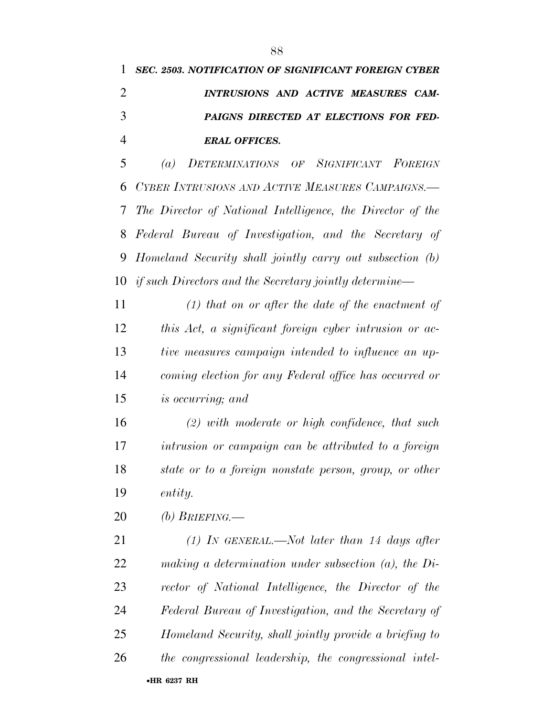## *SEC. 2503. NOTIFICATION OF SIGNIFICANT FOREIGN CYBER INTRUSIONS AND ACTIVE MEASURES CAM- PAIGNS DIRECTED AT ELECTIONS FOR FED-ERAL OFFICES.*

 *(a) DETERMINATIONS OF SIGNIFICANT FOREIGN CYBER INTRUSIONS AND ACTIVE MEASURES CAMPAIGNS.— The Director of National Intelligence, the Director of the Federal Bureau of Investigation, and the Secretary of Homeland Security shall jointly carry out subsection (b) if such Directors and the Secretary jointly determine—* 

 *(1) that on or after the date of the enactment of this Act, a significant foreign cyber intrusion or ac- tive measures campaign intended to influence an up- coming election for any Federal office has occurred or is occurring; and* 

 *(2) with moderate or high confidence, that such intrusion or campaign can be attributed to a foreign state or to a foreign nonstate person, group, or other entity.* 

*(b) BRIEFING.—* 

 *(1) IN GENERAL.—Not later than 14 days after making a determination under subsection (a), the Di- rector of National Intelligence, the Director of the Federal Bureau of Investigation, and the Secretary of Homeland Security, shall jointly provide a briefing to the congressional leadership, the congressional intel-*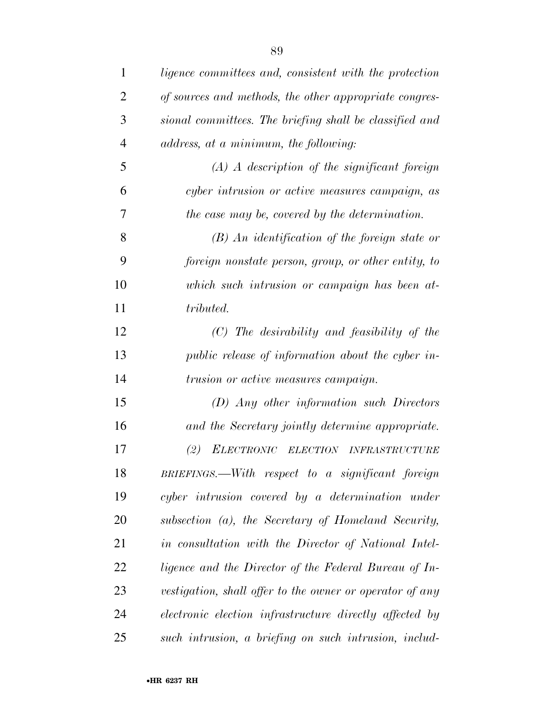| $\mathbf{1}$   | ligence committees and, consistent with the protection     |
|----------------|------------------------------------------------------------|
| $\overline{2}$ | of sources and methods, the other appropriate congres-     |
| 3              | sional committees. The briefing shall be classified and    |
| $\overline{4}$ | address, at a minimum, the following:                      |
| 5              | $(A)$ A description of the significant foreign             |
| 6              | cyber intrusion or active measures campaign, as            |
| 7              | the case may be, covered by the determination.             |
| 8              | $(B)$ An identification of the foreign state or            |
| 9              | foreign nonstate person, group, or other entity, to        |
| 10             | which such intrusion or campaign has been at-              |
| 11             | tributed.                                                  |
| 12             | $(C)$ The desirability and feasibility of the              |
| 13             | public release of information about the cyber in-          |
| 14             | <i>trusion or active measures campaign.</i>                |
| 15             | $(D)$ Any other information such Directors                 |
| 16             | and the Secretary jointly determine appropriate.           |
| 17             | (2)<br>ELECTRONIC ELECTION<br><i><b>INFRASTRUCTURE</b></i> |
| 18             | $BRIEFINGS$ . With respect to a significant foreign        |
| 19             | cyber intrusion covered by a determination under           |
| 20             | subsection (a), the Secretary of Homeland Security,        |
| 21             | in consultation with the Director of National Intel-       |
| 22             | ligence and the Director of the Federal Bureau of In-      |
| 23             | vestigation, shall offer to the owner or operator of any   |
| 24             | electronic election infrastructure directly affected by    |
| 25             | such intrusion, a briefing on such intrusion, includ-      |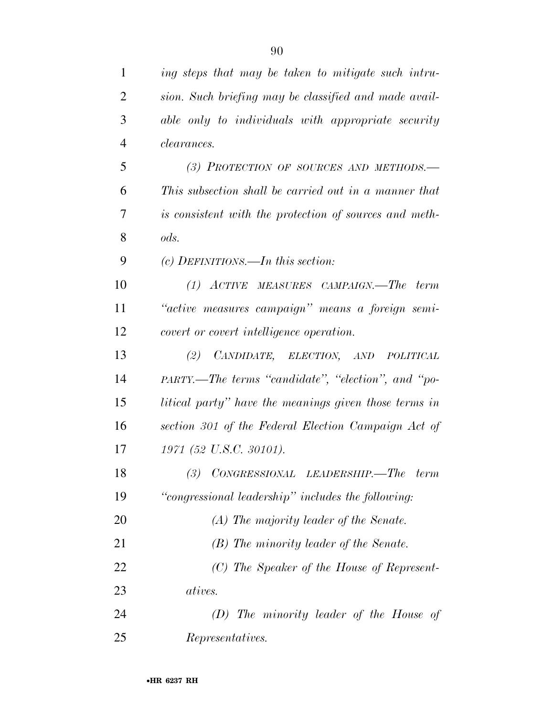| $\mathbf{1}$   | ing steps that may be taken to mitigate such intru-    |
|----------------|--------------------------------------------------------|
| $\overline{2}$ | sion. Such briefing may be classified and made avail-  |
| 3              | able only to individuals with appropriate security     |
| $\overline{4}$ | <i>clearances.</i>                                     |
| 5              | (3) PROTECTION OF SOURCES AND METHODS.-                |
| 6              | This subsection shall be carried out in a manner that  |
| 7              | is consistent with the protection of sources and meth- |
| 8              | ods.                                                   |
| 9              | $(c)$ DEFINITIONS.—In this section:                    |
| 10             | (1) ACTIVE MEASURES CAMPAIGN.—The term                 |
| 11             | "active measures campaign" means a foreign semi-       |
| 12             | covert or covert intelligence operation.               |
| 13             | (2) CANDIDATE, ELECTION, AND POLITICAL                 |
| 14             | PARTY.—The terms "candidate", "election", and "po-     |
| 15             | litical party" have the meanings given those terms in  |
| 16             | section 301 of the Federal Election Campaign Act of    |
| 17             | 1971 (52 U.S.C. 30101).                                |
| 18             | $(3)$ CONGRESSIONAL LEADERSHIP.—The<br>term            |
| 19             | "congressional leadership" includes the following:     |
| 20             | (A) The majority leader of the Senate.                 |
| 21             | (B) The minority leader of the Senate.                 |
| 22             | (C) The Speaker of the House of Represent-             |
| 23             | <i>atives.</i>                                         |
| 24             | $(D)$ The minority leader of the House of              |
| 25             | Representatives.                                       |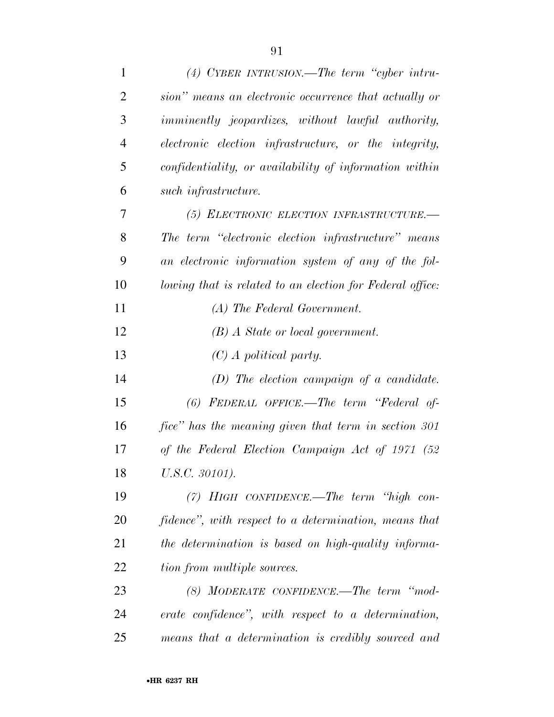| $\mathbf{1}$   | $(4)$ CYBER INTRUSION.—The term "cyber intru-             |
|----------------|-----------------------------------------------------------|
| $\overline{2}$ | sion" means an electronic occurrence that actually or     |
| 3              | <i>imminently jeopardizes, without lawful authority,</i>  |
| $\overline{4}$ | electronic election infrastructure, or the integrity,     |
| 5              | confidentiality, or availability of information within    |
| 6              | $such$ infrastructure.                                    |
| 7              | (5) ELECTRONIC ELECTION INFRASTRUCTURE.-                  |
| 8              | The term "electronic election infrastructure" means       |
| 9              | an electronic information system of any of the fol-       |
| 10             | lowing that is related to an election for Federal office: |
| 11             | (A) The Federal Government.                               |
| 12             | $(B)$ A State or local government.                        |
| 13             | $(C)$ A political party.                                  |
| 14             | $(D)$ The election campaign of a candidate.               |
| 15             | (6) FEDERAL OFFICE.—The term "Federal of-                 |
| 16             | fice" has the meaning given that term in section 301      |
| 17             | of the Federal Election Campaign Act of 1971 (52          |
| 18             | U.S.C. 30101).                                            |
| 19             | $(7)$ HIGH CONFIDENCE.—The term "high con-                |
| 20             | fidence", with respect to a determination, means that     |
| 21             | the determination is based on high-quality informa-       |
| 22             | tion from multiple sources.                               |
| 23             | $(8)$ MODERATE CONFIDENCE.—The term "mod-                 |
| 24             | erate confidence", with respect to a determination,       |
| 25             | means that a determination is credibly sourced and        |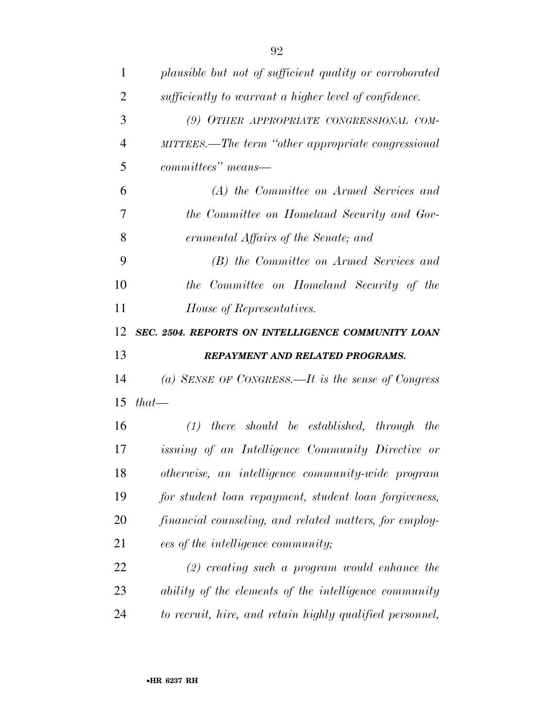| $\mathbf{1}$   | plausible but not of sufficient quality or corroborated |
|----------------|---------------------------------------------------------|
| $\overline{2}$ | sufficiently to warrant a higher level of confidence.   |
| 3              | (9) OTHER APPROPRIATE CONGRESSIONAL COM-                |
| $\overline{4}$ | MITTEES.—The term "other appropriate congressional      |
| 5              | $committees" means-$                                    |
| 6              | (A) the Committee on Armed Services and                 |
| 7              | the Committee on Homeland Security and Gov-             |
| 8              | ernmental Affairs of the Senate; and                    |
| 9              | (B) the Committee on Armed Services and                 |
| 10             | the Committee on Homeland Security of the               |
| 11             | House of Representatives.                               |
| 12             | SEC. 2504. REPORTS ON INTELLIGENCE COMMUNITY LOAN       |
|                |                                                         |
| 13             | REPAYMENT AND RELATED PROGRAMS.                         |
| 14             | (a) SENSE OF CONGRESS.—It is the sense of Congress      |
| 15             | $that-$                                                 |
| 16             | $(1)$ there should be established, through the          |
| 17             | issuing of an Intelligence Community Directive or       |
| 18             | otherwise, an intelligence community-wide program       |
| 19             | for student loan repayment, student loan forgiveness,   |
| 20             | financial counseling, and related matters, for employ-  |
| 21             | ees of the intelligence community;                      |
| 22             | $(2)$ creating such a program would enhance the         |
| 23             | ability of the elements of the intelligence community   |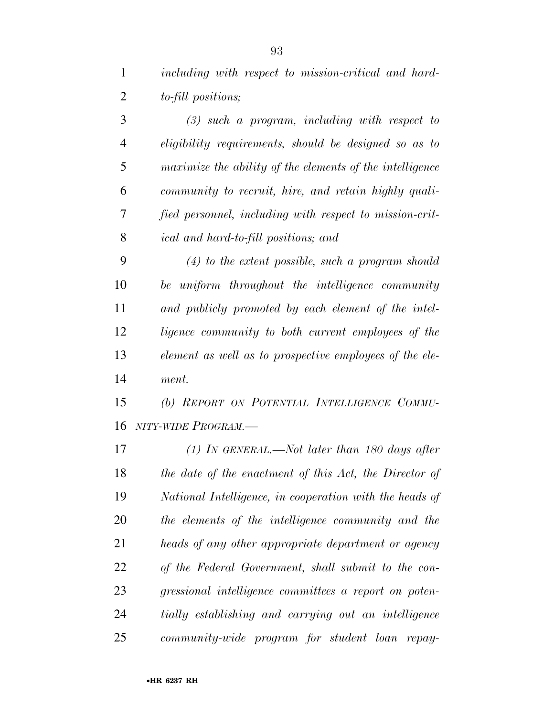*including with respect to mission-critical and hard-to-fill positions;* 

 *(3) such a program, including with respect to eligibility requirements, should be designed so as to maximize the ability of the elements of the intelligence community to recruit, hire, and retain highly quali- fied personnel, including with respect to mission-crit-ical and hard-to-fill positions; and* 

 *(4) to the extent possible, such a program should be uniform throughout the intelligence community and publicly promoted by each element of the intel- ligence community to both current employees of the element as well as to prospective employees of the ele-ment.* 

 *(b) REPORT ON POTENTIAL INTELLIGENCE COMMU-NITY-WIDE PROGRAM.—* 

 *(1) IN GENERAL.—Not later than 180 days after the date of the enactment of this Act, the Director of National Intelligence, in cooperation with the heads of the elements of the intelligence community and the heads of any other appropriate department or agency of the Federal Government, shall submit to the con- gressional intelligence committees a report on poten- tially establishing and carrying out an intelligence community-wide program for student loan repay-*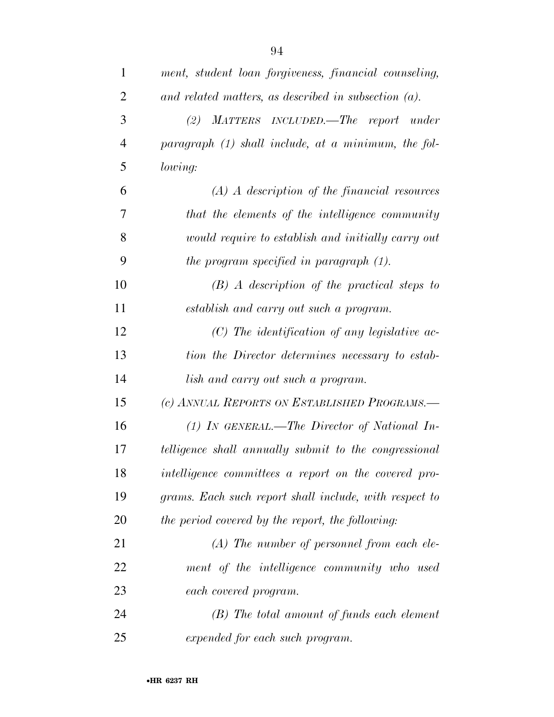| $\mathbf{1}$   | ment, student loan forgiveness, financial counseling,   |
|----------------|---------------------------------------------------------|
| $\overline{2}$ | and related matters, as described in subsection $(a)$ . |
| 3              | MATTERS INCLUDED.—The report under<br>(2)               |
| $\overline{4}$ | paragraph $(1)$ shall include, at a minimum, the fol-   |
| 5              | lowing:                                                 |
| 6              | $(A)$ A description of the financial resources          |
| 7              | that the elements of the intelligence community         |
| 8              | would require to establish and initially carry out      |
| 9              | the program specified in paragraph $(1)$ .              |
| 10             | $(B)$ A description of the practical steps to           |
| 11             | establish and carry out such a program.                 |
| 12             | $(C)$ The identification of any legislative ac-         |
| 13             | tion the Director determines necessary to estab-        |
| 14             | lish and carry out such a program.                      |
| 15             | (c) ANNUAL REPORTS ON ESTABLISHED PROGRAMS.-            |
| 16             | $(1)$ In GENERAL.—The Director of National In-          |
| 17             | telligence shall annually submit to the congressional   |
| 18             | intelligence committees a report on the covered pro-    |
| 19             | grams. Each such report shall include, with respect to  |

 *(A) The number of personnel from each ele- ment of the intelligence community who used each covered program.* 

*the period covered by the report, the following:* 

 *(B) The total amount of funds each element expended for each such program.*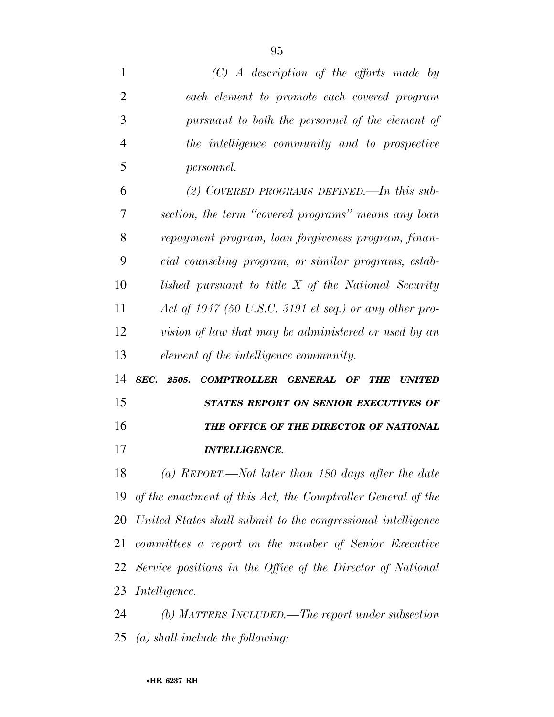| $\mathbf{1}$         | $(C)$ A description of the efforts made by                             |
|----------------------|------------------------------------------------------------------------|
| $\overline{2}$       | each element to promote each covered program                           |
| 3                    | pursuant to both the personnel of the element of                       |
| $\overline{4}$       | the intelligence community and to prospective                          |
| 5                    | <i>personnel.</i>                                                      |
| 6                    | (2) COVERED PROGRAMS DEFINED.—In this sub-                             |
| 7                    | section, the term "covered programs" means any loan                    |
| 8                    | repayment program, loan forgiveness program, finan-                    |
| 9                    | cial counseling program, or similar programs, estab-                   |
| 10                   | lished pursuant to title X of the National Security                    |
| 11                   | Act of 1947 (50 U.S.C. 3191 et seq.) or any other pro-                 |
| 12                   | vision of law that may be administered or used by an                   |
|                      |                                                                        |
| 13                   | element of the intelligence community.                                 |
| 14                   | SEC.<br>2505.<br>COMPTROLLER GENERAL OF<br><b>THE</b><br><b>UNITED</b> |
|                      | STATES REPORT ON SENIOR EXECUTIVES OF                                  |
|                      | THE OFFICE OF THE DIRECTOR OF NATIONAL                                 |
|                      | <b>INTELLIGENCE.</b>                                                   |
| 15<br>16<br>17<br>18 | (a) REPORT.—Not later than 180 days after the date                     |
|                      | 19 of the enactment of this Act, the Comptroller General of the        |
| 20                   | United States shall submit to the congressional intelligence           |
| 21                   | committees a report on the number of Senior Executive                  |
| 22                   | Service positions in the Office of the Director of National            |
| 23                   | <i>Intelligence.</i>                                                   |

*(a) shall include the following:*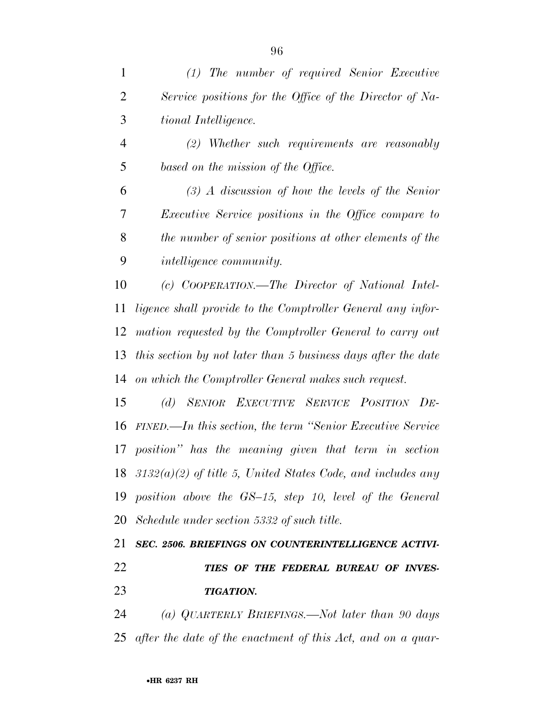| $\mathbf{1}$   | $(1)$ The number of required Senior Executive                    |
|----------------|------------------------------------------------------------------|
| $\overline{2}$ | Service positions for the Office of the Director of Na-          |
| 3              | tional Intelligence.                                             |
| $\overline{4}$ | $(2)$ Whether such requirements are reasonably                   |
| 5              | based on the mission of the Office.                              |
| 6              | $(3)$ A discussion of how the levels of the Senior               |
| 7              | <i>Executive Service positions in the Office compare to</i>      |
| 8              | the number of senior positions at other elements of the          |
| 9              | <i>intelligence community.</i>                                   |
| 10             | (c) COOPERATION.—The Director of National Intel-                 |
| 11             | ligence shall provide to the Comptroller General any infor-      |
| 12             | mation requested by the Comptroller General to carry out         |
| 13             | this section by not later than 5 business days after the date    |
| 14             | on which the Comptroller General makes such request.             |
| 15             | (d) SENIOR EXECUTIVE SERVICE POSITION DE-                        |
| 16             | FINED.—In this section, the term "Senior Executive Service"      |
| 17             | position" has the meaning given that term in section             |
|                | 18 $3132(a)(2)$ of title 5, United States Code, and includes any |
|                | 19 position above the GS-15, step 10, level of the General       |
|                | 20 Schedule under section 5332 of such title.                    |
| 21             | SEC. 2506. BRIEFINGS ON COUNTERINTELLIGENCE ACTIVI-              |
| 22             | TIES OF THE FEDERAL BUREAU OF INVES-                             |
| 23             | <b>TIGATION.</b>                                                 |
| 24             | (a) QUARTERLY BRIEFINGS.—Not later than 90 days                  |

*after the date of the enactment of this Act, and on a quar-*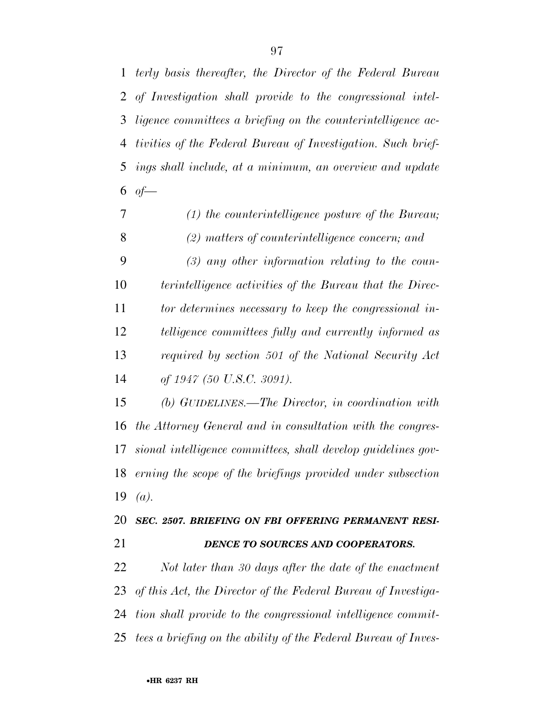*terly basis thereafter, the Director of the Federal Bureau of Investigation shall provide to the congressional intel- ligence committees a briefing on the counterintelligence ac- tivities of the Federal Bureau of Investigation. Such brief- ings shall include, at a minimum, an overview and update*   $of$ 

- *(1) the counterintelligence posture of the Bureau; (2) matters of counterintelligence concern; and*
- *(3) any other information relating to the coun-terintelligence activities of the Bureau that the Direc-*

 *tor determines necessary to keep the congressional in- telligence committees fully and currently informed as required by section 501 of the National Security Act of 1947 (50 U.S.C. 3091).* 

 *(b) GUIDELINES.—The Director, in coordination with the Attorney General and in consultation with the congres- sional intelligence committees, shall develop guidelines gov- erning the scope of the briefings provided under subsection (a).* 

#### *SEC. 2507. BRIEFING ON FBI OFFERING PERMANENT RESI-DENCE TO SOURCES AND COOPERATORS.*

 *Not later than 30 days after the date of the enactment of this Act, the Director of the Federal Bureau of Investiga- tion shall provide to the congressional intelligence commit-tees a briefing on the ability of the Federal Bureau of Inves-*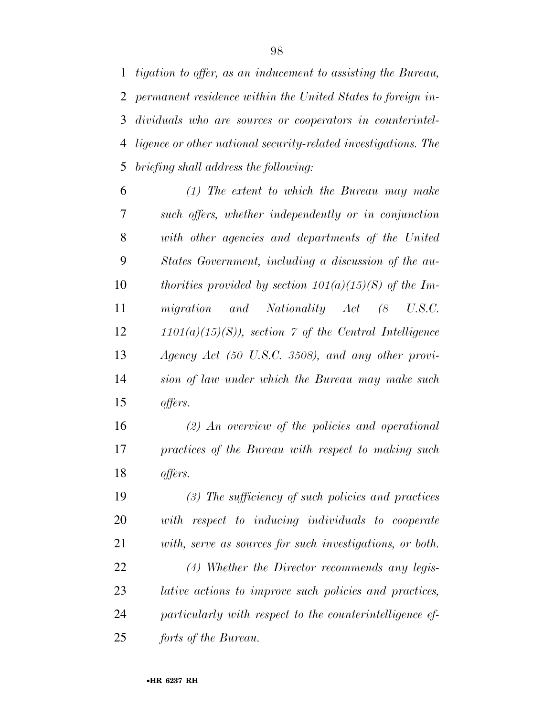*tigation to offer, as an inducement to assisting the Bureau, permanent residence within the United States to foreign in- dividuals who are sources or cooperators in counterintel- ligence or other national security-related investigations. The briefing shall address the following:* 

 *(1) The extent to which the Bureau may make such offers, whether independently or in conjunction with other agencies and departments of the United States Government, including a discussion of the au- thorities provided by section 101(a)(15)(S) of the Im- migration and Nationality Act (8 U.S.C. 1101(a)(15)(S)), section 7 of the Central Intelligence Agency Act (50 U.S.C. 3508), and any other provi- sion of law under which the Bureau may make such offers.* 

 *(2) An overview of the policies and operational practices of the Bureau with respect to making such offers.* 

 *(3) The sufficiency of such policies and practices with respect to inducing individuals to cooperate with, serve as sources for such investigations, or both. (4) Whether the Director recommends any legis- lative actions to improve such policies and practices, particularly with respect to the counterintelligence ef-forts of the Bureau.*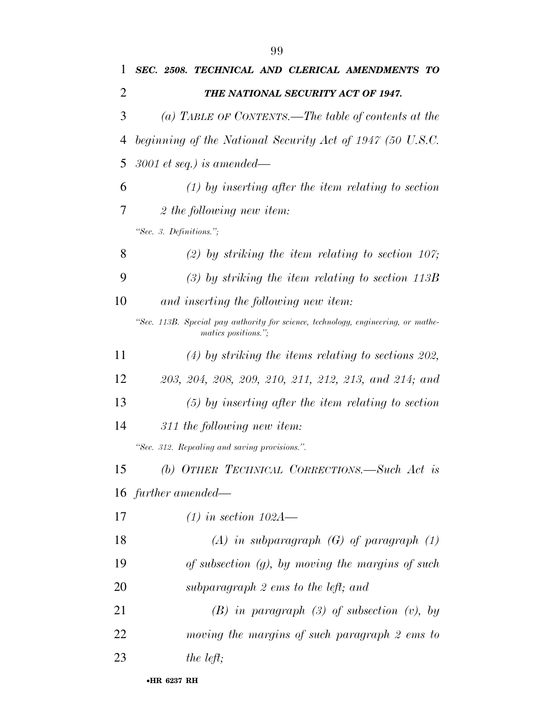|    | 99                                                                                                       |  |  |  |
|----|----------------------------------------------------------------------------------------------------------|--|--|--|
| 1  | SEC. 2508. TECHNICAL AND CLERICAL AMENDMENTS TO                                                          |  |  |  |
| 2  | THE NATIONAL SECURITY ACT OF 1947.                                                                       |  |  |  |
| 3  | (a) TABLE OF CONTENTS.—The table of contents at the                                                      |  |  |  |
| 4  | beginning of the National Security Act of 1947 (50 U.S.C.                                                |  |  |  |
| 5  | $3001$ et seq.) is amended—                                                                              |  |  |  |
| 6  | $(1)$ by inserting after the item relating to section                                                    |  |  |  |
| 7  | 2 the following new item:                                                                                |  |  |  |
|    | "Sec. 3. Definitions.";                                                                                  |  |  |  |
| 8  | (2) by striking the item relating to section 107;                                                        |  |  |  |
| 9  | $(3)$ by striking the item relating to section 113B                                                      |  |  |  |
| 10 | and inserting the following new item:                                                                    |  |  |  |
|    | "Sec. 113B. Special pay authority for science, technology, engineering, or mathe-<br>matics positions."; |  |  |  |
| 11 | $(4)$ by striking the items relating to sections 202,                                                    |  |  |  |
| 12 | 203, 204, 208, 209, 210, 211, 212, 213, and 214; and                                                     |  |  |  |
|    |                                                                                                          |  |  |  |

- *(5) by inserting after the item relating to section*
- *311 the following new item:*

*''Sec. 312. Repealing and saving provisions.''.* 

- *(b) OTHER TECHNICAL CORRECTIONS.—Such Act is further amended—*
- *(1) in section 102A—*
- *(A) in subparagraph (G) of paragraph (1)*
- *of subsection (g), by moving the margins of such*
- *subparagraph 2 ems to the left; and*
- *(B) in paragraph (3) of subsection (v), by moving the margins of such paragraph 2 ems to*

*the left;*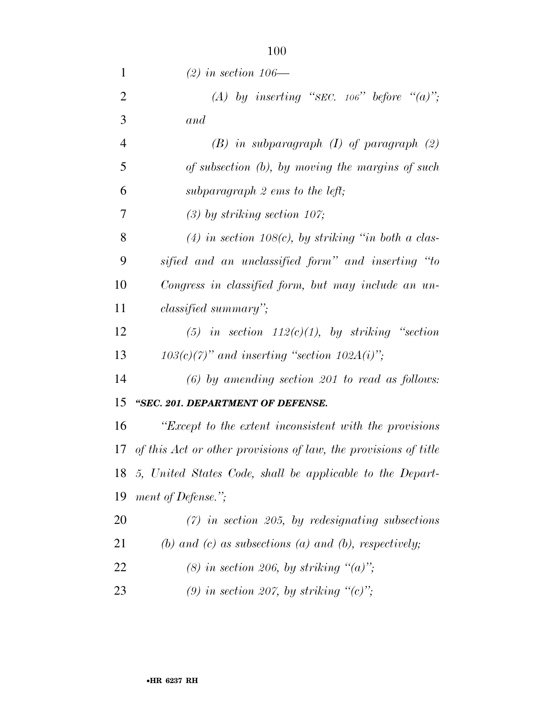| $\mathbf{1}$   | $(2)$ in section 106—                                              |
|----------------|--------------------------------------------------------------------|
| $\overline{2}$ | (A) by inserting "SEC. 106" before "(a)";                          |
| 3              | and                                                                |
| $\overline{4}$ | $(B)$ in subparagraph $(I)$ of paragraph $(2)$                     |
| 5              | of subsection (b), by moving the margins of such                   |
| 6              | subparagraph $2$ ems to the left;                                  |
| 7              | $(3)$ by striking section 107;                                     |
| 8              | $(4)$ in section 108(c), by striking "in both a clas-              |
| 9              | sified and an unclassified form" and inserting "to                 |
| 10             | Congress in classified form, but may include an un-                |
| 11             | <i>classified summary</i> ";                                       |
| 12             | (5) in section $112(c)(1)$ , by striking "section                  |
| 13             | $103(c)(7)$ " and inserting "section $102A(i)$ ";                  |
| 14             | $(6)$ by amending section 201 to read as follows:                  |
| 15             | "SEC. 201. DEPARTMENT OF DEFENSE.                                  |
| 16             | "Except to the extent inconsistent with the provisions"            |
|                | 17 of this Act or other provisions of law, the provisions of title |
| 18             | 5, United States Code, shall be applicable to the Depart-          |
| 19             | ment of Defense.";                                                 |
| 20             | $(7)$ in section 205, by redesignating subsections                 |
| 21             | (b) and (c) as subsections (a) and (b), respectively;              |
| 22             | (8) in section 206, by striking " $(a)$ ";                         |
| 23             | (9) in section 207, by striking " $(c)$ ";                         |

•**HR 6237 RH**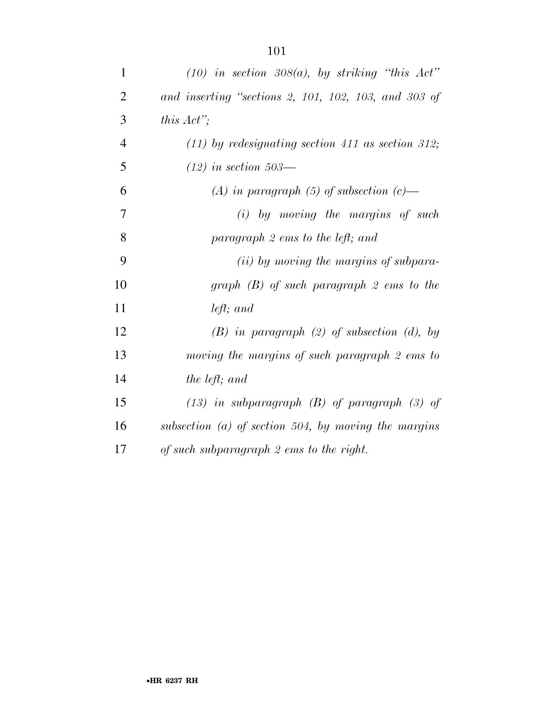| 1              | $(10)$ in section 308(a), by striking "this Act"     |
|----------------|------------------------------------------------------|
| $\overline{2}$ | and inserting "sections 2, 101, 102, 103, and 303 of |
| 3              | this $Act$ <sup>"</sup> ;                            |
| $\overline{4}$ | $(11)$ by redesignating section 411 as section 312;  |
| 5              | $(12)$ in section 503—                               |
| 6              | (A) in paragraph (5) of subsection $(c)$ —           |
| $\overline{7}$ | $(i)$ by moving the margins of such                  |
| 8              | paragraph 2 ems to the left; and                     |
| 9              | (ii) by moving the margins of subpara-               |
| 10             | graph $(B)$ of such paragraph 2 ems to the           |
| 11             | left; and                                            |
| 12             | $(B)$ in paragraph $(2)$ of subsection $(d)$ , by    |
| 13             | moving the margins of such paragraph 2 ems to        |
| 14             | the left; and                                        |
| 15             | $(13)$ in subparagraph $(B)$ of paragraph $(3)$ of   |
| 16             | subsection (a) of section 504, by moving the margins |
| 17             | of such subparagraph 2 ems to the right.             |